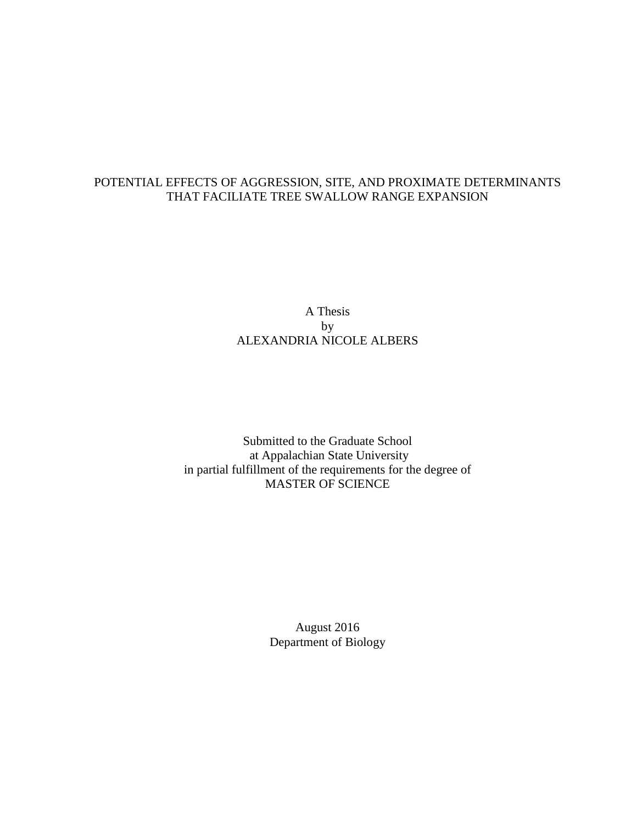# POTENTIAL EFFECTS OF AGGRESSION, SITE, AND PROXIMATE DETERMINANTS THAT FACILIATE TREE SWALLOW RANGE EXPANSION

# A Thesis by ALEXANDRIA NICOLE ALBERS

Submitted to the Graduate School at Appalachian State University in partial fulfillment of the requirements for the degree of MASTER OF SCIENCE

> August 2016 Department of Biology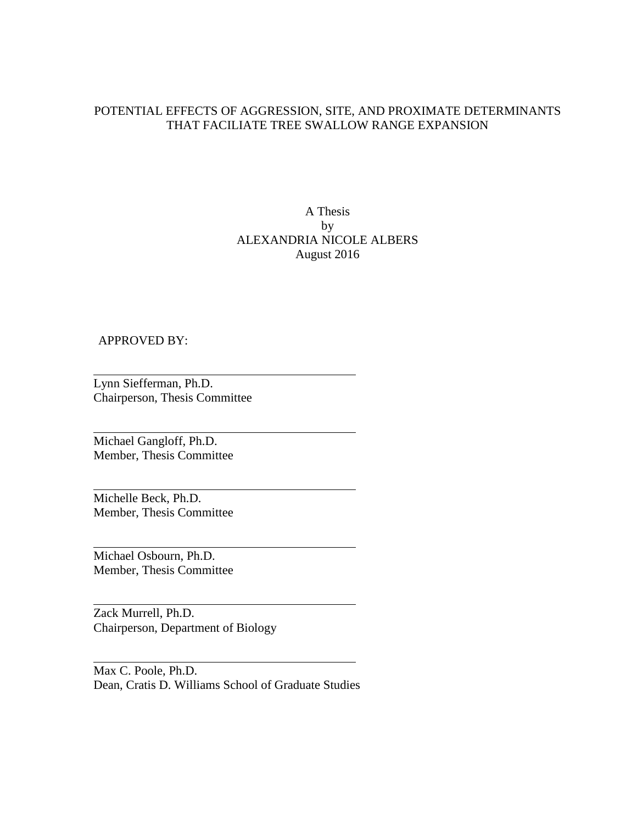# POTENTIAL EFFECTS OF AGGRESSION, SITE, AND PROXIMATE DETERMINANTS THAT FACILIATE TREE SWALLOW RANGE EXPANSION

# A Thesis by ALEXANDRIA NICOLE ALBERS August 2016

## APPROVED BY:

Lynn Siefferman, Ph.D. Chairperson, Thesis Committee

Michael Gangloff, Ph.D. Member, Thesis Committee

Michelle Beck, Ph.D. Member, Thesis Committee

Michael Osbourn, Ph.D. Member, Thesis Committee

Zack Murrell, Ph.D. Chairperson, Department of Biology

Max C. Poole, Ph.D. Dean, Cratis D. Williams School of Graduate Studies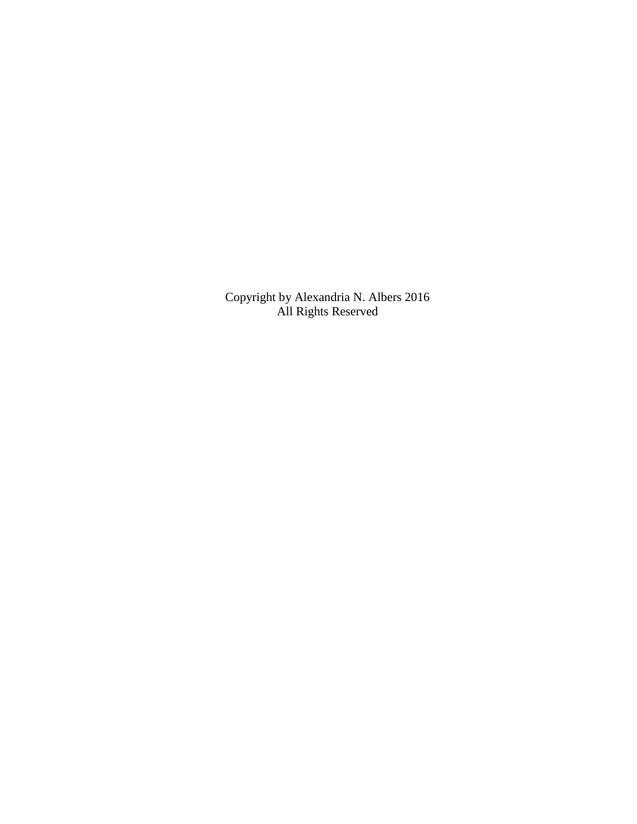Copyright by Alexandria N. Albers 2016 All Rights Reserved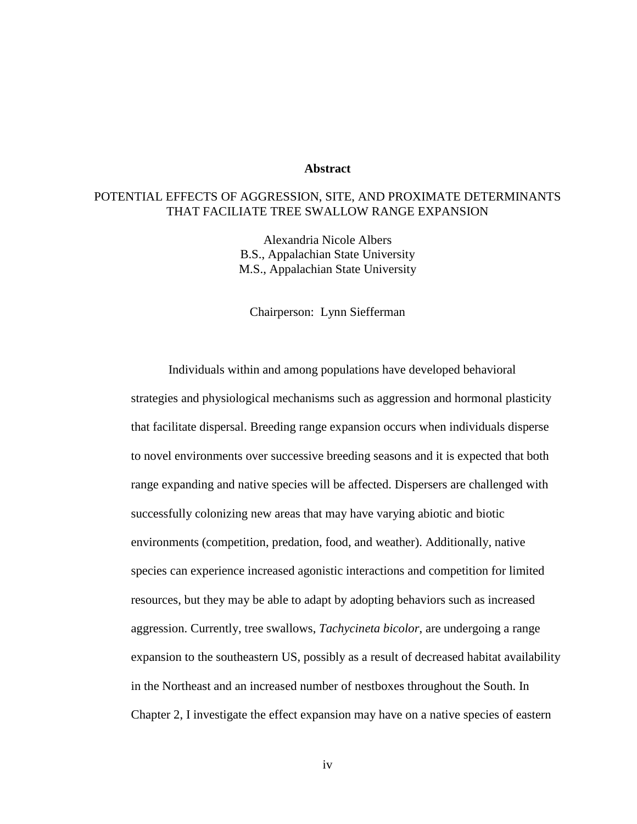## **Abstract**

# POTENTIAL EFFECTS OF AGGRESSION, SITE, AND PROXIMATE DETERMINANTS THAT FACILIATE TREE SWALLOW RANGE EXPANSION

Alexandria Nicole Albers B.S., Appalachian State University M.S., Appalachian State University

Chairperson: Lynn Siefferman

Individuals within and among populations have developed behavioral strategies and physiological mechanisms such as aggression and hormonal plasticity that facilitate dispersal. Breeding range expansion occurs when individuals disperse to novel environments over successive breeding seasons and it is expected that both range expanding and native species will be affected. Dispersers are challenged with successfully colonizing new areas that may have varying abiotic and biotic environments (competition, predation, food, and weather). Additionally, native species can experience increased agonistic interactions and competition for limited resources, but they may be able to adapt by adopting behaviors such as increased aggression. Currently, tree swallows, *Tachycineta bicolor*, are undergoing a range expansion to the southeastern US, possibly as a result of decreased habitat availability in the Northeast and an increased number of nestboxes throughout the South. In Chapter 2, I investigate the effect expansion may have on a native species of eastern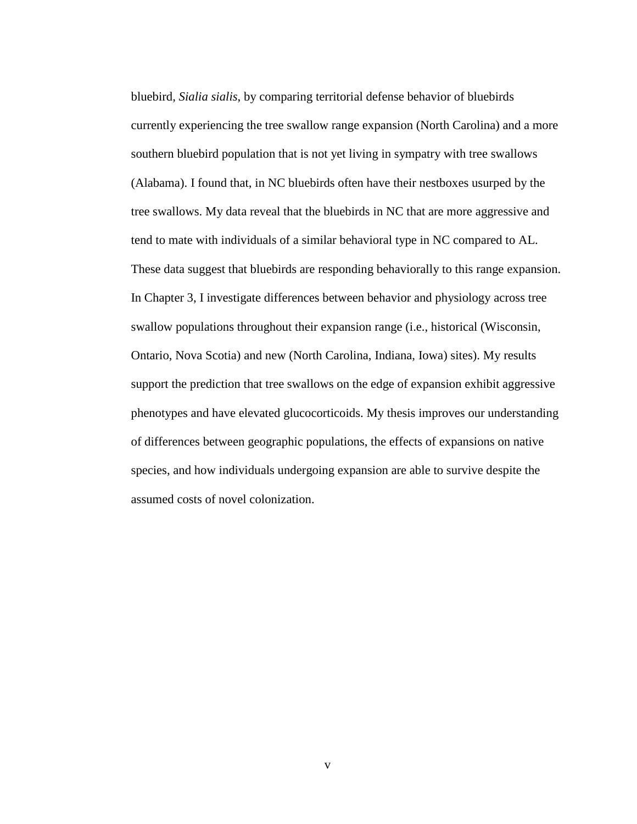bluebird, *Sialia sialis*, by comparing territorial defense behavior of bluebirds currently experiencing the tree swallow range expansion (North Carolina) and a more southern bluebird population that is not yet living in sympatry with tree swallows (Alabama). I found that, in NC bluebirds often have their nestboxes usurped by the tree swallows. My data reveal that the bluebirds in NC that are more aggressive and tend to mate with individuals of a similar behavioral type in NC compared to AL. These data suggest that bluebirds are responding behaviorally to this range expansion. In Chapter 3, I investigate differences between behavior and physiology across tree swallow populations throughout their expansion range (i.e., historical (Wisconsin, Ontario, Nova Scotia) and new (North Carolina, Indiana, Iowa) sites). My results support the prediction that tree swallows on the edge of expansion exhibit aggressive phenotypes and have elevated glucocorticoids. My thesis improves our understanding of differences between geographic populations, the effects of expansions on native species, and how individuals undergoing expansion are able to survive despite the assumed costs of novel colonization.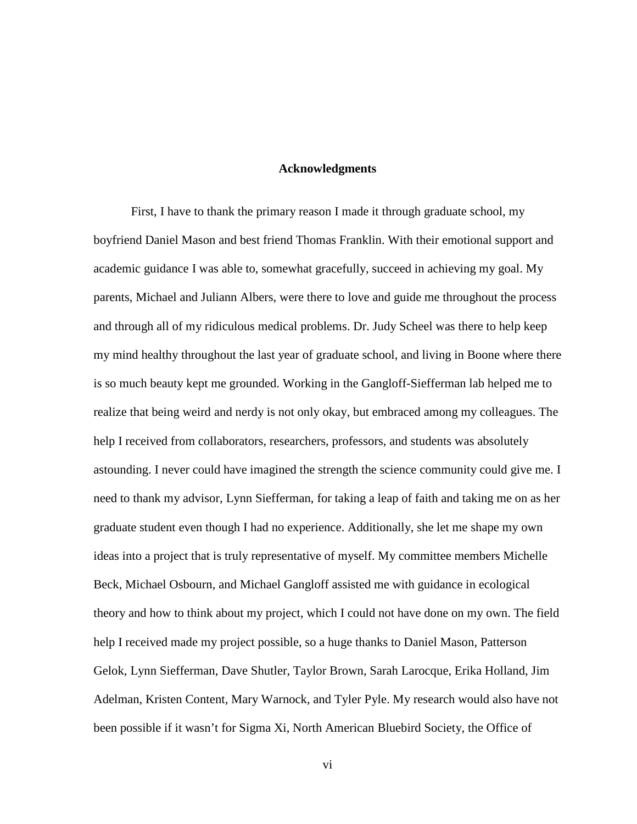## **Acknowledgments**

First, I have to thank the primary reason I made it through graduate school, my boyfriend Daniel Mason and best friend Thomas Franklin. With their emotional support and academic guidance I was able to, somewhat gracefully, succeed in achieving my goal. My parents, Michael and Juliann Albers, were there to love and guide me throughout the process and through all of my ridiculous medical problems. Dr. Judy Scheel was there to help keep my mind healthy throughout the last year of graduate school, and living in Boone where there is so much beauty kept me grounded. Working in the Gangloff-Siefferman lab helped me to realize that being weird and nerdy is not only okay, but embraced among my colleagues. The help I received from collaborators, researchers, professors, and students was absolutely astounding. I never could have imagined the strength the science community could give me. I need to thank my advisor, Lynn Siefferman, for taking a leap of faith and taking me on as her graduate student even though I had no experience. Additionally, she let me shape my own ideas into a project that is truly representative of myself. My committee members Michelle Beck, Michael Osbourn, and Michael Gangloff assisted me with guidance in ecological theory and how to think about my project, which I could not have done on my own. The field help I received made my project possible, so a huge thanks to Daniel Mason, Patterson Gelok, Lynn Siefferman, Dave Shutler, Taylor Brown, Sarah Larocque, Erika Holland, Jim Adelman, Kristen Content, Mary Warnock, and Tyler Pyle. My research would also have not been possible if it wasn't for Sigma Xi, North American Bluebird Society, the Office of

vi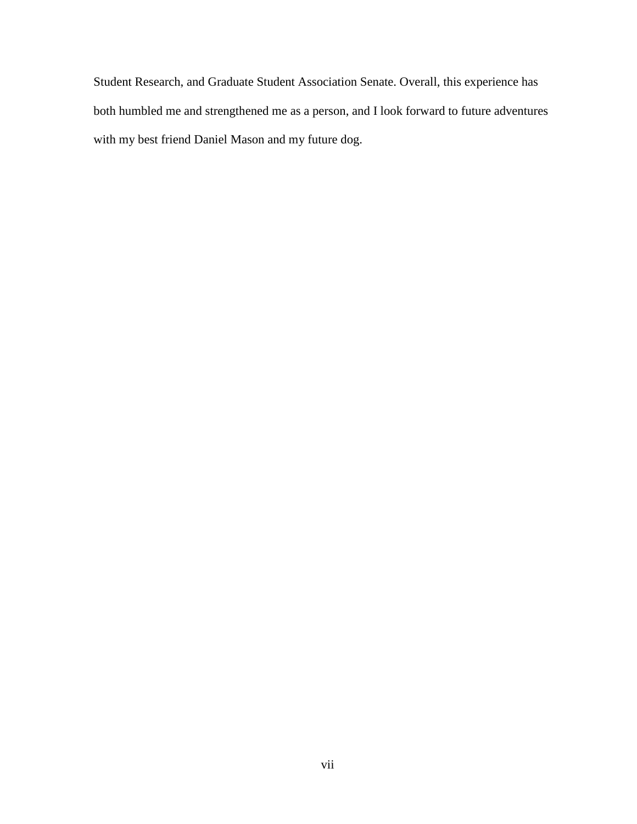Student Research, and Graduate Student Association Senate. Overall, this experience has both humbled me and strengthened me as a person, and I look forward to future adventures with my best friend Daniel Mason and my future dog.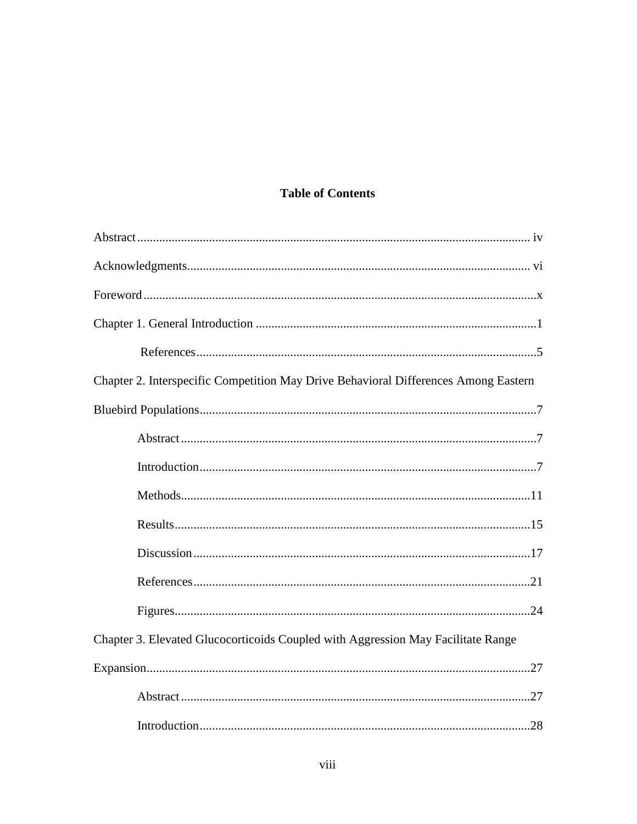# **Table of Contents**

| Chapter 2. Interspecific Competition May Drive Behavioral Differences Among Eastern |  |
|-------------------------------------------------------------------------------------|--|
|                                                                                     |  |
|                                                                                     |  |
|                                                                                     |  |
|                                                                                     |  |
|                                                                                     |  |
|                                                                                     |  |
|                                                                                     |  |
|                                                                                     |  |
| Chapter 3. Elevated Glucocorticoids Coupled with Aggression May Facilitate Range    |  |
|                                                                                     |  |
|                                                                                     |  |
|                                                                                     |  |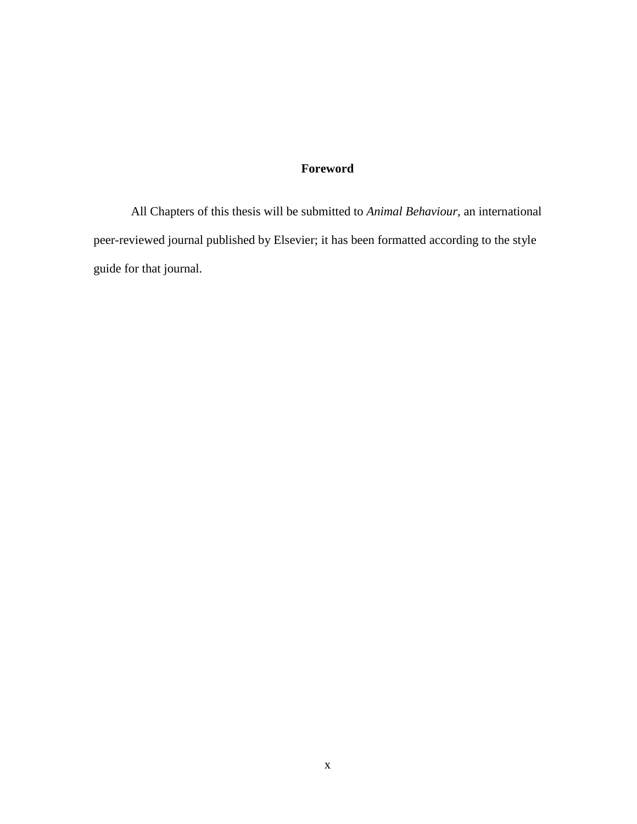# **Foreword**

All Chapters of this thesis will be submitted to *Animal Behaviour*, an international peer-reviewed journal published by Elsevier; it has been formatted according to the style guide for that journal.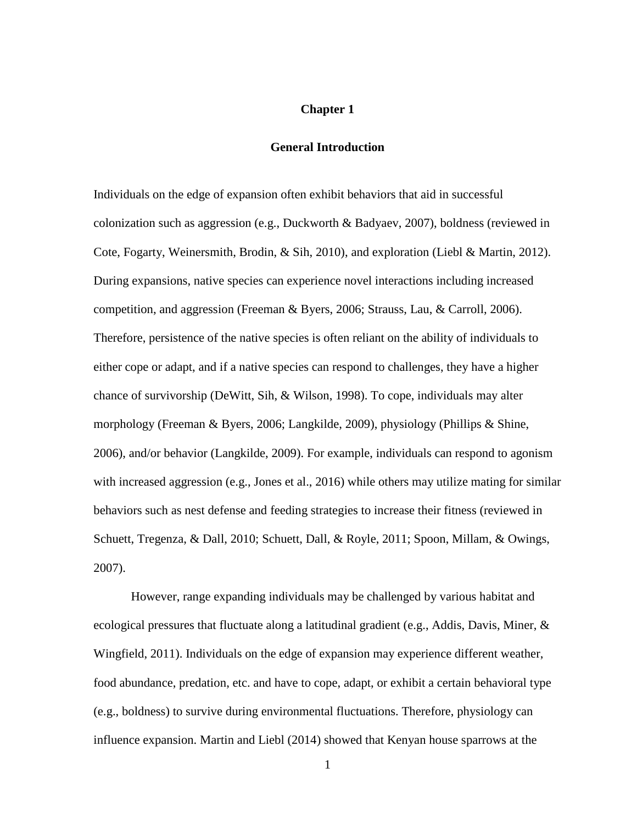# **Chapter 1**

# **General Introduction**

Individuals on the edge of expansion often exhibit behaviors that aid in successful colonization such as aggression (e.g., Duckworth & Badyaev, 2007), boldness (reviewed in Cote, Fogarty, Weinersmith, Brodin, & Sih, 2010), and exploration (Liebl & Martin, 2012). During expansions, native species can experience novel interactions including increased competition, and aggression (Freeman & Byers, 2006; Strauss, Lau, & Carroll, 2006). Therefore, persistence of the native species is often reliant on the ability of individuals to either cope or adapt, and if a native species can respond to challenges, they have a higher chance of survivorship (DeWitt, Sih, & Wilson, 1998). To cope, individuals may alter morphology (Freeman & Byers, 2006; Langkilde, 2009), physiology (Phillips & Shine, 2006), and/or behavior (Langkilde, 2009). For example, individuals can respond to agonism with increased aggression (e.g., Jones et al., 2016) while others may utilize mating for similar behaviors such as nest defense and feeding strategies to increase their fitness (reviewed in Schuett, Tregenza, & Dall, 2010; Schuett, Dall, & Royle, 2011; Spoon, Millam, & Owings, 2007).

However, range expanding individuals may be challenged by various habitat and ecological pressures that fluctuate along a latitudinal gradient (e.g., Addis, Davis, Miner, & Wingfield, 2011). Individuals on the edge of expansion may experience different weather, food abundance, predation, etc. and have to cope, adapt, or exhibit a certain behavioral type (e.g., boldness) to survive during environmental fluctuations. Therefore, physiology can influence expansion. Martin and Liebl (2014) showed that Kenyan house sparrows at the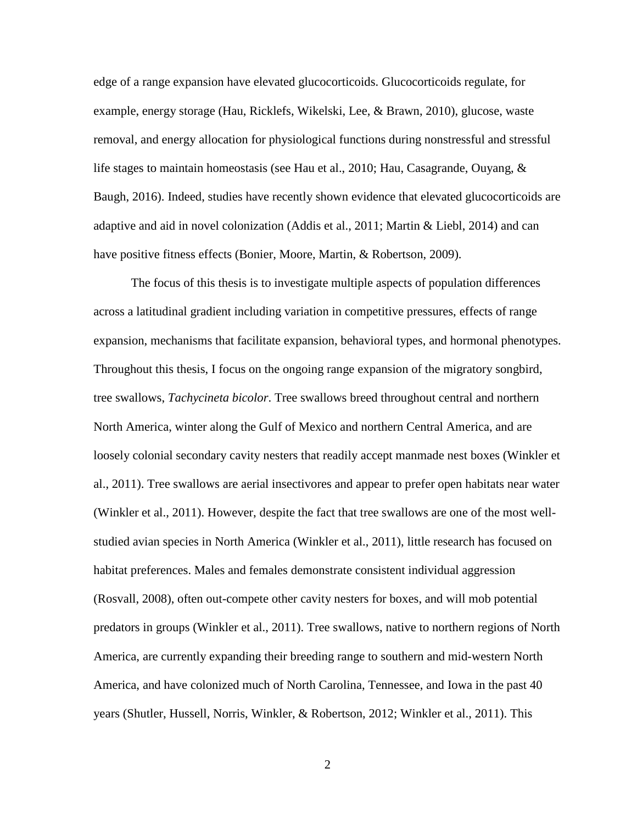edge of a range expansion have elevated glucocorticoids. Glucocorticoids regulate, for example, energy storage (Hau, Ricklefs, Wikelski, Lee, & Brawn, 2010), glucose, waste removal, and energy allocation for physiological functions during nonstressful and stressful life stages to maintain homeostasis (see Hau et al., 2010; Hau, Casagrande, Ouyang, & Baugh, 2016). Indeed, studies have recently shown evidence that elevated glucocorticoids are adaptive and aid in novel colonization (Addis et al., 2011; Martin & Liebl, 2014) and can have positive fitness effects (Bonier, Moore, Martin, & Robertson, 2009).

The focus of this thesis is to investigate multiple aspects of population differences across a latitudinal gradient including variation in competitive pressures, effects of range expansion, mechanisms that facilitate expansion, behavioral types, and hormonal phenotypes. Throughout this thesis, I focus on the ongoing range expansion of the migratory songbird, tree swallows, *Tachycineta bicolor*. Tree swallows breed throughout central and northern North America, winter along the Gulf of Mexico and northern Central America, and are loosely colonial secondary cavity nesters that readily accept manmade nest boxes (Winkler et al., 2011). Tree swallows are aerial insectivores and appear to prefer open habitats near water (Winkler et al., 2011). However, despite the fact that tree swallows are one of the most wellstudied avian species in North America (Winkler et al., 2011), little research has focused on habitat preferences. Males and females demonstrate consistent individual aggression (Rosvall, 2008), often out-compete other cavity nesters for boxes, and will mob potential predators in groups (Winkler et al., 2011). Tree swallows, native to northern regions of North America, are currently expanding their breeding range to southern and mid-western North America, and have colonized much of North Carolina, Tennessee, and Iowa in the past 40 years (Shutler, Hussell, Norris, Winkler, & Robertson, 2012; Winkler et al., 2011). This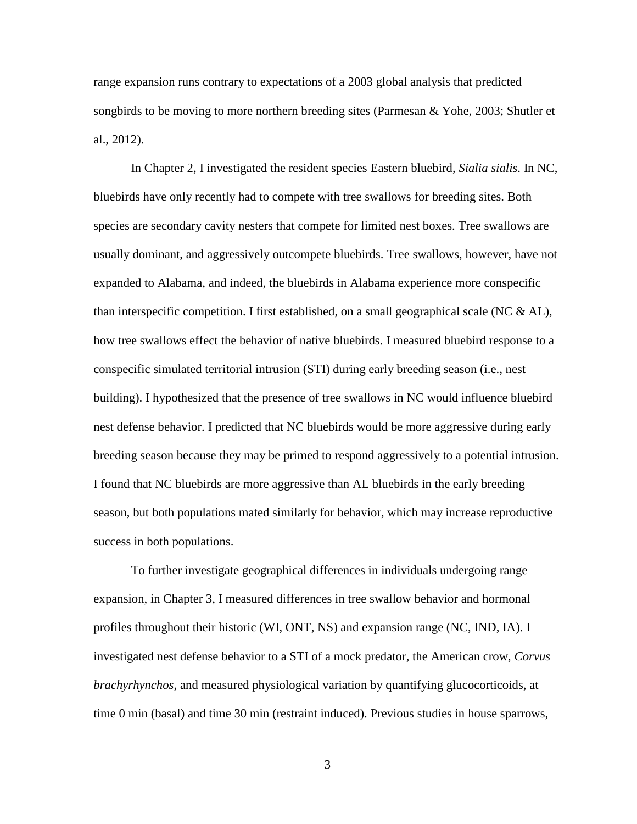range expansion runs contrary to expectations of a 2003 global analysis that predicted songbirds to be moving to more northern breeding sites (Parmesan & Yohe, 2003; Shutler et al., 2012).

In Chapter 2, I investigated the resident species Eastern bluebird, *Sialia sialis*. In NC, bluebirds have only recently had to compete with tree swallows for breeding sites. Both species are secondary cavity nesters that compete for limited nest boxes. Tree swallows are usually dominant, and aggressively outcompete bluebirds. Tree swallows, however, have not expanded to Alabama, and indeed, the bluebirds in Alabama experience more conspecific than interspecific competition. I first established, on a small geographical scale (NC  $\&$  AL), how tree swallows effect the behavior of native bluebirds. I measured bluebird response to a conspecific simulated territorial intrusion (STI) during early breeding season (i.e., nest building). I hypothesized that the presence of tree swallows in NC would influence bluebird nest defense behavior. I predicted that NC bluebirds would be more aggressive during early breeding season because they may be primed to respond aggressively to a potential intrusion. I found that NC bluebirds are more aggressive than AL bluebirds in the early breeding season, but both populations mated similarly for behavior, which may increase reproductive success in both populations.

To further investigate geographical differences in individuals undergoing range expansion, in Chapter 3, I measured differences in tree swallow behavior and hormonal profiles throughout their historic (WI, ONT, NS) and expansion range (NC, IND, IA). I investigated nest defense behavior to a STI of a mock predator, the American crow, *Corvus brachyrhynchos*, and measured physiological variation by quantifying glucocorticoids, at time 0 min (basal) and time 30 min (restraint induced). Previous studies in house sparrows,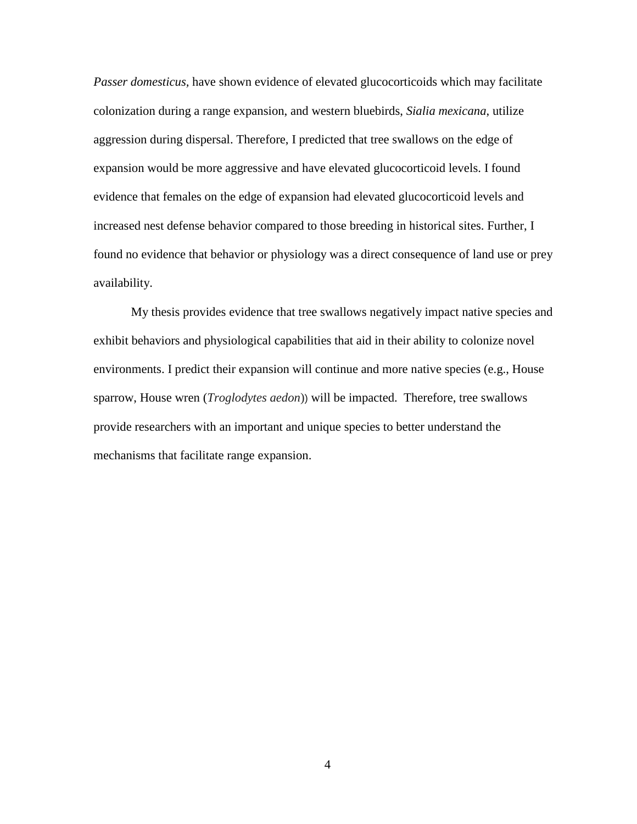*Passer domesticus,* have shown evidence of elevated glucocorticoids which may facilitate colonization during a range expansion, and western bluebirds, *Sialia mexicana*, utilize aggression during dispersal. Therefore, I predicted that tree swallows on the edge of expansion would be more aggressive and have elevated glucocorticoid levels. I found evidence that females on the edge of expansion had elevated glucocorticoid levels and increased nest defense behavior compared to those breeding in historical sites. Further, I found no evidence that behavior or physiology was a direct consequence of land use or prey availability.

My thesis provides evidence that tree swallows negatively impact native species and exhibit behaviors and physiological capabilities that aid in their ability to colonize novel environments. I predict their expansion will continue and more native species (e.g., House sparrow, House wren (*Troglodytes aedon*)) will be impacted. Therefore, tree swallows provide researchers with an important and unique species to better understand the mechanisms that facilitate range expansion.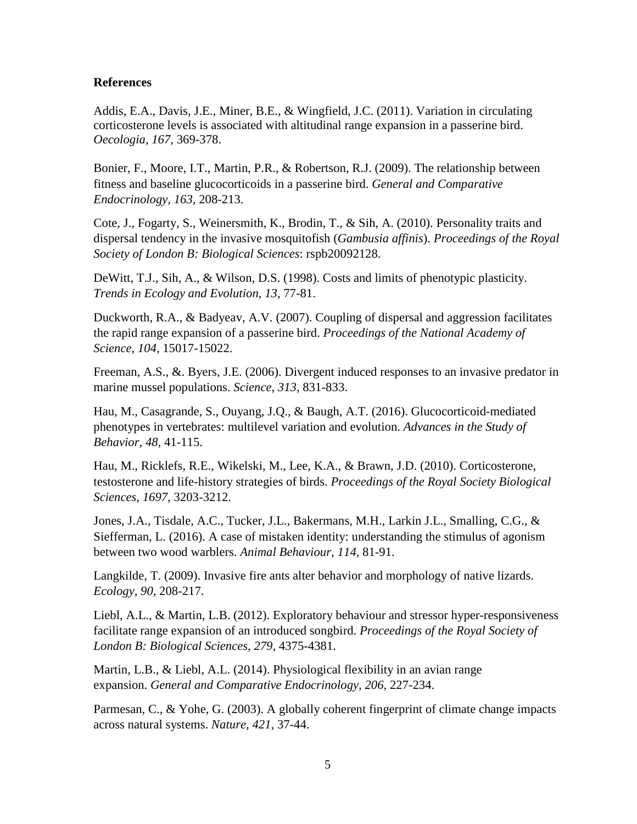# **References**

Addis, E.A., Davis, J.E., Miner, B.E., & Wingfield, J.C. (2011). Variation in circulating corticosterone levels is associated with altitudinal range expansion in a passerine bird. *Oecologia, 167,* 369-378.

Bonier, F., Moore, I.T., Martin, P.R., & Robertson, R.J. (2009). The relationship between fitness and baseline glucocorticoids in a passerine bird. *General and Comparative Endocrinology, 163,* 208-213.

Cote, J., Fogarty, S., Weinersmith, K., Brodin, T., & Sih, A. (2010). Personality traits and dispersal tendency in the invasive mosquitofish (*Gambusia affinis*). *Proceedings of the Royal Society of London B: Biological Sciences*: rspb20092128.

DeWitt, T.J., Sih, A., & Wilson, D.S. (1998). Costs and limits of phenotypic plasticity. *Trends in Ecology and Evolution, 13,* 77-81.

Duckworth, R.A., & Badyeav, A.V. (2007). Coupling of dispersal and aggression facilitates the rapid range expansion of a passerine bird. *Proceedings of the National Academy of Science, 104,* 15017-15022.

Freeman, A.S., &. Byers, J.E. (2006). Divergent induced responses to an invasive predator in marine mussel populations. *Science*, *313,* 831-833.

Hau, M., Casagrande, S., Ouyang, J.Q., & Baugh, A.T. (2016). Glucocorticoid-mediated phenotypes in vertebrates: multilevel variation and evolution. *Advances in the Study of Behavior, 48,* 41-115.

Hau, M., Ricklefs, R.E., Wikelski, M., Lee, K.A., & Brawn, J.D. (2010). Corticosterone, testosterone and life-history strategies of birds. *Proceedings of the Royal Society Biological Sciences, 1697,* 3203-3212.

Jones, J.A., Tisdale, A.C., Tucker, J.L., Bakermans, M.H., Larkin J.L., Smalling, C.G., & Siefferman, L. (2016). A case of mistaken identity: understanding the stimulus of agonism between two wood warblers. *Animal Behaviour*, *114,* 81-91.

Langkilde, T. (2009). Invasive fire ants alter behavior and morphology of native lizards. *Ecology, 90,* 208-217.

Liebl, A.L., & Martin, L.B. (2012). Exploratory behaviour and stressor hyper-responsiveness facilitate range expansion of an introduced songbird. *Proceedings of the Royal Society of London B: Biological Sciences, 279,* 4375-4381.

Martin, L.B., & Liebl, A.L. (2014). Physiological flexibility in an avian range expansion. *General and Comparative Endocrinology, 206,* 227-234.

Parmesan, C., & Yohe, G. (2003). A globally coherent fingerprint of climate change impacts across natural systems. *Nature, 421*, 37-44.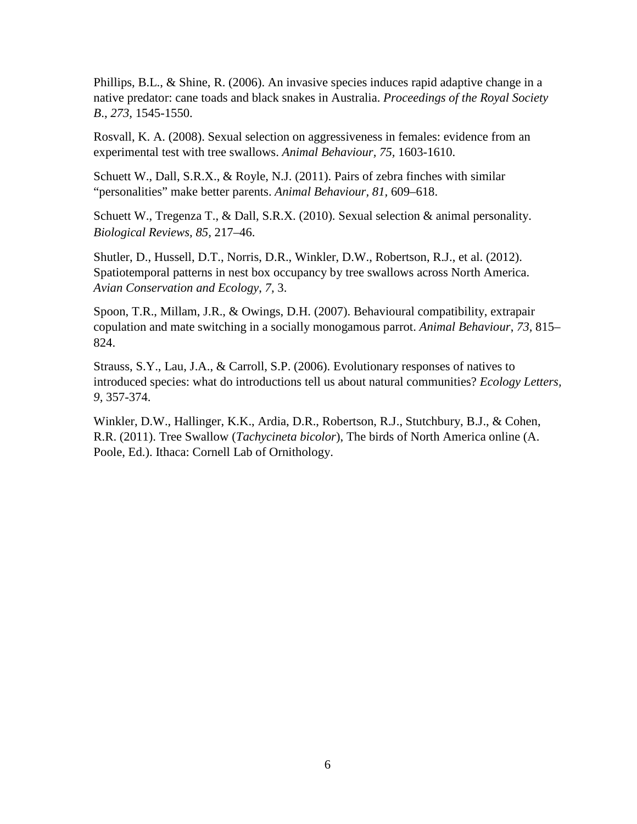Phillips, B.L., & Shine, R. (2006). An invasive species induces rapid adaptive change in a native predator: cane toads and black snakes in Australia. *Proceedings of the Royal Society B*., *273,* 1545-1550.

Rosvall, K. A. (2008). Sexual selection on aggressiveness in females: evidence from an experimental test with tree swallows. *Animal Behaviour, 75,* 1603-1610.

Schuett W., Dall, S.R.X., & Royle, N.J. (2011). Pairs of zebra finches with similar "personalities" make better parents. *Animal Behaviour, 81,* 609–618.

Schuett W., Tregenza T., & Dall, S.R.X. (2010). Sexual selection & animal personality. *Biological Reviews, 85,* 217–46.

Shutler, D., Hussell, D.T., Norris, D.R., Winkler, D.W., Robertson, R.J., et al. (2012). Spatiotemporal patterns in nest box occupancy by tree swallows across North America. *Avian Conservation and Ecology*, *7,* 3.

Spoon, T.R., Millam, J.R., & Owings, D.H. (2007). Behavioural compatibility, extrapair copulation and mate switching in a socially monogamous parrot. *Animal Behaviour*, *73,* 815– 824.

Strauss, S.Y., Lau, J.A., & Carroll, S.P. (2006). Evolutionary responses of natives to introduced species: what do introductions tell us about natural communities? *Ecology Letters, 9,* 357-374.

Winkler, D.W., Hallinger, K.K., Ardia, D.R., Robertson, R.J., Stutchbury, B.J., & Cohen, R.R. (2011). Tree Swallow (*Tachycineta bicolor*), The birds of North America online (A. Poole, Ed.). Ithaca: Cornell Lab of Ornithology.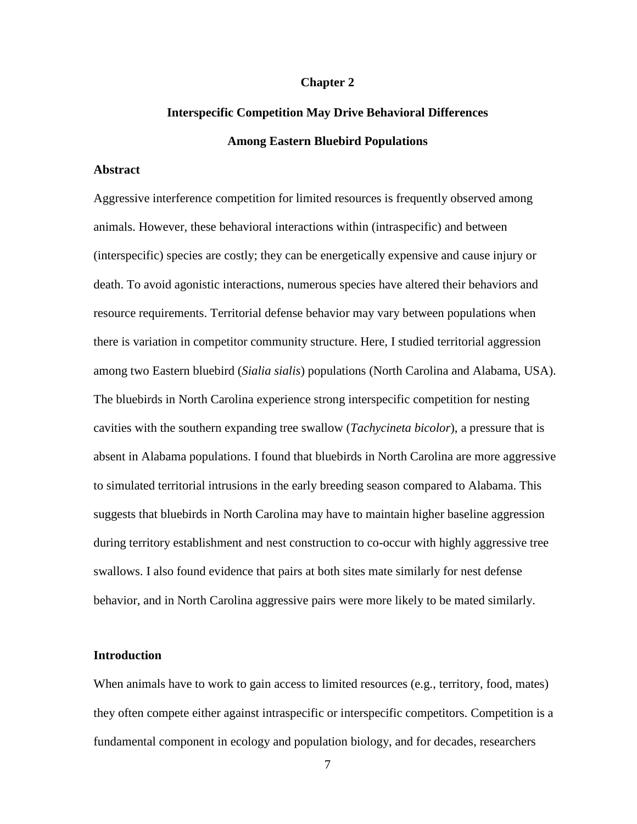#### **Chapter 2**

# **Interspecific Competition May Drive Behavioral Differences Among Eastern Bluebird Populations**

#### **Abstract**

Aggressive interference competition for limited resources is frequently observed among animals. However, these behavioral interactions within (intraspecific) and between (interspecific) species are costly; they can be energetically expensive and cause injury or death. To avoid agonistic interactions, numerous species have altered their behaviors and resource requirements. Territorial defense behavior may vary between populations when there is variation in competitor community structure. Here, I studied territorial aggression among two Eastern bluebird (*Sialia sialis*) populations (North Carolina and Alabama, USA). The bluebirds in North Carolina experience strong interspecific competition for nesting cavities with the southern expanding tree swallow (*Tachycineta bicolor*), a pressure that is absent in Alabama populations. I found that bluebirds in North Carolina are more aggressive to simulated territorial intrusions in the early breeding season compared to Alabama. This suggests that bluebirds in North Carolina may have to maintain higher baseline aggression during territory establishment and nest construction to co-occur with highly aggressive tree swallows. I also found evidence that pairs at both sites mate similarly for nest defense behavior, and in North Carolina aggressive pairs were more likely to be mated similarly.

# **Introduction**

When animals have to work to gain access to limited resources (e.g., territory, food, mates) they often compete either against intraspecific or interspecific competitors. Competition is a fundamental component in ecology and population biology, and for decades, researchers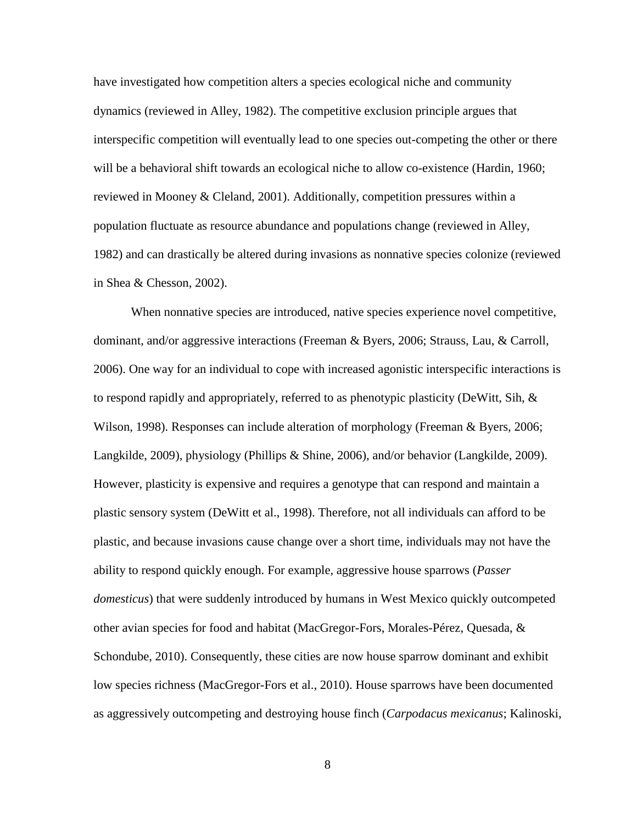have investigated how competition alters a species ecological niche and community dynamics (reviewed in Alley, 1982). The competitive exclusion principle argues that interspecific competition will eventually lead to one species out-competing the other or there will be a behavioral shift towards an ecological niche to allow co-existence (Hardin, 1960; reviewed in Mooney & Cleland, 2001). Additionally, competition pressures within a population fluctuate as resource abundance and populations change (reviewed in Alley, 1982) and can drastically be altered during invasions as nonnative species colonize (reviewed in Shea & Chesson, 2002).

When nonnative species are introduced, native species experience novel competitive, dominant, and/or aggressive interactions (Freeman & Byers, 2006; Strauss, Lau, & Carroll, 2006). One way for an individual to cope with increased agonistic interspecific interactions is to respond rapidly and appropriately, referred to as phenotypic plasticity (DeWitt, Sih, & Wilson, 1998). Responses can include alteration of morphology (Freeman & Byers, 2006; Langkilde, 2009), physiology (Phillips & Shine, 2006), and/or behavior (Langkilde, 2009). However, plasticity is expensive and requires a genotype that can respond and maintain a plastic sensory system (DeWitt et al., 1998). Therefore, not all individuals can afford to be plastic, and because invasions cause change over a short time, individuals may not have the ability to respond quickly enough. For example, aggressive house sparrows (*Passer domesticus*) that were suddenly introduced by humans in West Mexico quickly outcompeted other avian species for food and habitat (MacGregor-Fors, Morales-Pérez, Quesada, & Schondube, 2010). Consequently, these cities are now house sparrow dominant and exhibit low species richness (MacGregor-Fors et al., 2010). House sparrows have been documented as aggressively outcompeting and destroying house finch (*Carpodacus mexicanus*; Kalinoski,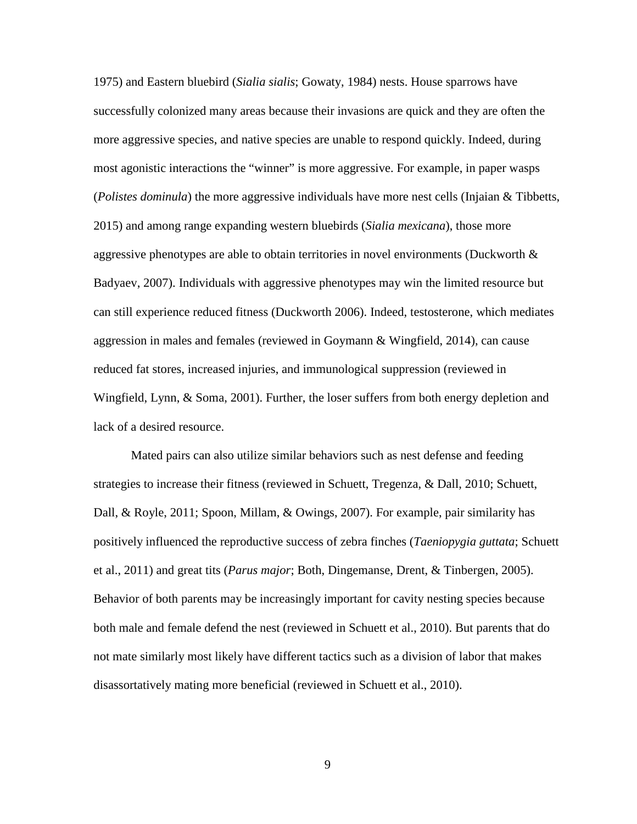1975) and Eastern bluebird (*Sialia sialis*; Gowaty, 1984) nests. House sparrows have successfully colonized many areas because their invasions are quick and they are often the more aggressive species, and native species are unable to respond quickly. Indeed, during most agonistic interactions the "winner" is more aggressive. For example, in paper wasps (*Polistes dominula*) the more aggressive individuals have more nest cells (Injaian & Tibbetts, 2015) and among range expanding western bluebirds (*Sialia mexicana*), those more aggressive phenotypes are able to obtain territories in novel environments (Duckworth  $\&$ Badyaev, 2007). Individuals with aggressive phenotypes may win the limited resource but can still experience reduced fitness (Duckworth 2006). Indeed, testosterone, which mediates aggression in males and females (reviewed in Goymann & Wingfield, 2014), can cause reduced fat stores, increased injuries, and immunological suppression (reviewed in Wingfield, Lynn, & Soma, 2001). Further, the loser suffers from both energy depletion and lack of a desired resource.

Mated pairs can also utilize similar behaviors such as nest defense and feeding strategies to increase their fitness (reviewed in Schuett, Tregenza, & Dall, 2010; Schuett, Dall, & Royle, 2011; Spoon, Millam, & Owings, 2007). For example, pair similarity has positively influenced the reproductive success of zebra finches (*Taeniopygia guttata*; Schuett et al., 2011) and great tits (*Parus major*; Both, Dingemanse, Drent, & Tinbergen, 2005). Behavior of both parents may be increasingly important for cavity nesting species because both male and female defend the nest (reviewed in Schuett et al., 2010). But parents that do not mate similarly most likely have different tactics such as a division of labor that makes disassortatively mating more beneficial (reviewed in Schuett et al., 2010).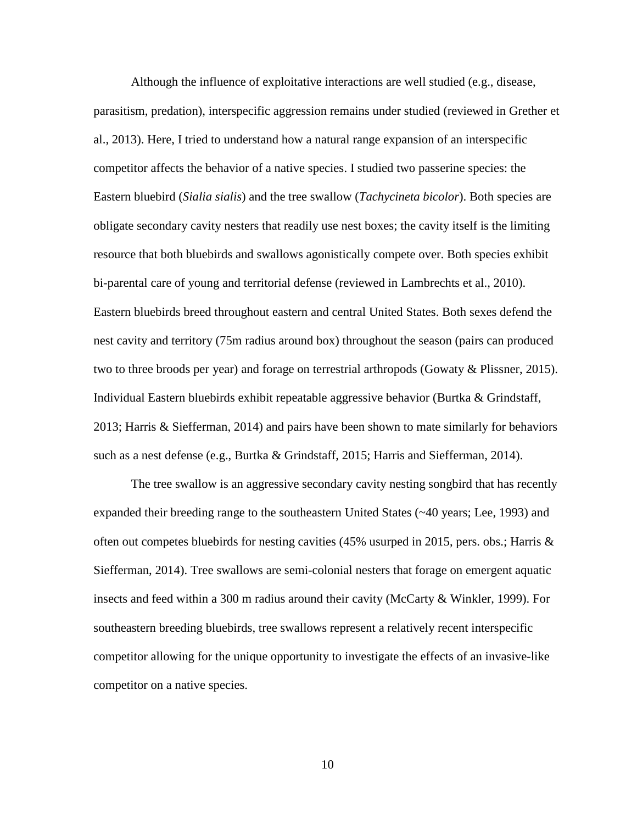Although the influence of exploitative interactions are well studied (e.g., disease, parasitism, predation), interspecific aggression remains under studied (reviewed in Grether et al., 2013). Here, I tried to understand how a natural range expansion of an interspecific competitor affects the behavior of a native species. I studied two passerine species: the Eastern bluebird (*Sialia sialis*) and the tree swallow (*Tachycineta bicolor*). Both species are obligate secondary cavity nesters that readily use nest boxes; the cavity itself is the limiting resource that both bluebirds and swallows agonistically compete over. Both species exhibit bi-parental care of young and territorial defense (reviewed in Lambrechts et al., 2010). Eastern bluebirds breed throughout eastern and central United States. Both sexes defend the nest cavity and territory (75m radius around box) throughout the season (pairs can produced two to three broods per year) and forage on terrestrial arthropods (Gowaty & Plissner, 2015). Individual Eastern bluebirds exhibit repeatable aggressive behavior (Burtka & Grindstaff, 2013; Harris & Siefferman, 2014) and pairs have been shown to mate similarly for behaviors such as a nest defense (e.g., Burtka & Grindstaff, 2015; Harris and Siefferman, 2014).

The tree swallow is an aggressive secondary cavity nesting songbird that has recently expanded their breeding range to the southeastern United States (~40 years; Lee, 1993) and often out competes bluebirds for nesting cavities (45% usurped in 2015, pers. obs.; Harris & Siefferman, 2014). Tree swallows are semi-colonial nesters that forage on emergent aquatic insects and feed within a 300 m radius around their cavity (McCarty & Winkler, 1999). For southeastern breeding bluebirds, tree swallows represent a relatively recent interspecific competitor allowing for the unique opportunity to investigate the effects of an invasive-like competitor on a native species.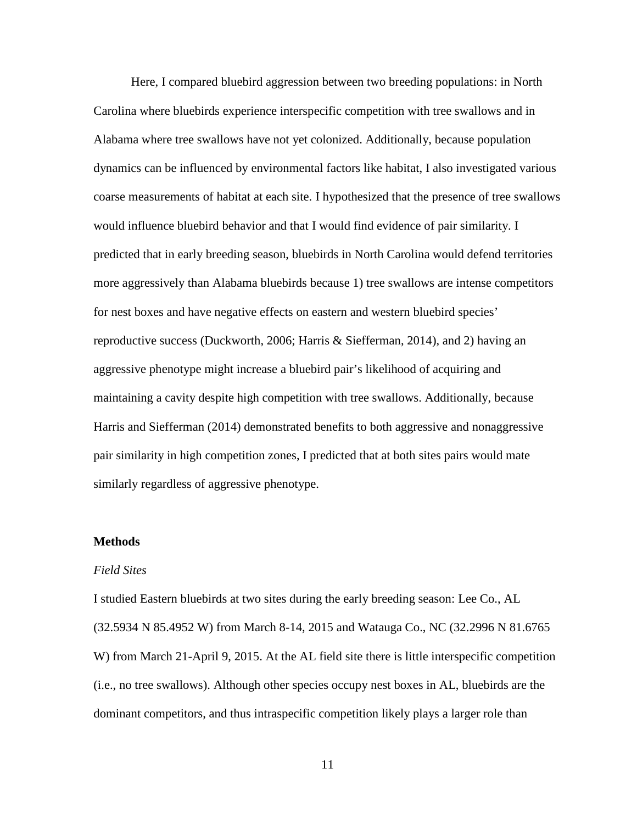Here, I compared bluebird aggression between two breeding populations: in North Carolina where bluebirds experience interspecific competition with tree swallows and in Alabama where tree swallows have not yet colonized. Additionally, because population dynamics can be influenced by environmental factors like habitat, I also investigated various coarse measurements of habitat at each site. I hypothesized that the presence of tree swallows would influence bluebird behavior and that I would find evidence of pair similarity. I predicted that in early breeding season, bluebirds in North Carolina would defend territories more aggressively than Alabama bluebirds because 1) tree swallows are intense competitors for nest boxes and have negative effects on eastern and western bluebird species' reproductive success (Duckworth, 2006; Harris & Siefferman, 2014), and 2) having an aggressive phenotype might increase a bluebird pair's likelihood of acquiring and maintaining a cavity despite high competition with tree swallows. Additionally, because Harris and Siefferman (2014) demonstrated benefits to both aggressive and nonaggressive pair similarity in high competition zones, I predicted that at both sites pairs would mate similarly regardless of aggressive phenotype.

# **Methods**

## *Field Sites*

I studied Eastern bluebirds at two sites during the early breeding season: Lee Co., AL (32.5934 N 85.4952 W) from March 8-14, 2015 and Watauga Co., NC (32.2996 N 81.6765 W) from March 21-April 9, 2015. At the AL field site there is little interspecific competition (i.e., no tree swallows). Although other species occupy nest boxes in AL, bluebirds are the dominant competitors, and thus intraspecific competition likely plays a larger role than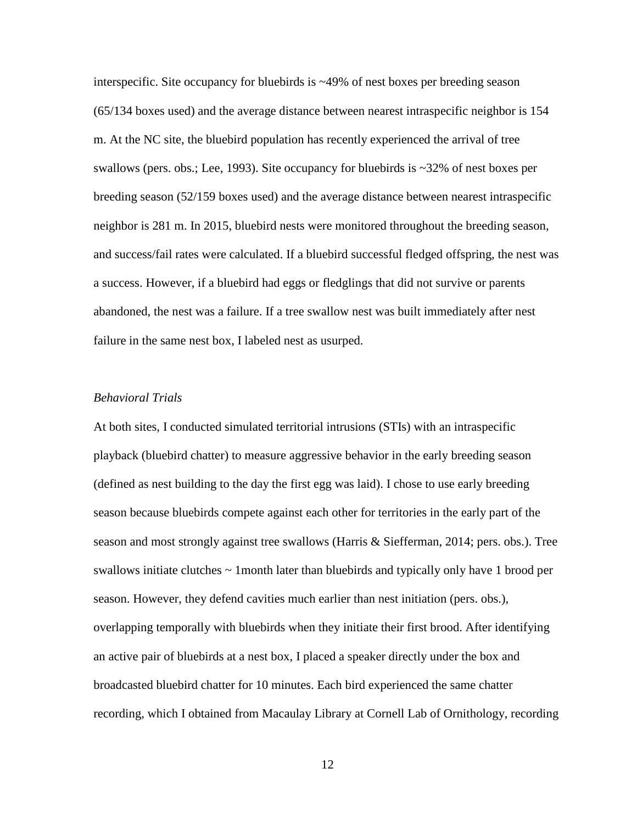interspecific. Site occupancy for bluebirds is ~49% of nest boxes per breeding season (65/134 boxes used) and the average distance between nearest intraspecific neighbor is 154 m. At the NC site, the bluebird population has recently experienced the arrival of tree swallows (pers. obs.; Lee, 1993). Site occupancy for bluebirds is ~32% of nest boxes per breeding season (52/159 boxes used) and the average distance between nearest intraspecific neighbor is 281 m. In 2015, bluebird nests were monitored throughout the breeding season, and success/fail rates were calculated. If a bluebird successful fledged offspring, the nest was a success. However, if a bluebird had eggs or fledglings that did not survive or parents abandoned, the nest was a failure. If a tree swallow nest was built immediately after nest failure in the same nest box, I labeled nest as usurped.

# *Behavioral Trials*

At both sites, I conducted simulated territorial intrusions (STIs) with an intraspecific playback (bluebird chatter) to measure aggressive behavior in the early breeding season (defined as nest building to the day the first egg was laid). I chose to use early breeding season because bluebirds compete against each other for territories in the early part of the season and most strongly against tree swallows (Harris & Siefferman, 2014; pers. obs.). Tree swallows initiate clutches  $\sim$  1 month later than bluebirds and typically only have 1 brood per season. However, they defend cavities much earlier than nest initiation (pers. obs.), overlapping temporally with bluebirds when they initiate their first brood. After identifying an active pair of bluebirds at a nest box, I placed a speaker directly under the box and broadcasted bluebird chatter for 10 minutes. Each bird experienced the same chatter recording, which I obtained from Macaulay Library at Cornell Lab of Ornithology, recording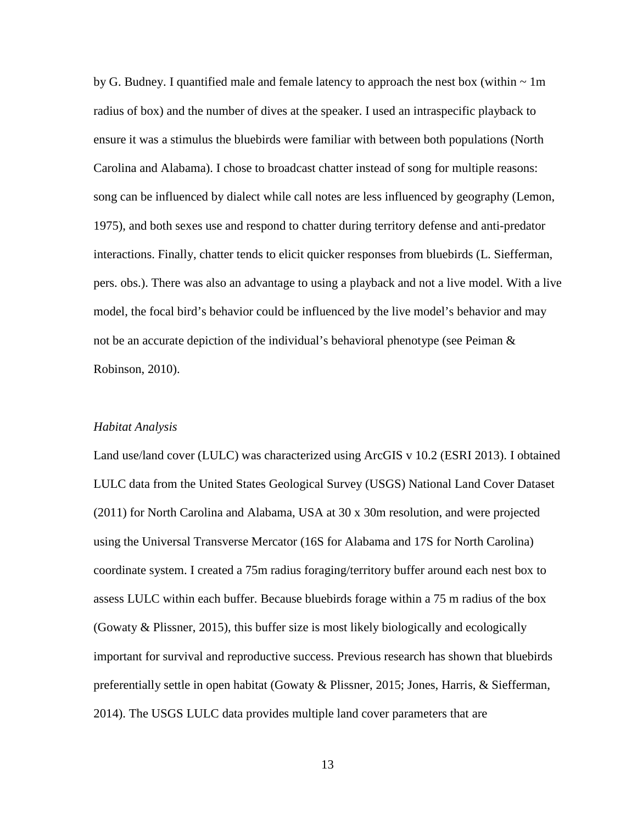by G. Budney. I quantified male and female latency to approach the nest box (within  $\sim 1$ m) radius of box) and the number of dives at the speaker. I used an intraspecific playback to ensure it was a stimulus the bluebirds were familiar with between both populations (North Carolina and Alabama). I chose to broadcast chatter instead of song for multiple reasons: song can be influenced by dialect while call notes are less influenced by geography (Lemon, 1975), and both sexes use and respond to chatter during territory defense and anti-predator interactions. Finally, chatter tends to elicit quicker responses from bluebirds (L. Siefferman, pers. obs.). There was also an advantage to using a playback and not a live model. With a live model, the focal bird's behavior could be influenced by the live model's behavior and may not be an accurate depiction of the individual's behavioral phenotype (see Peiman  $\&$ Robinson, 2010).

#### *Habitat Analysis*

Land use/land cover (LULC) was characterized using ArcGIS v 10.2 (ESRI 2013). I obtained LULC data from the United States Geological Survey (USGS) National Land Cover Dataset (2011) for North Carolina and Alabama, USA at 30 x 30m resolution, and were projected using the Universal Transverse Mercator (16S for Alabama and 17S for North Carolina) coordinate system. I created a 75m radius foraging/territory buffer around each nest box to assess LULC within each buffer. Because bluebirds forage within a 75 m radius of the box (Gowaty & Plissner, 2015), this buffer size is most likely biologically and ecologically important for survival and reproductive success. Previous research has shown that bluebirds preferentially settle in open habitat (Gowaty & Plissner, 2015; Jones, Harris, & Siefferman, 2014). The USGS LULC data provides multiple land cover parameters that are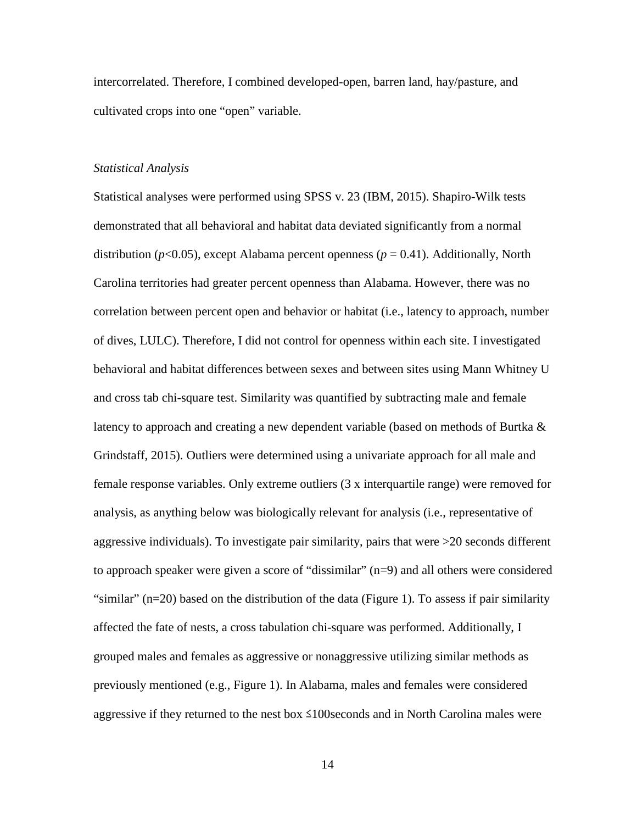intercorrelated. Therefore, I combined developed-open, barren land, hay/pasture, and cultivated crops into one "open" variable.

# *Statistical Analysis*

Statistical analyses were performed using SPSS v. 23 (IBM, 2015). Shapiro-Wilk tests demonstrated that all behavioral and habitat data deviated significantly from a normal distribution ( $p$ <0.05), except Alabama percent openness ( $p = 0.41$ ). Additionally, North Carolina territories had greater percent openness than Alabama. However, there was no correlation between percent open and behavior or habitat (i.e., latency to approach, number of dives, LULC). Therefore, I did not control for openness within each site. I investigated behavioral and habitat differences between sexes and between sites using Mann Whitney U and cross tab chi-square test. Similarity was quantified by subtracting male and female latency to approach and creating a new dependent variable (based on methods of Burtka & Grindstaff, 2015). Outliers were determined using a univariate approach for all male and female response variables. Only extreme outliers (3 x interquartile range) were removed for analysis, as anything below was biologically relevant for analysis (i.e., representative of aggressive individuals). To investigate pair similarity, pairs that were >20 seconds different to approach speaker were given a score of "dissimilar" (n=9) and all others were considered "similar"  $(n=20)$  based on the distribution of the data (Figure 1). To assess if pair similarity affected the fate of nests, a cross tabulation chi-square was performed. Additionally, I grouped males and females as aggressive or nonaggressive utilizing similar methods as previously mentioned (e.g., Figure 1). In Alabama, males and females were considered aggressive if they returned to the nest box  $\leq 100$  seconds and in North Carolina males were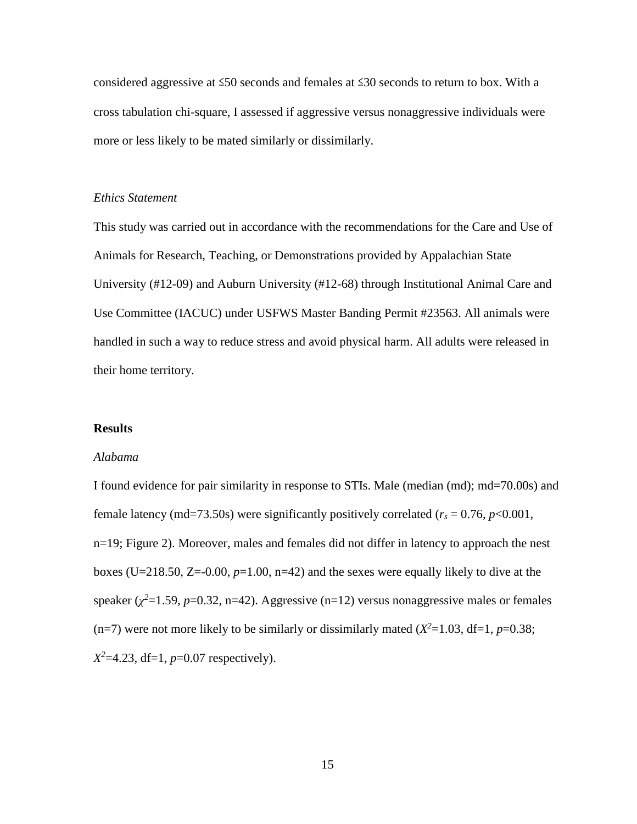considered aggressive at ≤50 seconds and females at ≤30 seconds to return to box. With a cross tabulation chi-square, I assessed if aggressive versus nonaggressive individuals were more or less likely to be mated similarly or dissimilarly.

# *Ethics Statement*

This study was carried out in accordance with the recommendations for the Care and Use of Animals for Research, Teaching, or Demonstrations provided by Appalachian State University (#12-09) and Auburn University (#12-68) through Institutional Animal Care and Use Committee (IACUC) under USFWS Master Banding Permit #23563. All animals were handled in such a way to reduce stress and avoid physical harm. All adults were released in their home territory.

#### **Results**

#### *Alabama*

I found evidence for pair similarity in response to STIs. Male (median (md); md=70.00s) and female latency (md=73.50s) were significantly positively correlated ( $r_s = 0.76$ ,  $p < 0.001$ , n=19; Figure 2). Moreover, males and females did not differ in latency to approach the nest boxes (U=218.50, Z=-0.00, *p*=1.00, n=42) and the sexes were equally likely to dive at the speaker  $(\chi^2=1.59, p=0.32, n=42)$ . Aggressive  $(n=12)$  versus nonaggressive males or females (n=7) were not more likely to be similarly or dissimilarly mated  $(X^2=1.03, df=1, p=0.38;$ *X2* =4.23, df=1, *p*=0.07 respectively).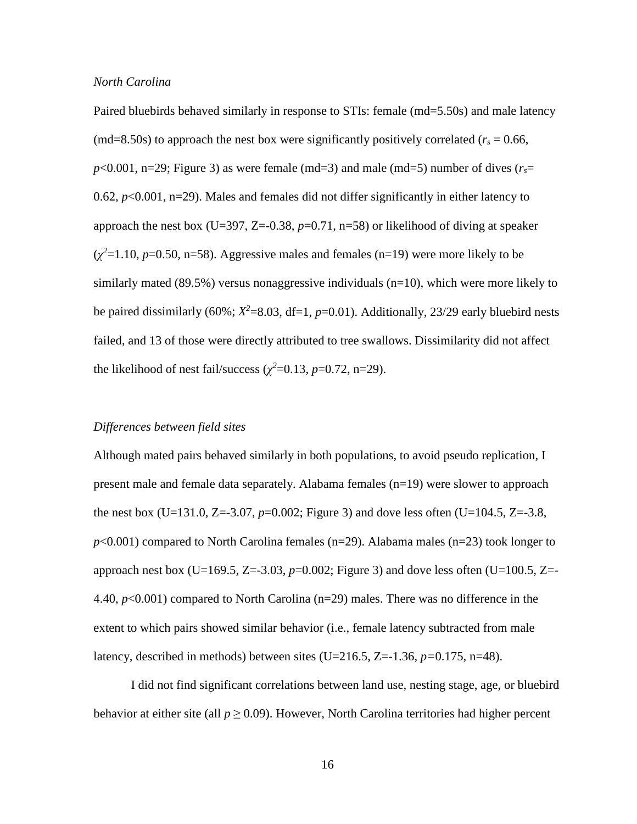## *North Carolina*

Paired bluebirds behaved similarly in response to STIs: female (md=5.50s) and male latency (md=8.50s) to approach the nest box were significantly positively correlated ( $r_s = 0.66$ ,  $p$ <0.001, n=29; Figure 3) as were female (md=3) and male (md=5) number of dives ( $r_s$ = 0.62,  $p<0.001$ ,  $n=29$ ). Males and females did not differ significantly in either latency to approach the nest box (U=397, Z= $-0.38$ ,  $p=0.71$ , n=58) or likelihood of diving at speaker  $(\chi^2=1.10, p=0.50, n=58)$ . Aggressive males and females (n=19) were more likely to be similarly mated  $(89.5\%)$  versus nonaggressive individuals  $(n=10)$ , which were more likely to be paired dissimilarly (60%;  $X^2$ =8.03, df=1,  $p$ =0.01). Additionally, 23/29 early bluebird nests failed, and 13 of those were directly attributed to tree swallows. Dissimilarity did not affect the likelihood of nest fail/success  $(\chi^2 = 0.13, p = 0.72, n = 29)$ .

# *Differences between field sites*

Although mated pairs behaved similarly in both populations, to avoid pseudo replication, I present male and female data separately. Alabama females (n=19) were slower to approach the nest box (U=131.0, Z=-3.07,  $p=0.002$ ; Figure 3) and dove less often (U=104.5, Z=-3.8, *p*<0.001) compared to North Carolina females (n=29). Alabama males (n=23) took longer to approach nest box (U=169.5, Z=-3.03,  $p=0.002$ ; Figure 3) and dove less often (U=100.5, Z=-4.40, *p*<0.001) compared to North Carolina (n=29) males. There was no difference in the extent to which pairs showed similar behavior (i.e., female latency subtracted from male latency, described in methods) between sites (U=216.5, Z=-1.36, *p=*0.175, n=48).

I did not find significant correlations between land use, nesting stage, age, or bluebird behavior at either site (all  $p \ge 0.09$ ). However, North Carolina territories had higher percent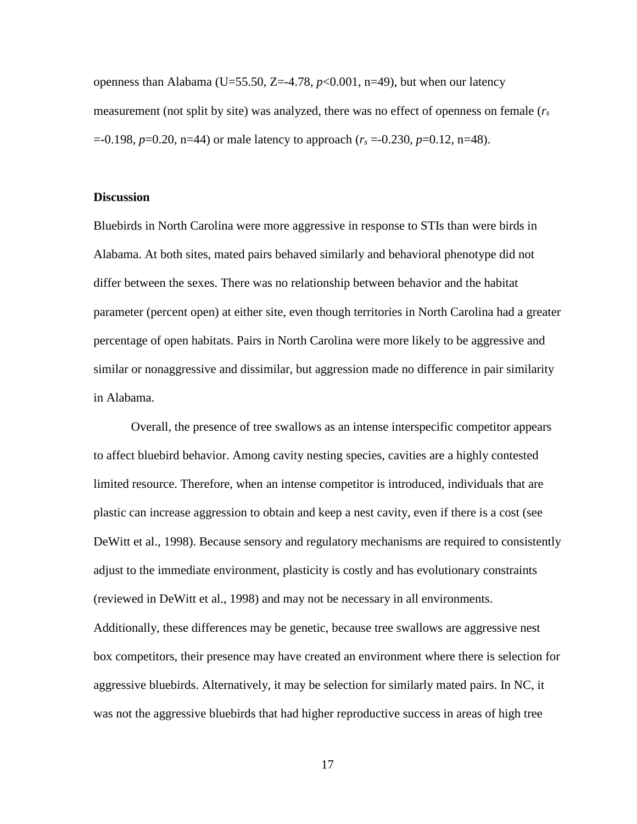openness than Alabama (U=55.50, Z=-4.78,  $p<0.001$ , n=49), but when our latency measurement (not split by site) was analyzed, there was no effect of openness on female (*rs* =-0.198, *p*=0.20, n=44) or male latency to approach (*rs* =-0.230, *p*=0.12, n=48).

## **Discussion**

Bluebirds in North Carolina were more aggressive in response to STIs than were birds in Alabama. At both sites, mated pairs behaved similarly and behavioral phenotype did not differ between the sexes. There was no relationship between behavior and the habitat parameter (percent open) at either site, even though territories in North Carolina had a greater percentage of open habitats. Pairs in North Carolina were more likely to be aggressive and similar or nonaggressive and dissimilar, but aggression made no difference in pair similarity in Alabama.

Overall, the presence of tree swallows as an intense interspecific competitor appears to affect bluebird behavior. Among cavity nesting species, cavities are a highly contested limited resource. Therefore, when an intense competitor is introduced, individuals that are plastic can increase aggression to obtain and keep a nest cavity, even if there is a cost (see DeWitt et al., 1998). Because sensory and regulatory mechanisms are required to consistently adjust to the immediate environment, plasticity is costly and has evolutionary constraints (reviewed in DeWitt et al., 1998) and may not be necessary in all environments. Additionally, these differences may be genetic, because tree swallows are aggressive nest box competitors, their presence may have created an environment where there is selection for aggressive bluebirds. Alternatively, it may be selection for similarly mated pairs. In NC, it was not the aggressive bluebirds that had higher reproductive success in areas of high tree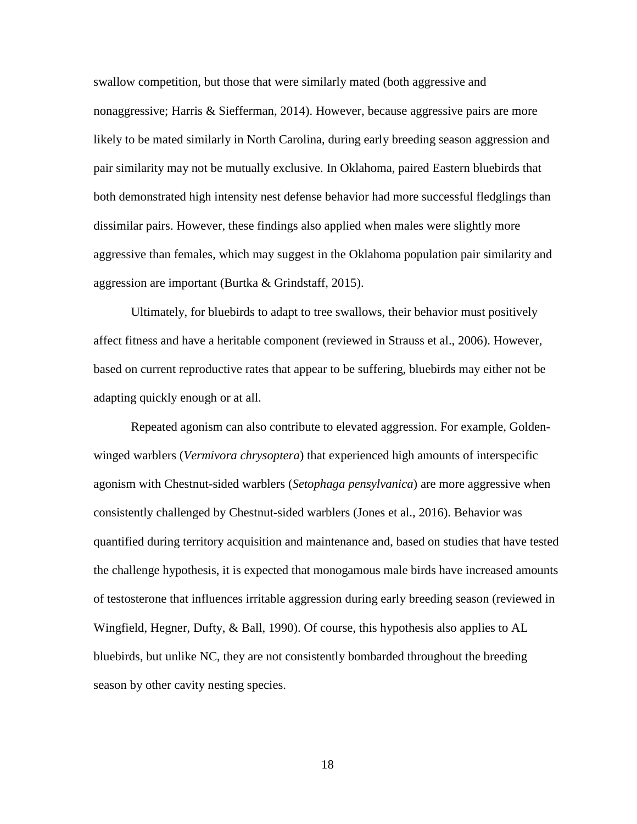swallow competition, but those that were similarly mated (both aggressive and nonaggressive; Harris & Siefferman, 2014). However, because aggressive pairs are more likely to be mated similarly in North Carolina, during early breeding season aggression and pair similarity may not be mutually exclusive. In Oklahoma, paired Eastern bluebirds that both demonstrated high intensity nest defense behavior had more successful fledglings than dissimilar pairs. However, these findings also applied when males were slightly more aggressive than females, which may suggest in the Oklahoma population pair similarity and aggression are important (Burtka & Grindstaff, 2015).

Ultimately, for bluebirds to adapt to tree swallows, their behavior must positively affect fitness and have a heritable component (reviewed in Strauss et al., 2006). However, based on current reproductive rates that appear to be suffering, bluebirds may either not be adapting quickly enough or at all.

Repeated agonism can also contribute to elevated aggression. For example, Goldenwinged warblers (*Vermivora chrysoptera*) that experienced high amounts of interspecific agonism with Chestnut-sided warblers (*Setophaga pensylvanica*) are more aggressive when consistently challenged by Chestnut-sided warblers (Jones et al., 2016). Behavior was quantified during territory acquisition and maintenance and, based on studies that have tested the challenge hypothesis, it is expected that monogamous male birds have increased amounts of testosterone that influences irritable aggression during early breeding season (reviewed in Wingfield, Hegner, Dufty, & Ball, 1990). Of course, this hypothesis also applies to AL bluebirds, but unlike NC, they are not consistently bombarded throughout the breeding season by other cavity nesting species.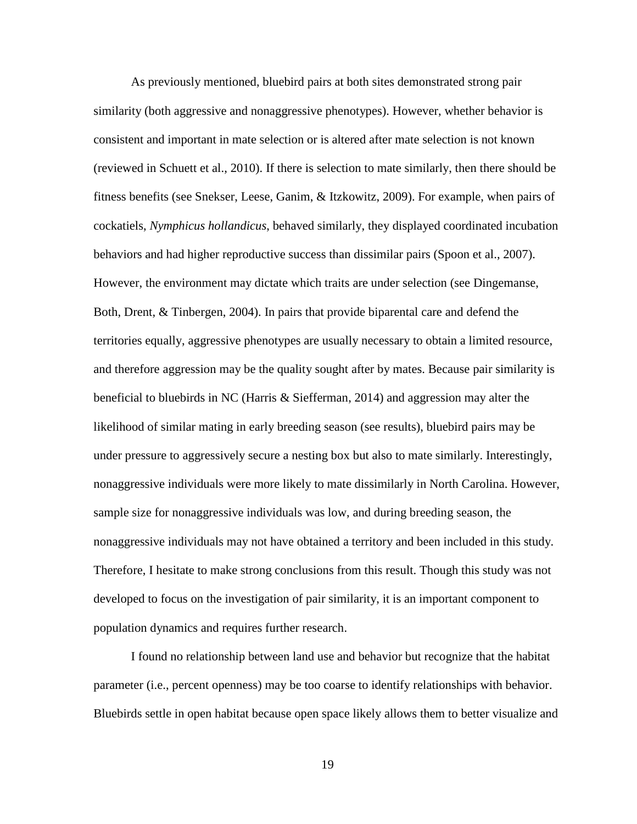As previously mentioned, bluebird pairs at both sites demonstrated strong pair similarity (both aggressive and nonaggressive phenotypes). However, whether behavior is consistent and important in mate selection or is altered after mate selection is not known (reviewed in Schuett et al., 2010). If there is selection to mate similarly, then there should be fitness benefits (see Snekser, Leese, Ganim, & Itzkowitz, 2009). For example, when pairs of cockatiels, *Nymphicus hollandicus*, behaved similarly, they displayed coordinated incubation behaviors and had higher reproductive success than dissimilar pairs (Spoon et al., 2007). However, the environment may dictate which traits are under selection (see Dingemanse, Both, Drent, & Tinbergen, 2004). In pairs that provide biparental care and defend the territories equally, aggressive phenotypes are usually necessary to obtain a limited resource, and therefore aggression may be the quality sought after by mates. Because pair similarity is beneficial to bluebirds in NC (Harris & Siefferman, 2014) and aggression may alter the likelihood of similar mating in early breeding season (see results), bluebird pairs may be under pressure to aggressively secure a nesting box but also to mate similarly. Interestingly, nonaggressive individuals were more likely to mate dissimilarly in North Carolina. However, sample size for nonaggressive individuals was low, and during breeding season, the nonaggressive individuals may not have obtained a territory and been included in this study. Therefore, I hesitate to make strong conclusions from this result. Though this study was not developed to focus on the investigation of pair similarity, it is an important component to population dynamics and requires further research.

I found no relationship between land use and behavior but recognize that the habitat parameter (i.e., percent openness) may be too coarse to identify relationships with behavior. Bluebirds settle in open habitat because open space likely allows them to better visualize and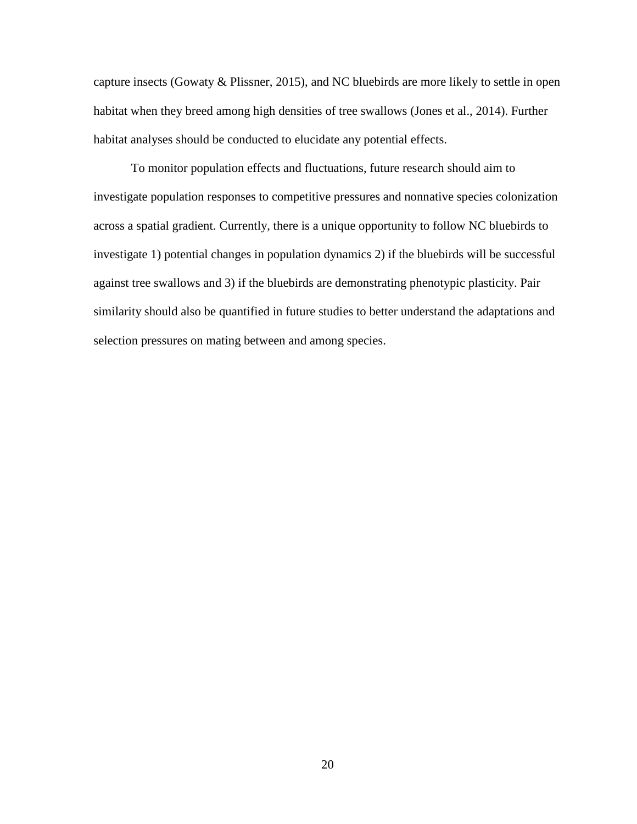capture insects (Gowaty & Plissner, 2015), and NC bluebirds are more likely to settle in open habitat when they breed among high densities of tree swallows (Jones et al., 2014). Further habitat analyses should be conducted to elucidate any potential effects.

To monitor population effects and fluctuations, future research should aim to investigate population responses to competitive pressures and nonnative species colonization across a spatial gradient. Currently, there is a unique opportunity to follow NC bluebirds to investigate 1) potential changes in population dynamics 2) if the bluebirds will be successful against tree swallows and 3) if the bluebirds are demonstrating phenotypic plasticity. Pair similarity should also be quantified in future studies to better understand the adaptations and selection pressures on mating between and among species.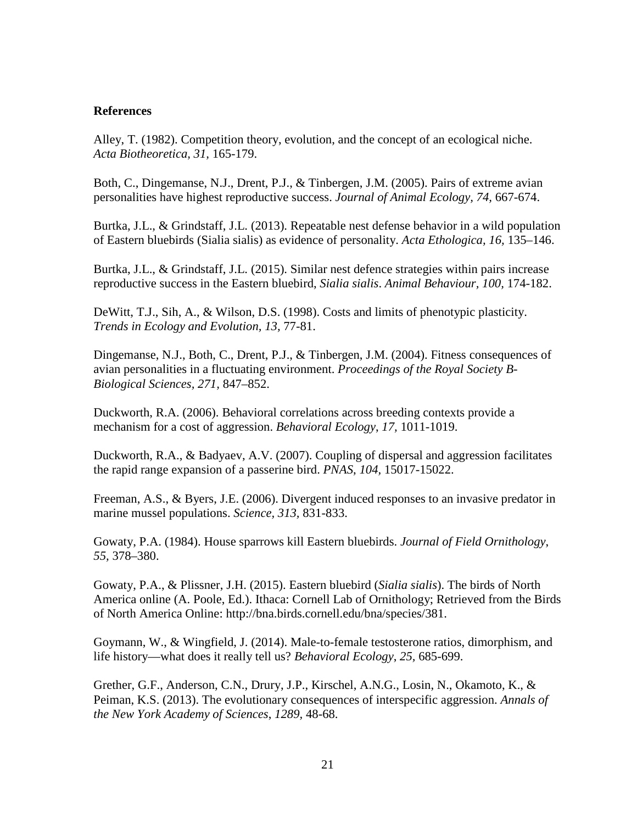# **References**

Alley, T. (1982). Competition theory, evolution, and the concept of an ecological niche. *Acta Biotheoretica, 31,* 165-179.

Both, C., Dingemanse, N.J., Drent, P.J., & Tinbergen, J.M. (2005). Pairs of extreme avian personalities have highest reproductive success. *Journal of Animal Ecology, 74,* 667-674.

Burtka, J.L., & Grindstaff, J.L. (2013). Repeatable nest defense behavior in a wild population of Eastern bluebirds (Sialia sialis) as evidence of personality. *Acta Ethologica, 16,* 135–146.

Burtka, J.L., & Grindstaff, J.L. (2015). Similar nest defence strategies within pairs increase reproductive success in the Eastern bluebird, *Sialia sialis*. *Animal Behaviour, 100,* 174-182.

DeWitt, T.J., Sih, A., & Wilson, D.S. (1998). Costs and limits of phenotypic plasticity. *Trends in Ecology and Evolution, 13,* 77-81.

Dingemanse, N.J., Both, C., Drent, P.J., & Tinbergen, J.M. (2004). Fitness consequences of avian personalities in a fluctuating environment. *Proceedings of the Royal Society B-Biological Sciences, 271,* 847–852.

Duckworth, R.A. (2006). Behavioral correlations across breeding contexts provide a mechanism for a cost of aggression. *Behavioral Ecology*, *17,* 1011-1019.

Duckworth, R.A., & Badyaev, A.V. (2007). Coupling of dispersal and aggression facilitates the rapid range expansion of a passerine bird. *PNAS*, *104,* 15017-15022.

Freeman, A.S., & Byers, J.E. (2006). Divergent induced responses to an invasive predator in marine mussel populations. *Science, 313,* 831-833.

Gowaty, P.A. (1984). House sparrows kill Eastern bluebirds. *Journal of Field Ornithology*, *55,* 378–380.

Gowaty, P.A., & Plissner, J.H. (2015). Eastern bluebird (*Sialia sialis*). The birds of North America online (A. Poole, Ed.). Ithaca: Cornell Lab of Ornithology; Retrieved from the Birds of North America Online: http://bna.birds.cornell.edu/bna/species/381.

Goymann, W., & Wingfield, J. (2014). Male-to-female testosterone ratios, dimorphism, and life history—what does it really tell us? *Behavioral Ecology*, *25,* 685-699.

Grether, G.F., Anderson, C.N., Drury, J.P., Kirschel, A.N.G., Losin, N., Okamoto, K., & Peiman, K.S. (2013). The evolutionary consequences of interspecific aggression. *Annals of the New York Academy of Sciences*, *1289,* 48-68.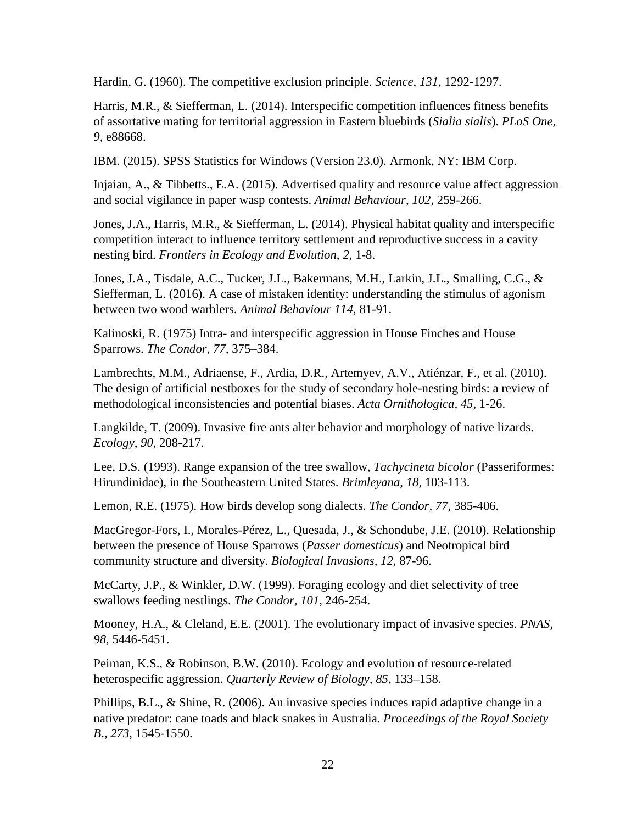Hardin, G. (1960). The competitive exclusion principle. *Science*, *131,* 1292-1297.

Harris, M.R., & Siefferman, L. (2014). Interspecific competition influences fitness benefits of assortative mating for territorial aggression in Eastern bluebirds (*Sialia sialis*). *PLoS One, 9,* e88668.

IBM. (2015). SPSS Statistics for Windows (Version 23.0). Armonk, NY: IBM Corp.

Injaian, A., & Tibbetts., E.A. (2015). Advertised quality and resource value affect aggression and social vigilance in paper wasp contests. *Animal Behaviour*, *102,* 259-266.

Jones, J.A., Harris, M.R., & Siefferman, L. (2014). Physical habitat quality and interspecific competition interact to influence territory settlement and reproductive success in a cavity nesting bird. *Frontiers in Ecology and Evolution*, *2,* 1-8.

Jones, J.A., Tisdale, A.C., Tucker, J.L., Bakermans, M.H., Larkin, J.L., Smalling, C.G., & Siefferman, L. (2016). A case of mistaken identity: understanding the stimulus of agonism between two wood warblers. *Animal Behaviour 114,* 81-91.

Kalinoski, R. (1975) Intra- and interspecific aggression in House Finches and House Sparrows. *The Condor*, *77,* 375–384.

Lambrechts, M.M., Adriaense, F., Ardia, D.R., Artemyev, A.V., Atiénzar, F., et al. (2010). The design of artificial nestboxes for the study of secondary hole-nesting birds: a review of methodological inconsistencies and potential biases. *Acta Ornithologica, 45,* 1-26.

Langkilde, T. (2009). Invasive fire ants alter behavior and morphology of native lizards. *Ecology*, *90,* 208-217.

Lee, D.S. (1993). Range expansion of the tree swallow, *Tachycineta bicolor* (Passeriformes: Hirundinidae), in the Southeastern United States. *Brimleyana, 18,* 103-113.

Lemon, R.E. (1975). How birds develop song dialects. *The Condor, 77,* 385-406.

MacGregor-Fors, I., Morales-Pérez, L., Quesada, J., & Schondube, J.E. (2010). Relationship between the presence of House Sparrows (*Passer domesticus*) and Neotropical bird community structure and diversity. *Biological Invasions, 12,* 87-96.

McCarty, J.P., & Winkler, D.W. (1999). Foraging ecology and diet selectivity of tree swallows feeding nestlings. *The Condor, 101,* 246-254.

Mooney, H.A., & Cleland, E.E. (2001). The evolutionary impact of invasive species. *PNAS, 98,* 5446-5451.

Peiman, K.S., & Robinson, B.W. (2010). Ecology and evolution of resource-related heterospecific aggression. *Quarterly Review of Biology, 85*, 133–158.

Phillips, B.L., & Shine, R. (2006). An invasive species induces rapid adaptive change in a native predator: cane toads and black snakes in Australia. *Proceedings of the Royal Society B*., *273*, 1545-1550.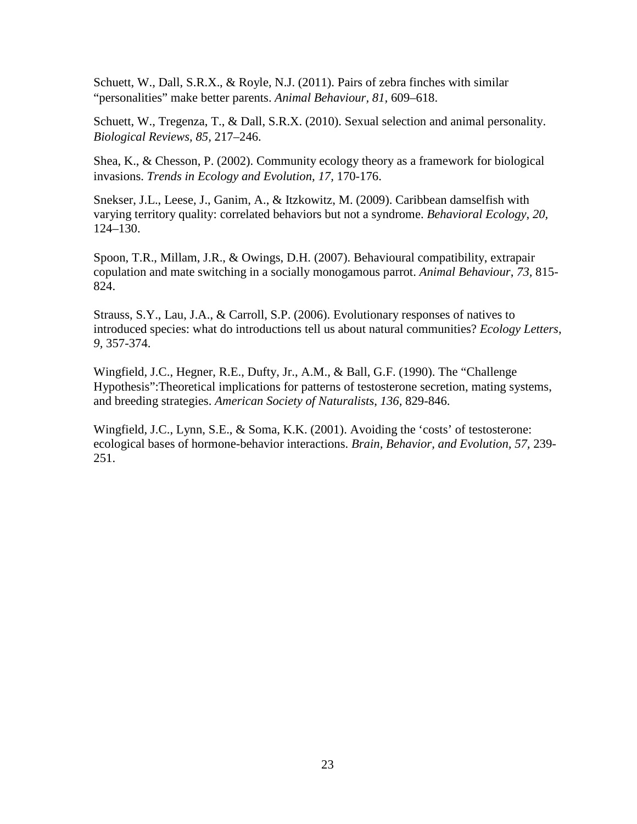Schuett, W., Dall, S.R.X., & Royle, N.J. (2011). Pairs of zebra finches with similar "personalities" make better parents. *Animal Behaviour, 81,* 609–618.

Schuett, W., Tregenza, T., & Dall, S.R.X. (2010). Sexual selection and animal personality. *Biological Reviews, 85,* 217–246.

Shea, K., & Chesson, P. (2002). Community ecology theory as a framework for biological invasions. *Trends in Ecology and Evolution, 17,* 170-176.

Snekser, J.L., Leese, J., Ganim, A., & Itzkowitz, M. (2009). Caribbean damselfish with varying territory quality: correlated behaviors but not a syndrome. *Behavioral Ecology*, *20,*  124–130.

Spoon, T.R., Millam, J.R., & Owings, D.H. (2007). Behavioural compatibility, extrapair copulation and mate switching in a socially monogamous parrot. *Animal Behaviour*, *73,* 815- 824.

Strauss, S.Y., Lau, J.A., & Carroll, S.P. (2006). Evolutionary responses of natives to introduced species: what do introductions tell us about natural communities? *Ecology Letters*, *9,* 357-374.

Wingfield, J.C., Hegner, R.E., Dufty, Jr., A.M., & Ball, G.F. (1990). The "Challenge Hypothesis":Theoretical implications for patterns of testosterone secretion, mating systems, and breeding strategies. *American Society of Naturalists*, *136,* 829-846.

Wingfield, J.C., Lynn, S.E., & Soma, K.K. (2001). Avoiding the 'costs' of testosterone: ecological bases of hormone-behavior interactions. *Brain, Behavior, and Evolution, 57,* 239- 251.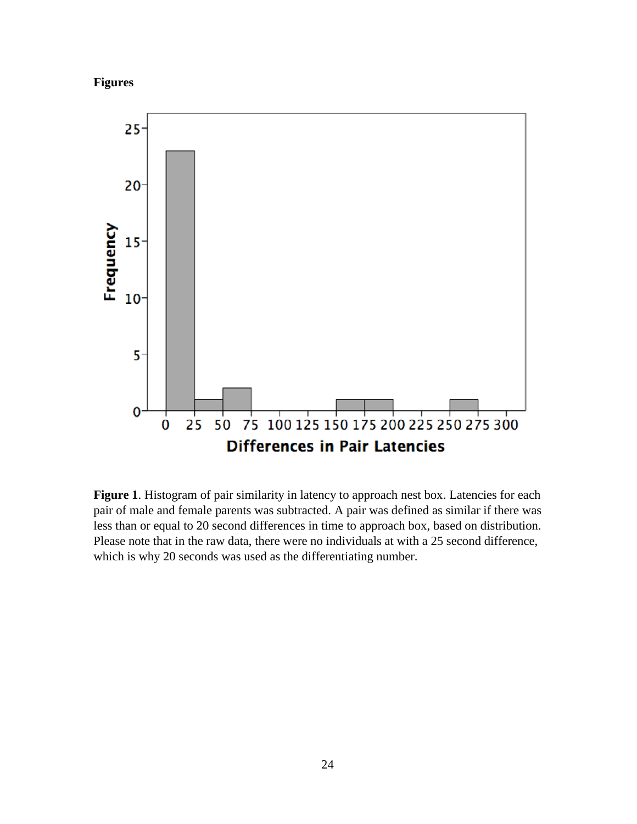



Figure 1. Histogram of pair similarity in latency to approach nest box. Latencies for each pair of male and female parents was subtracted. A pair was defined as similar if there was less than or equal to 20 second differences in time to approach box, based on distribution. Please note that in the raw data, there were no individuals at with a 25 second difference, which is why 20 seconds was used as the differentiating number.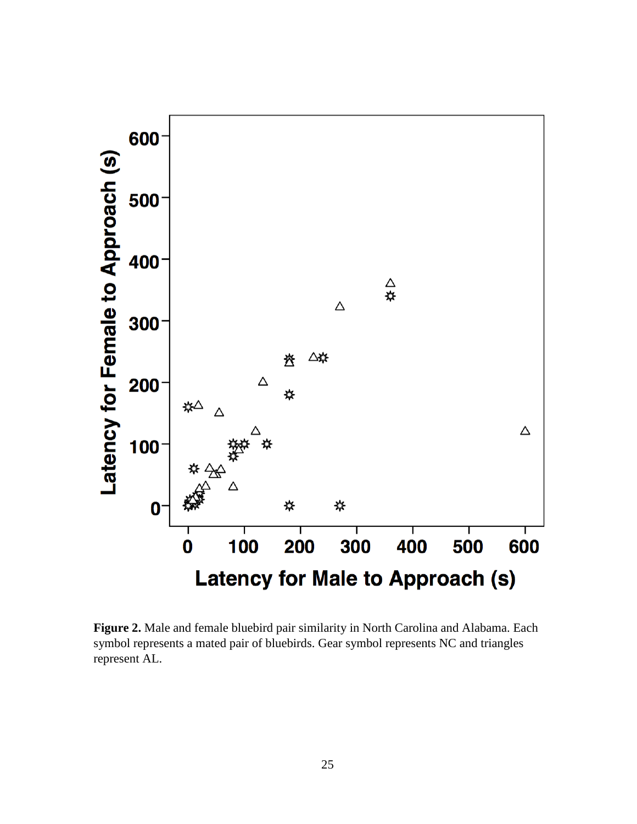

**Figure 2.** Male and female bluebird pair similarity in North Carolina and Alabama. Each symbol represents a mated pair of bluebirds. Gear symbol represents NC and triangles represent AL.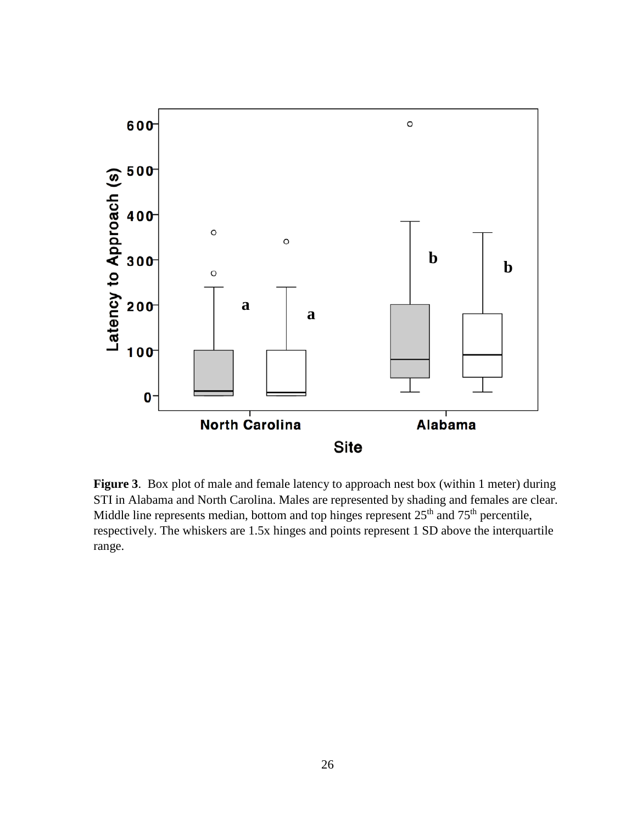

**Figure 3**. Box plot of male and female latency to approach nest box (within 1 meter) during STI in Alabama and North Carolina. Males are represented by shading and females are clear. Middle line represents median, bottom and top hinges represent  $25<sup>th</sup>$  and  $75<sup>th</sup>$  percentile, respectively. The whiskers are 1.5x hinges and points represent 1 SD above the interquartile range.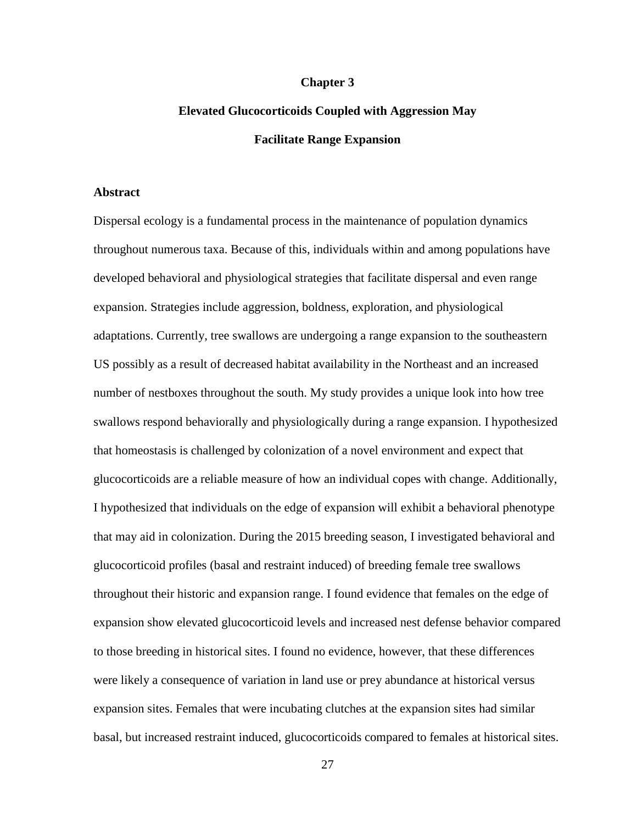#### **Chapter 3**

# **Elevated Glucocorticoids Coupled with Aggression May Facilitate Range Expansion**

## **Abstract**

Dispersal ecology is a fundamental process in the maintenance of population dynamics throughout numerous taxa. Because of this, individuals within and among populations have developed behavioral and physiological strategies that facilitate dispersal and even range expansion. Strategies include aggression, boldness, exploration, and physiological adaptations. Currently, tree swallows are undergoing a range expansion to the southeastern US possibly as a result of decreased habitat availability in the Northeast and an increased number of nestboxes throughout the south. My study provides a unique look into how tree swallows respond behaviorally and physiologically during a range expansion. I hypothesized that homeostasis is challenged by colonization of a novel environment and expect that glucocorticoids are a reliable measure of how an individual copes with change. Additionally, I hypothesized that individuals on the edge of expansion will exhibit a behavioral phenotype that may aid in colonization. During the 2015 breeding season, I investigated behavioral and glucocorticoid profiles (basal and restraint induced) of breeding female tree swallows throughout their historic and expansion range. I found evidence that females on the edge of expansion show elevated glucocorticoid levels and increased nest defense behavior compared to those breeding in historical sites. I found no evidence, however, that these differences were likely a consequence of variation in land use or prey abundance at historical versus expansion sites. Females that were incubating clutches at the expansion sites had similar basal, but increased restraint induced, glucocorticoids compared to females at historical sites.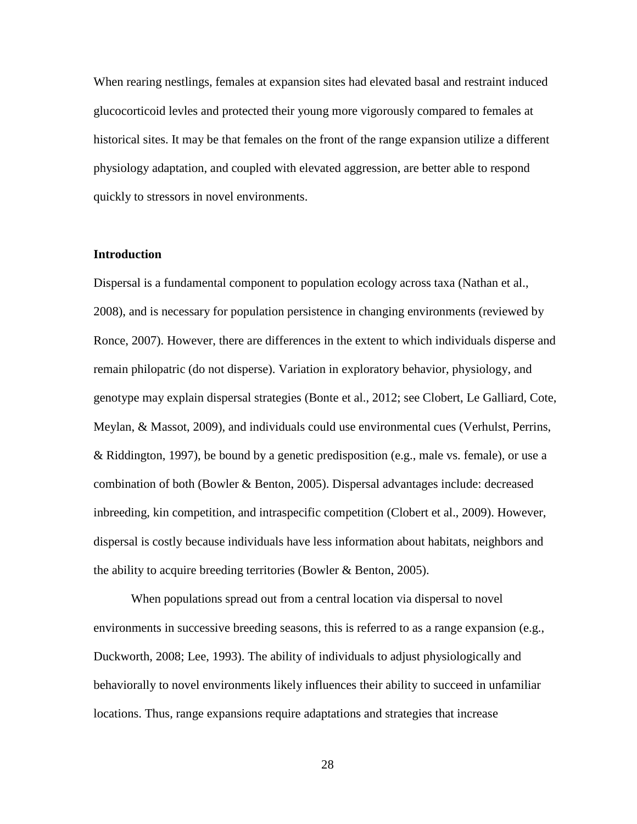When rearing nestlings, females at expansion sites had elevated basal and restraint induced glucocorticoid levles and protected their young more vigorously compared to females at historical sites. It may be that females on the front of the range expansion utilize a different physiology adaptation, and coupled with elevated aggression, are better able to respond quickly to stressors in novel environments.

## **Introduction**

Dispersal is a fundamental component to population ecology across taxa (Nathan et al., 2008), and is necessary for population persistence in changing environments (reviewed by Ronce, 2007). However, there are differences in the extent to which individuals disperse and remain philopatric (do not disperse). Variation in exploratory behavior, physiology, and genotype may explain dispersal strategies (Bonte et al., 2012; see Clobert, Le Galliard, Cote, Meylan, & Massot, 2009), and individuals could use environmental cues (Verhulst, Perrins, & Riddington, 1997), be bound by a genetic predisposition (e.g., male vs. female), or use a combination of both (Bowler & Benton, 2005). Dispersal advantages include: decreased inbreeding, kin competition, and intraspecific competition (Clobert et al., 2009). However, dispersal is costly because individuals have less information about habitats, neighbors and the ability to acquire breeding territories (Bowler & Benton, 2005).

When populations spread out from a central location via dispersal to novel environments in successive breeding seasons, this is referred to as a range expansion (e.g., Duckworth, 2008; Lee, 1993). The ability of individuals to adjust physiologically and behaviorally to novel environments likely influences their ability to succeed in unfamiliar locations. Thus, range expansions require adaptations and strategies that increase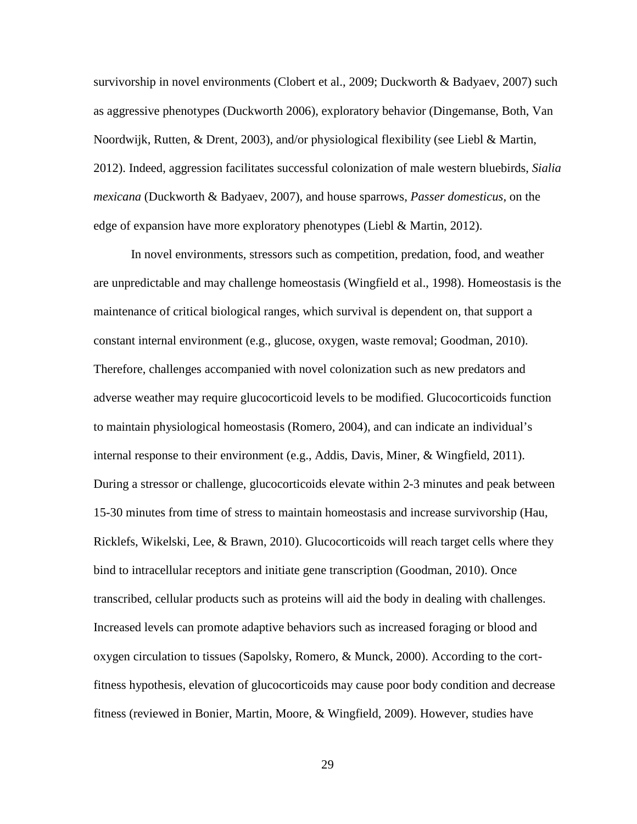survivorship in novel environments (Clobert et al., 2009; Duckworth & Badyaev, 2007) such as aggressive phenotypes (Duckworth 2006), exploratory behavior (Dingemanse, Both, Van Noordwijk, Rutten, & Drent, 2003), and/or physiological flexibility (see Liebl & Martin, 2012). Indeed, aggression facilitates successful colonization of male western bluebirds, *Sialia mexicana* (Duckworth & Badyaev, 2007), and house sparrows, *Passer domesticus*, on the edge of expansion have more exploratory phenotypes (Liebl & Martin, 2012).

In novel environments, stressors such as competition, predation, food, and weather are unpredictable and may challenge homeostasis (Wingfield et al., 1998). Homeostasis is the maintenance of critical biological ranges, which survival is dependent on, that support a constant internal environment (e.g., glucose, oxygen, waste removal; Goodman, 2010). Therefore, challenges accompanied with novel colonization such as new predators and adverse weather may require glucocorticoid levels to be modified. Glucocorticoids function to maintain physiological homeostasis (Romero, 2004), and can indicate an individual's internal response to their environment (e.g., Addis, Davis, Miner, & Wingfield, 2011). During a stressor or challenge, glucocorticoids elevate within 2-3 minutes and peak between 15-30 minutes from time of stress to maintain homeostasis and increase survivorship (Hau, Ricklefs, Wikelski, Lee, & Brawn, 2010). Glucocorticoids will reach target cells where they bind to intracellular receptors and initiate gene transcription (Goodman, 2010). Once transcribed, cellular products such as proteins will aid the body in dealing with challenges. Increased levels can promote adaptive behaviors such as increased foraging or blood and oxygen circulation to tissues (Sapolsky, Romero, & Munck, 2000). According to the cortfitness hypothesis, elevation of glucocorticoids may cause poor body condition and decrease fitness (reviewed in Bonier, Martin, Moore, & Wingfield, 2009). However, studies have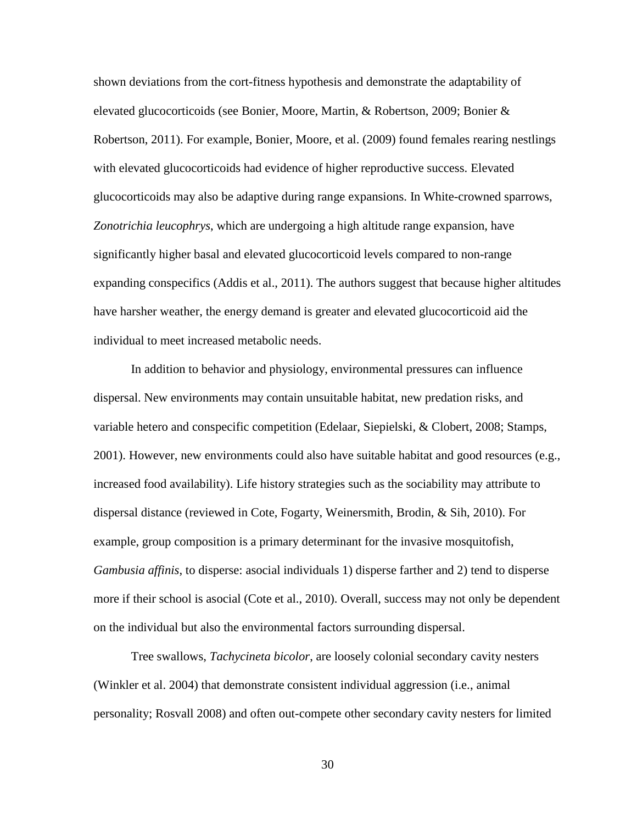shown deviations from the cort-fitness hypothesis and demonstrate the adaptability of elevated glucocorticoids (see Bonier, Moore, Martin, & Robertson, 2009; Bonier & Robertson, 2011). For example, Bonier, Moore, et al. (2009) found females rearing nestlings with elevated glucocorticoids had evidence of higher reproductive success. Elevated glucocorticoids may also be adaptive during range expansions. In White-crowned sparrows, *Zonotrichia leucophrys*, which are undergoing a high altitude range expansion, have significantly higher basal and elevated glucocorticoid levels compared to non-range expanding conspecifics (Addis et al., 2011). The authors suggest that because higher altitudes have harsher weather, the energy demand is greater and elevated glucocorticoid aid the individual to meet increased metabolic needs.

In addition to behavior and physiology, environmental pressures can influence dispersal. New environments may contain unsuitable habitat, new predation risks, and variable hetero and conspecific competition (Edelaar, Siepielski, & Clobert, 2008; Stamps, 2001). However, new environments could also have suitable habitat and good resources (e.g., increased food availability). Life history strategies such as the sociability may attribute to dispersal distance (reviewed in Cote, Fogarty, Weinersmith, Brodin, & Sih, 2010). For example, group composition is a primary determinant for the invasive mosquitofish, *Gambusia affinis*, to disperse: asocial individuals 1) disperse farther and 2) tend to disperse more if their school is asocial (Cote et al., 2010). Overall, success may not only be dependent on the individual but also the environmental factors surrounding dispersal.

Tree swallows, *Tachycineta bicolor*, are loosely colonial secondary cavity nesters (Winkler et al. 2004) that demonstrate consistent individual aggression (i.e., animal personality; Rosvall 2008) and often out-compete other secondary cavity nesters for limited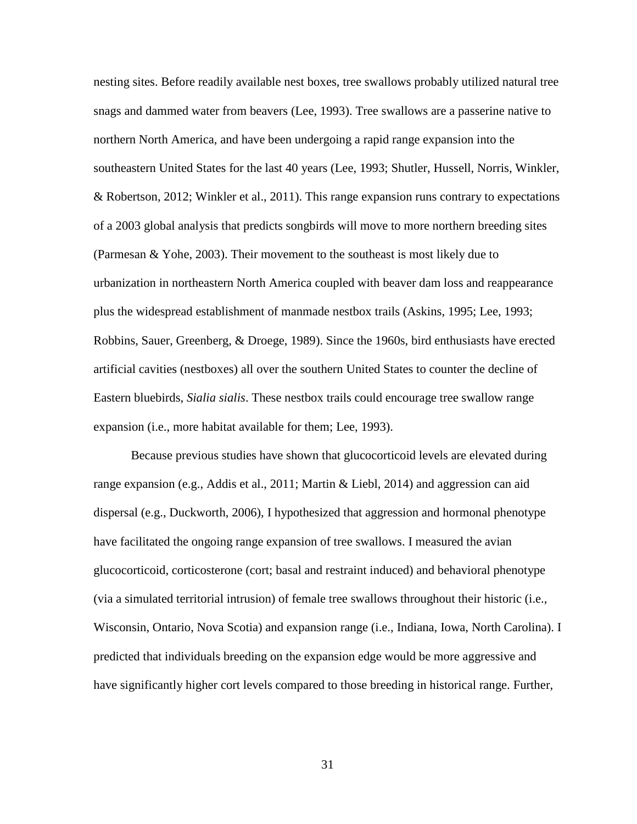nesting sites. Before readily available nest boxes, tree swallows probably utilized natural tree snags and dammed water from beavers (Lee, 1993). Tree swallows are a passerine native to northern North America, and have been undergoing a rapid range expansion into the southeastern United States for the last 40 years (Lee, 1993; Shutler, Hussell, Norris, Winkler, & Robertson, 2012; Winkler et al., 2011). This range expansion runs contrary to expectations of a 2003 global analysis that predicts songbirds will move to more northern breeding sites (Parmesan & Yohe, 2003). Their movement to the southeast is most likely due to urbanization in northeastern North America coupled with beaver dam loss and reappearance plus the widespread establishment of manmade nestbox trails (Askins, 1995; Lee, 1993; Robbins, Sauer, Greenberg, & Droege, 1989). Since the 1960s, bird enthusiasts have erected artificial cavities (nestboxes) all over the southern United States to counter the decline of Eastern bluebirds, *Sialia sialis*. These nestbox trails could encourage tree swallow range expansion (i.e., more habitat available for them; Lee, 1993).

Because previous studies have shown that glucocorticoid levels are elevated during range expansion (e.g., Addis et al., 2011; Martin & Liebl, 2014) and aggression can aid dispersal (e.g., Duckworth, 2006), I hypothesized that aggression and hormonal phenotype have facilitated the ongoing range expansion of tree swallows. I measured the avian glucocorticoid, corticosterone (cort; basal and restraint induced) and behavioral phenotype (via a simulated territorial intrusion) of female tree swallows throughout their historic (i.e., Wisconsin, Ontario, Nova Scotia) and expansion range (i.e., Indiana, Iowa, North Carolina). I predicted that individuals breeding on the expansion edge would be more aggressive and have significantly higher cort levels compared to those breeding in historical range. Further,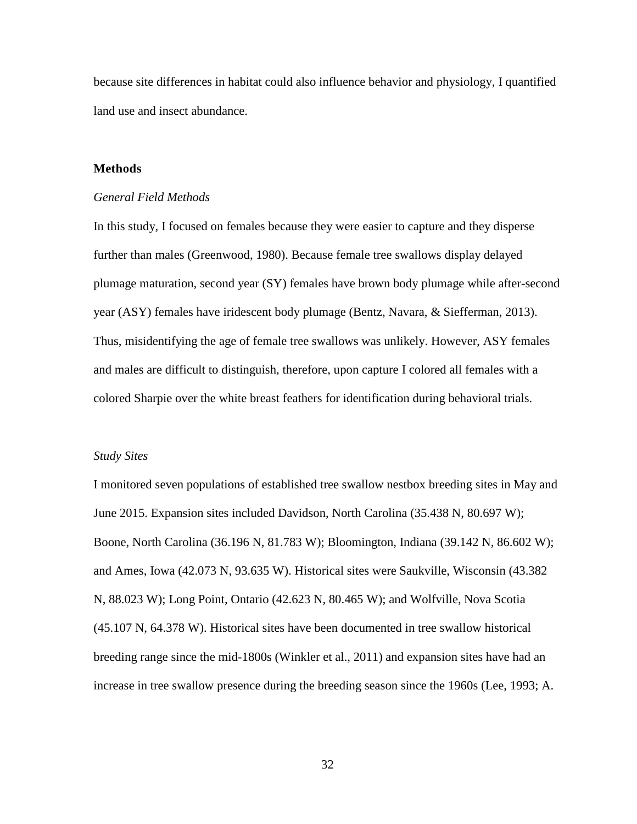because site differences in habitat could also influence behavior and physiology, I quantified land use and insect abundance.

## **Methods**

#### *General Field Methods*

In this study, I focused on females because they were easier to capture and they disperse further than males (Greenwood, 1980). Because female tree swallows display delayed plumage maturation, second year (SY) females have brown body plumage while after-second year (ASY) females have iridescent body plumage (Bentz, Navara, & Siefferman, 2013). Thus, misidentifying the age of female tree swallows was unlikely. However, ASY females and males are difficult to distinguish, therefore, upon capture I colored all females with a colored Sharpie over the white breast feathers for identification during behavioral trials.

#### *Study Sites*

I monitored seven populations of established tree swallow nestbox breeding sites in May and June 2015. Expansion sites included Davidson, North Carolina (35.438 N, 80.697 W); Boone, North Carolina (36.196 N, 81.783 W); Bloomington, Indiana (39.142 N, 86.602 W); and Ames, Iowa (42.073 N, 93.635 W). Historical sites were Saukville, Wisconsin (43.382 N, 88.023 W); Long Point, Ontario (42.623 N, 80.465 W); and Wolfville, Nova Scotia (45.107 N, 64.378 W). Historical sites have been documented in tree swallow historical breeding range since the mid-1800s (Winkler et al., 2011) and expansion sites have had an increase in tree swallow presence during the breeding season since the 1960s (Lee, 1993; A.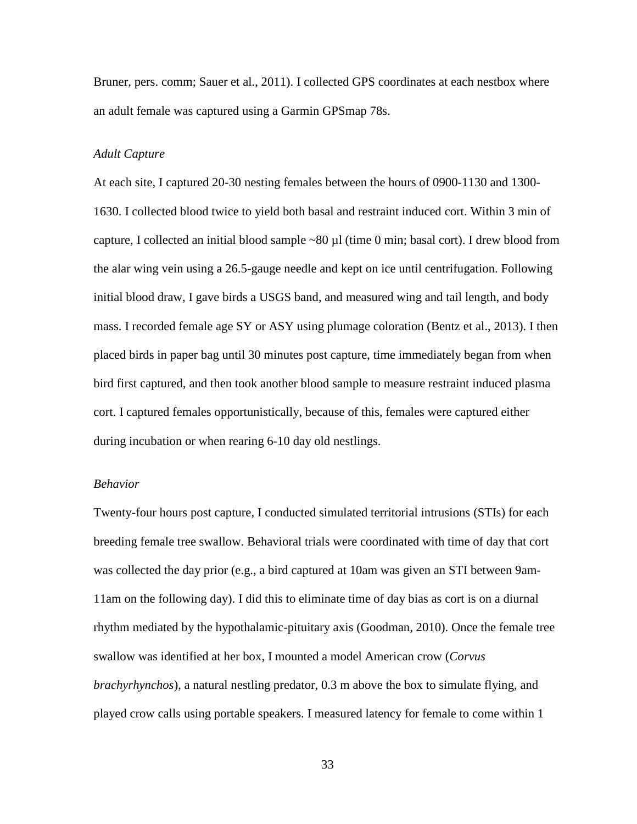Bruner, pers. comm; Sauer et al., 2011). I collected GPS coordinates at each nestbox where an adult female was captured using a Garmin GPSmap 78s.

## *Adult Capture*

At each site, I captured 20-30 nesting females between the hours of 0900-1130 and 1300- 1630. I collected blood twice to yield both basal and restraint induced cort. Within 3 min of capture, I collected an initial blood sample ~80 µl (time 0 min; basal cort). I drew blood from the alar wing vein using a 26.5-gauge needle and kept on ice until centrifugation. Following initial blood draw, I gave birds a USGS band, and measured wing and tail length, and body mass. I recorded female age SY or ASY using plumage coloration (Bentz et al., 2013). I then placed birds in paper bag until 30 minutes post capture, time immediately began from when bird first captured, and then took another blood sample to measure restraint induced plasma cort. I captured females opportunistically, because of this, females were captured either during incubation or when rearing 6-10 day old nestlings.

#### *Behavior*

Twenty-four hours post capture, I conducted simulated territorial intrusions (STIs) for each breeding female tree swallow. Behavioral trials were coordinated with time of day that cort was collected the day prior (e.g., a bird captured at 10am was given an STI between 9am-11am on the following day). I did this to eliminate time of day bias as cort is on a diurnal rhythm mediated by the hypothalamic-pituitary axis (Goodman, 2010). Once the female tree swallow was identified at her box, I mounted a model American crow (*Corvus brachyrhynchos*), a natural nestling predator, 0.3 m above the box to simulate flying, and played crow calls using portable speakers. I measured latency for female to come within 1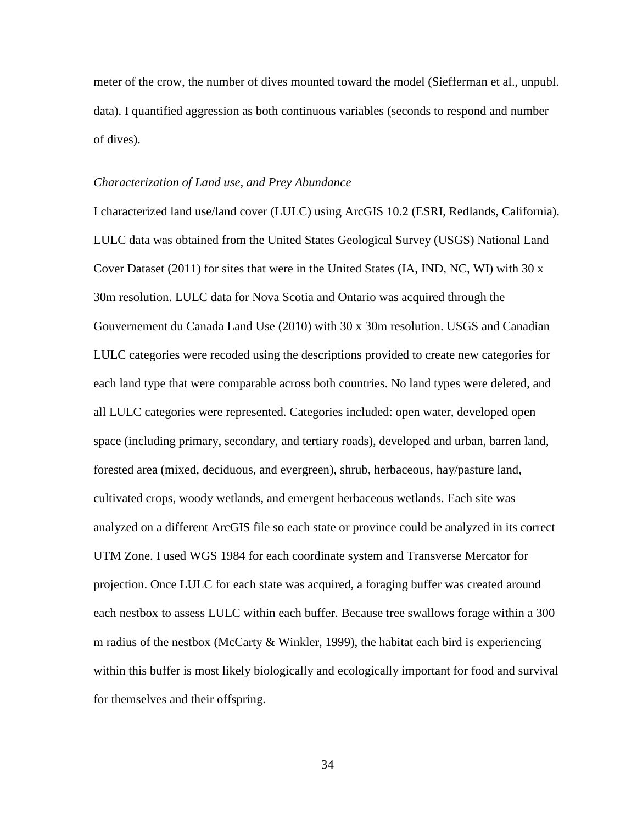meter of the crow, the number of dives mounted toward the model (Siefferman et al., unpubl. data). I quantified aggression as both continuous variables (seconds to respond and number of dives).

#### *Characterization of Land use, and Prey Abundance*

I characterized land use/land cover (LULC) using ArcGIS 10.2 (ESRI, Redlands, California). LULC data was obtained from the United States Geological Survey (USGS) National Land Cover Dataset (2011) for sites that were in the United States (IA, IND, NC, WI) with  $30 \text{ x}$ 30m resolution. LULC data for Nova Scotia and Ontario was acquired through the Gouvernement du Canada Land Use (2010) with 30 x 30m resolution. USGS and Canadian LULC categories were recoded using the descriptions provided to create new categories for each land type that were comparable across both countries. No land types were deleted, and all LULC categories were represented. Categories included: open water, developed open space (including primary, secondary, and tertiary roads), developed and urban, barren land, forested area (mixed, deciduous, and evergreen), shrub, herbaceous, hay/pasture land, cultivated crops, woody wetlands, and emergent herbaceous wetlands. Each site was analyzed on a different ArcGIS file so each state or province could be analyzed in its correct UTM Zone. I used WGS 1984 for each coordinate system and Transverse Mercator for projection. Once LULC for each state was acquired, a foraging buffer was created around each nestbox to assess LULC within each buffer. Because tree swallows forage within a 300 m radius of the nestbox (McCarty & Winkler, 1999), the habitat each bird is experiencing within this buffer is most likely biologically and ecologically important for food and survival for themselves and their offspring.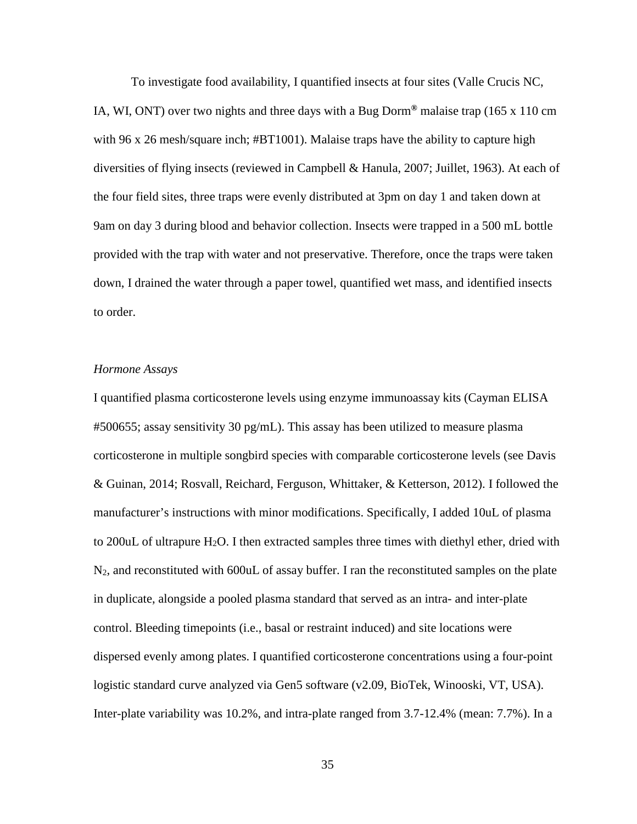To investigate food availability, I quantified insects at four sites (Valle Crucis NC, IA, WI, ONT) over two nights and three days with a Bug Dorm**®** malaise trap (165 x 110 cm with 96 x 26 mesh/square inch; #BT1001). Malaise traps have the ability to capture high diversities of flying insects (reviewed in Campbell & Hanula, 2007; Juillet, 1963). At each of the four field sites, three traps were evenly distributed at 3pm on day 1 and taken down at 9am on day 3 during blood and behavior collection. Insects were trapped in a 500 mL bottle provided with the trap with water and not preservative. Therefore, once the traps were taken down, I drained the water through a paper towel, quantified wet mass, and identified insects to order.

#### *Hormone Assays*

I quantified plasma corticosterone levels using enzyme immunoassay kits (Cayman ELISA #500655; assay sensitivity 30 pg/mL). This assay has been utilized to measure plasma corticosterone in multiple songbird species with comparable corticosterone levels (see Davis & Guinan, 2014; Rosvall, Reichard, Ferguson, Whittaker, & Ketterson, 2012). I followed the manufacturer's instructions with minor modifications. Specifically, I added 10uL of plasma to 200 uL of ultrapure  $H_2O$ . I then extracted samples three times with diethyl ether, dried with  $N_2$ , and reconstituted with 600 uL of assay buffer. I ran the reconstituted samples on the plate in duplicate, alongside a pooled plasma standard that served as an intra- and inter-plate control. Bleeding timepoints (i.e., basal or restraint induced) and site locations were dispersed evenly among plates. I quantified corticosterone concentrations using a four-point logistic standard curve analyzed via Gen5 software (v2.09, BioTek, Winooski, VT, USA). Inter-plate variability was 10.2%, and intra-plate ranged from 3.7-12.4% (mean: 7.7%). In a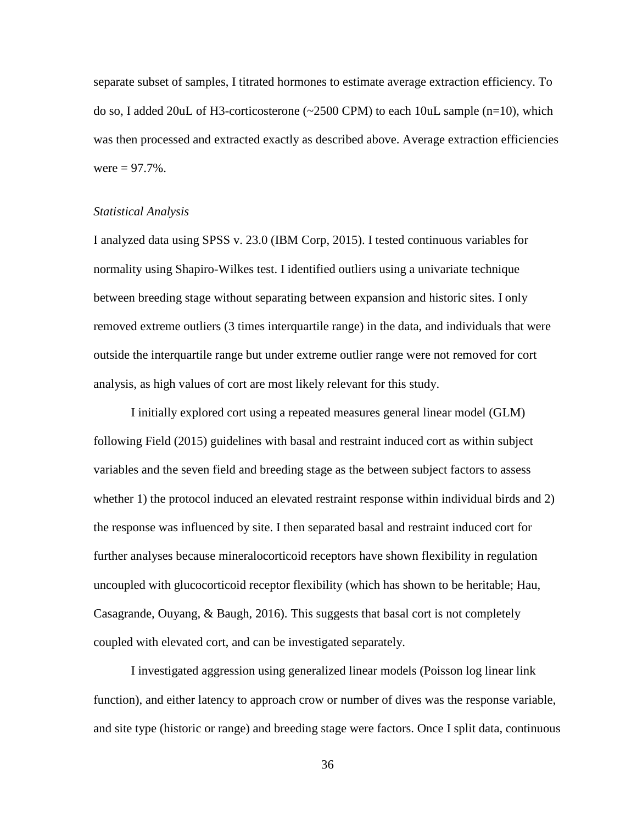separate subset of samples, I titrated hormones to estimate average extraction efficiency. To do so, I added 20uL of H3-corticosterone (~2500 CPM) to each 10uL sample (n=10), which was then processed and extracted exactly as described above. Average extraction efficiencies were  $= 97.7\%$ .

# *Statistical Analysis*

I analyzed data using SPSS v. 23.0 (IBM Corp, 2015). I tested continuous variables for normality using Shapiro-Wilkes test. I identified outliers using a univariate technique between breeding stage without separating between expansion and historic sites. I only removed extreme outliers (3 times interquartile range) in the data, and individuals that were outside the interquartile range but under extreme outlier range were not removed for cort analysis, as high values of cort are most likely relevant for this study.

I initially explored cort using a repeated measures general linear model (GLM) following Field (2015) guidelines with basal and restraint induced cort as within subject variables and the seven field and breeding stage as the between subject factors to assess whether 1) the protocol induced an elevated restraint response within individual birds and 2) the response was influenced by site. I then separated basal and restraint induced cort for further analyses because mineralocorticoid receptors have shown flexibility in regulation uncoupled with glucocorticoid receptor flexibility (which has shown to be heritable; Hau, Casagrande, Ouyang, & Baugh, 2016). This suggests that basal cort is not completely coupled with elevated cort, and can be investigated separately.

I investigated aggression using generalized linear models (Poisson log linear link function), and either latency to approach crow or number of dives was the response variable, and site type (historic or range) and breeding stage were factors. Once I split data, continuous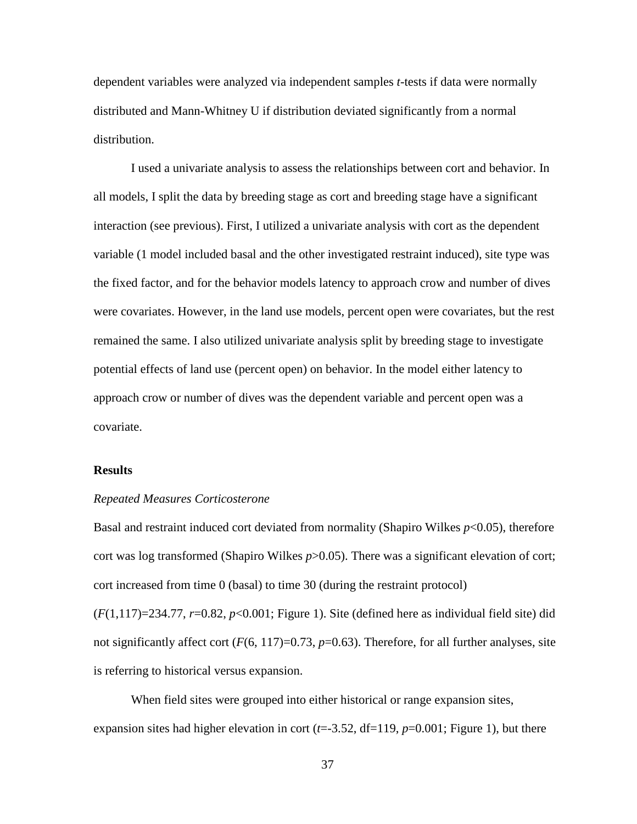dependent variables were analyzed via independent samples *t*-tests if data were normally distributed and Mann-Whitney U if distribution deviated significantly from a normal distribution.

I used a univariate analysis to assess the relationships between cort and behavior. In all models, I split the data by breeding stage as cort and breeding stage have a significant interaction (see previous). First, I utilized a univariate analysis with cort as the dependent variable (1 model included basal and the other investigated restraint induced), site type was the fixed factor, and for the behavior models latency to approach crow and number of dives were covariates. However, in the land use models, percent open were covariates, but the rest remained the same. I also utilized univariate analysis split by breeding stage to investigate potential effects of land use (percent open) on behavior. In the model either latency to approach crow or number of dives was the dependent variable and percent open was a covariate.

#### **Results**

#### *Repeated Measures Corticosterone*

Basal and restraint induced cort deviated from normality (Shapiro Wilkes  $p<0.05$ ), therefore cort was log transformed (Shapiro Wilkes  $p > 0.05$ ). There was a significant elevation of cort; cort increased from time 0 (basal) to time 30 (during the restraint protocol)

 $(F(1,117)=234.77, r=0.82, p<0.001$ ; Figure 1). Site (defined here as individual field site) did not significantly affect cort  $(F(6, 117)=0.73, p=0.63)$ . Therefore, for all further analyses, site is referring to historical versus expansion.

When field sites were grouped into either historical or range expansion sites, expansion sites had higher elevation in cort (*t*=-3.52, df=119, *p*=0.001; Figure 1), but there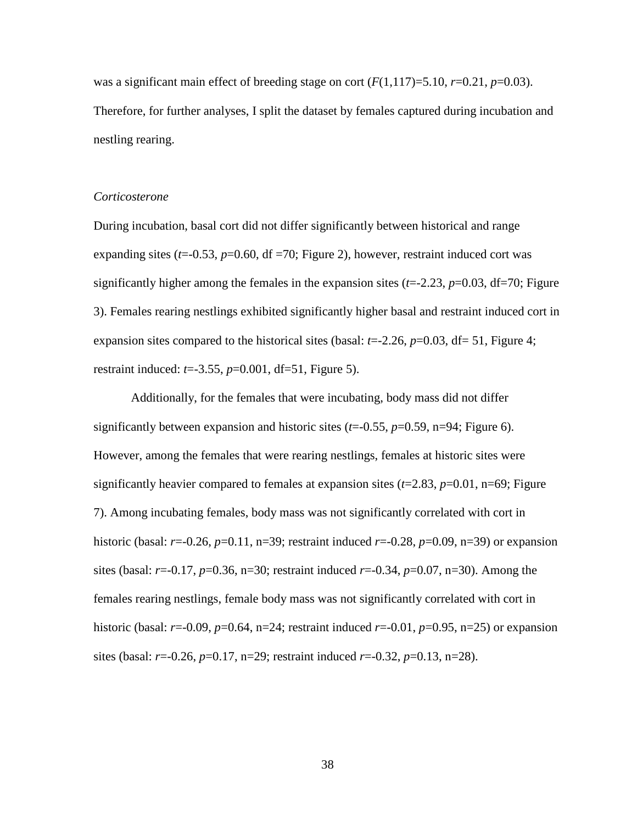was a significant main effect of breeding stage on cort  $(F(1,117)=5.10, r=0.21, p=0.03)$ . Therefore, for further analyses, I split the dataset by females captured during incubation and nestling rearing.

#### *Corticosterone*

During incubation, basal cort did not differ significantly between historical and range expanding sites  $(t=0.53, p=0.60, df=70;$  Figure 2), however, restraint induced cort was significantly higher among the females in the expansion sites  $(t=2.23, p=0.03, df=70;$  Figure 3). Females rearing nestlings exhibited significantly higher basal and restraint induced cort in expansion sites compared to the historical sites (basal:  $t=2.26$ ,  $p=0.03$ ,  $df=51$ , Figure 4; restraint induced: *t*=-3.55, *p*=0.001, df=51, Figure 5).

Additionally, for the females that were incubating, body mass did not differ significantly between expansion and historic sites  $(t=0.55, p=0.59, n=94;$  Figure 6). However, among the females that were rearing nestlings, females at historic sites were significantly heavier compared to females at expansion sites  $(t=2.83, p=0.01, n=69)$ ; Figure 7). Among incubating females, body mass was not significantly correlated with cort in historic (basal: *r*=-0.26, *p*=0.11, n=39; restraint induced *r*=-0.28, *p*=0.09, n=39) or expansion sites (basal: *r*=-0.17, *p*=0.36, n=30; restraint induced *r*=-0.34, *p*=0.07, n=30). Among the females rearing nestlings, female body mass was not significantly correlated with cort in historic (basal: *r*=-0.09, *p*=0.64, n=24; restraint induced *r*=-0.01, *p*=0.95, n=25) or expansion sites (basal: *r*=-0.26, *p*=0.17, n=29; restraint induced *r*=-0.32, *p*=0.13, n=28).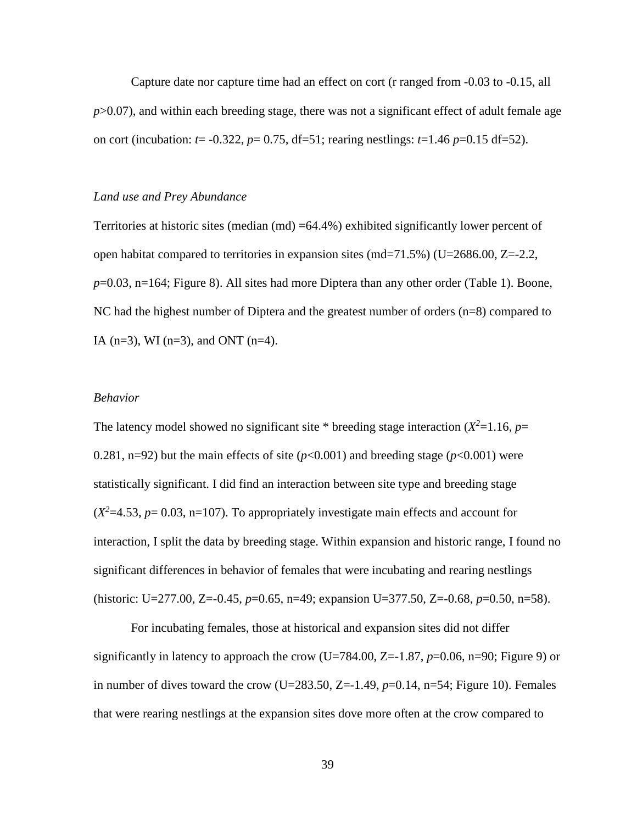Capture date nor capture time had an effect on cort (r ranged from -0.03 to -0.15, all *p*>0.07), and within each breeding stage, there was not a significant effect of adult female age on cort (incubation:  $t = -0.322$ ,  $p = 0.75$ , df=51; rearing nestlings:  $t=1.46$   $p=0.15$  df=52).

## *Land use and Prey Abundance*

Territories at historic sites (median (md) =64.4%) exhibited significantly lower percent of open habitat compared to territories in expansion sites (md=71.5%) (U=2686.00, Z=-2.2, *p*=0.03, n=164; Figure 8). All sites had more Diptera than any other order (Table 1). Boone, NC had the highest number of Diptera and the greatest number of orders (n=8) compared to IA ( $n=3$ ), WI ( $n=3$ ), and ONT ( $n=4$ ).

# *Behavior*

The latency model showed no significant site  $*$  breeding stage interaction ( $X^2$ =1.16,  $p$ = 0.281, n=92) but the main effects of site  $(p<0.001)$  and breeding stage  $(p<0.001)$  were statistically significant. I did find an interaction between site type and breeding stage  $(X^2=4.53, p=0.03, n=107)$ . To appropriately investigate main effects and account for interaction, I split the data by breeding stage. Within expansion and historic range, I found no significant differences in behavior of females that were incubating and rearing nestlings (historic: U=277.00, Z=-0.45, *p*=0.65, n=49; expansion U=377.50, Z=-0.68, *p*=0.50, n=58).

For incubating females, those at historical and expansion sites did not differ significantly in latency to approach the crow (U=784.00, Z=-1.87, *p*=0.06, n=90; Figure 9) or in number of dives toward the crow  $(U=283.50, Z=-1.49, p=0.14, n=54;$  Figure 10). Females that were rearing nestlings at the expansion sites dove more often at the crow compared to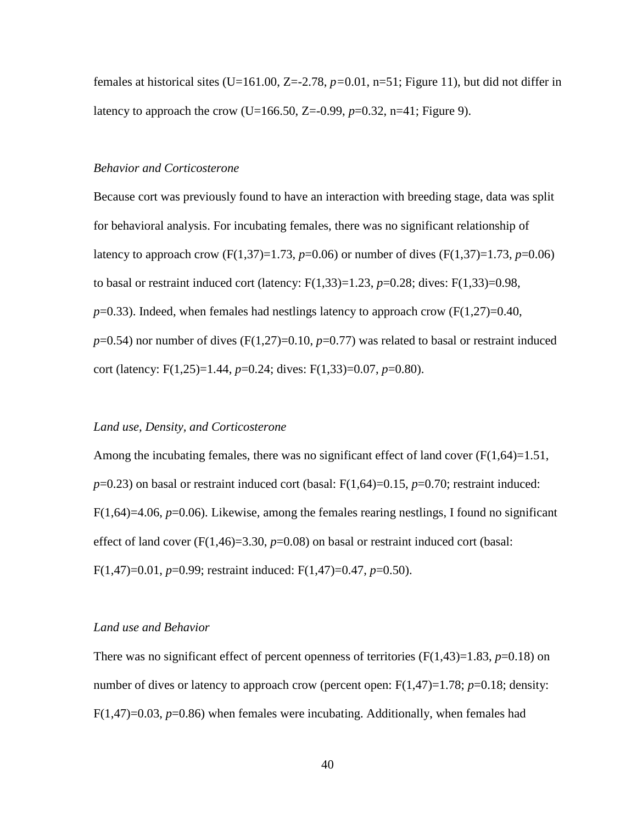females at historical sites (U=161.00, Z=-2.78, *p=*0.01, n=51; Figure 11), but did not differ in latency to approach the crow (U=166.50, Z=-0.99,  $p=0.32$ , n=41; Figure 9).

#### *Behavior and Corticosterone*

Because cort was previously found to have an interaction with breeding stage, data was split for behavioral analysis. For incubating females, there was no significant relationship of latency to approach crow (F(1,37)=1.73, *p*=0.06) or number of dives (F(1,37)=1.73, *p*=0.06) to basal or restraint induced cort (latency:  $F(1,33)=1.23$ ,  $p=0.28$ ; dives:  $F(1,33)=0.98$ ,  $p=0.33$ ). Indeed, when females had nestlings latency to approach crow ( $F(1,27)=0.40$ ,  $p=0.54$ ) nor number of dives (F(1,27)=0.10,  $p=0.77$ ) was related to basal or restraint induced cort (latency: F(1,25)=1.44, *p*=0.24; dives: F(1,33)=0.07, *p*=0.80).

## *Land use, Density, and Corticosterone*

Among the incubating females, there was no significant effect of land cover  $(F(1,64)=1.51,$ *p*=0.23) on basal or restraint induced cort (basal: F(1,64)=0.15, *p*=0.70; restraint induced: F(1,64)=4.06, *p*=0.06). Likewise, among the females rearing nestlings, I found no significant effect of land cover  $(F(1,46)=3.30, p=0.08)$  on basal or restraint induced cort (basal: F(1,47)=0.01, *p*=0.99; restraint induced: F(1,47)=0.47, *p*=0.50).

### *Land use and Behavior*

There was no significant effect of percent openness of territories  $(F(1,43)=1.83, p=0.18)$  on number of dives or latency to approach crow (percent open: F(1,47)=1.78; *p*=0.18; density: F(1,47)=0.03, *p*=0.86) when females were incubating. Additionally, when females had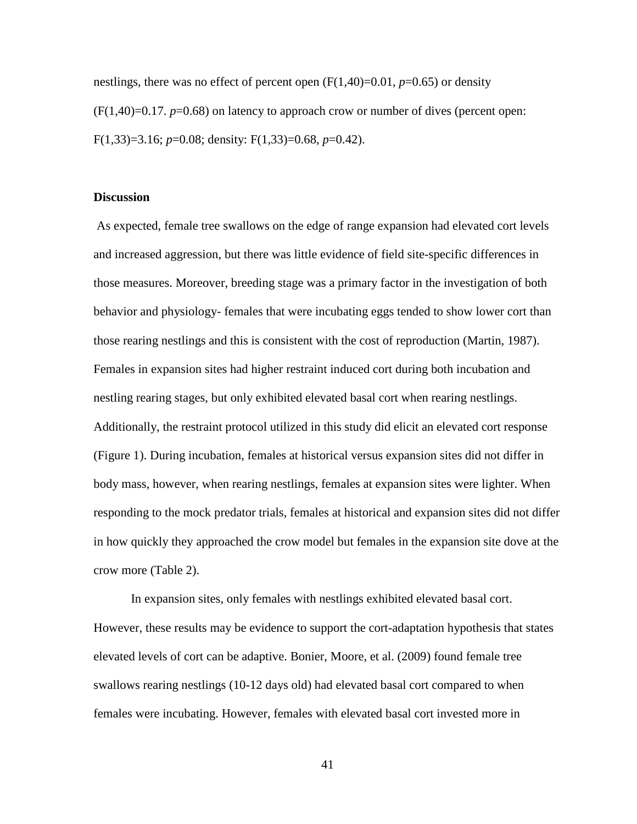nestlings, there was no effect of percent open  $(F(1,40)=0.01, p=0.65)$  or density  $(F(1,40)=0.17, p=0.68)$  on latency to approach crow or number of dives (percent open: F(1,33)=3.16; *p*=0.08; density: F(1,33)=0.68, *p*=0.42).

#### **Discussion**

As expected, female tree swallows on the edge of range expansion had elevated cort levels and increased aggression, but there was little evidence of field site-specific differences in those measures. Moreover, breeding stage was a primary factor in the investigation of both behavior and physiology- females that were incubating eggs tended to show lower cort than those rearing nestlings and this is consistent with the cost of reproduction (Martin, 1987). Females in expansion sites had higher restraint induced cort during both incubation and nestling rearing stages, but only exhibited elevated basal cort when rearing nestlings. Additionally, the restraint protocol utilized in this study did elicit an elevated cort response (Figure 1). During incubation, females at historical versus expansion sites did not differ in body mass, however, when rearing nestlings, females at expansion sites were lighter. When responding to the mock predator trials, females at historical and expansion sites did not differ in how quickly they approached the crow model but females in the expansion site dove at the crow more (Table 2).

In expansion sites, only females with nestlings exhibited elevated basal cort. However, these results may be evidence to support the cort-adaptation hypothesis that states elevated levels of cort can be adaptive. Bonier, Moore, et al. (2009) found female tree swallows rearing nestlings (10-12 days old) had elevated basal cort compared to when females were incubating. However, females with elevated basal cort invested more in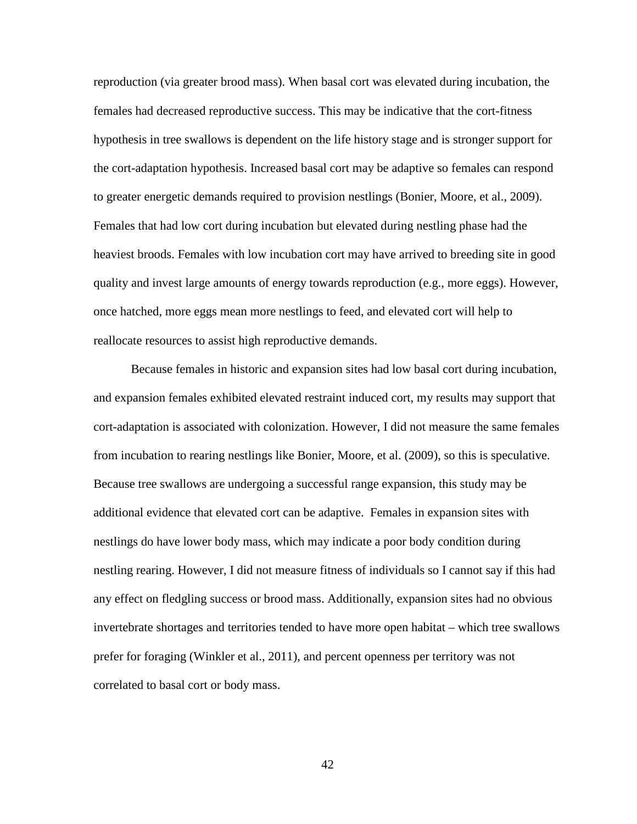reproduction (via greater brood mass). When basal cort was elevated during incubation, the females had decreased reproductive success. This may be indicative that the cort-fitness hypothesis in tree swallows is dependent on the life history stage and is stronger support for the cort-adaptation hypothesis. Increased basal cort may be adaptive so females can respond to greater energetic demands required to provision nestlings (Bonier, Moore, et al., 2009). Females that had low cort during incubation but elevated during nestling phase had the heaviest broods. Females with low incubation cort may have arrived to breeding site in good quality and invest large amounts of energy towards reproduction (e.g., more eggs). However, once hatched, more eggs mean more nestlings to feed, and elevated cort will help to reallocate resources to assist high reproductive demands.

Because females in historic and expansion sites had low basal cort during incubation, and expansion females exhibited elevated restraint induced cort, my results may support that cort-adaptation is associated with colonization. However, I did not measure the same females from incubation to rearing nestlings like Bonier, Moore, et al. (2009), so this is speculative. Because tree swallows are undergoing a successful range expansion, this study may be additional evidence that elevated cort can be adaptive. Females in expansion sites with nestlings do have lower body mass, which may indicate a poor body condition during nestling rearing. However, I did not measure fitness of individuals so I cannot say if this had any effect on fledgling success or brood mass. Additionally, expansion sites had no obvious invertebrate shortages and territories tended to have more open habitat – which tree swallows prefer for foraging (Winkler et al., 2011), and percent openness per territory was not correlated to basal cort or body mass.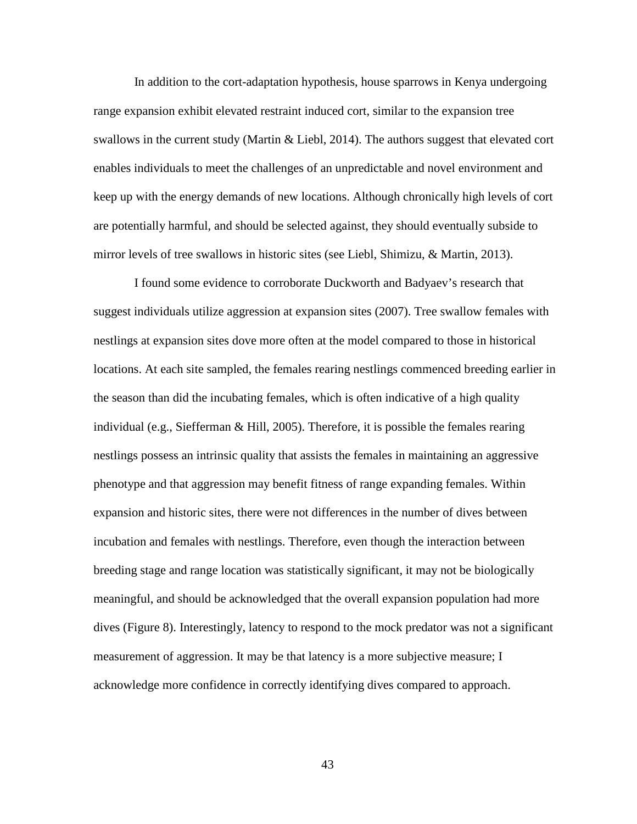In addition to the cort-adaptation hypothesis, house sparrows in Kenya undergoing range expansion exhibit elevated restraint induced cort, similar to the expansion tree swallows in the current study (Martin & Liebl, 2014). The authors suggest that elevated cort enables individuals to meet the challenges of an unpredictable and novel environment and keep up with the energy demands of new locations. Although chronically high levels of cort are potentially harmful, and should be selected against, they should eventually subside to mirror levels of tree swallows in historic sites (see Liebl, Shimizu, & Martin, 2013).

I found some evidence to corroborate Duckworth and Badyaev's research that suggest individuals utilize aggression at expansion sites (2007). Tree swallow females with nestlings at expansion sites dove more often at the model compared to those in historical locations. At each site sampled, the females rearing nestlings commenced breeding earlier in the season than did the incubating females, which is often indicative of a high quality individual (e.g., Siefferman & Hill, 2005). Therefore, it is possible the females rearing nestlings possess an intrinsic quality that assists the females in maintaining an aggressive phenotype and that aggression may benefit fitness of range expanding females. Within expansion and historic sites, there were not differences in the number of dives between incubation and females with nestlings. Therefore, even though the interaction between breeding stage and range location was statistically significant, it may not be biologically meaningful, and should be acknowledged that the overall expansion population had more dives (Figure 8). Interestingly, latency to respond to the mock predator was not a significant measurement of aggression. It may be that latency is a more subjective measure; I acknowledge more confidence in correctly identifying dives compared to approach.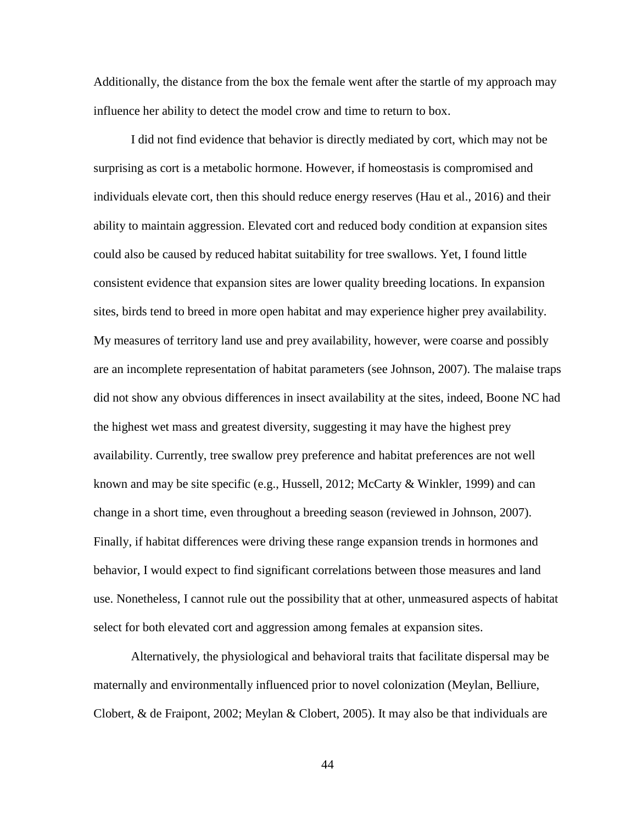Additionally, the distance from the box the female went after the startle of my approach may influence her ability to detect the model crow and time to return to box.

I did not find evidence that behavior is directly mediated by cort, which may not be surprising as cort is a metabolic hormone. However, if homeostasis is compromised and individuals elevate cort, then this should reduce energy reserves (Hau et al., 2016) and their ability to maintain aggression. Elevated cort and reduced body condition at expansion sites could also be caused by reduced habitat suitability for tree swallows. Yet, I found little consistent evidence that expansion sites are lower quality breeding locations. In expansion sites, birds tend to breed in more open habitat and may experience higher prey availability. My measures of territory land use and prey availability, however, were coarse and possibly are an incomplete representation of habitat parameters (see Johnson, 2007). The malaise traps did not show any obvious differences in insect availability at the sites, indeed, Boone NC had the highest wet mass and greatest diversity, suggesting it may have the highest prey availability. Currently, tree swallow prey preference and habitat preferences are not well known and may be site specific (e.g., Hussell, 2012; McCarty & Winkler, 1999) and can change in a short time, even throughout a breeding season (reviewed in Johnson, 2007). Finally, if habitat differences were driving these range expansion trends in hormones and behavior, I would expect to find significant correlations between those measures and land use. Nonetheless, I cannot rule out the possibility that at other, unmeasured aspects of habitat select for both elevated cort and aggression among females at expansion sites.

Alternatively, the physiological and behavioral traits that facilitate dispersal may be maternally and environmentally influenced prior to novel colonization (Meylan, Belliure, Clobert, & de Fraipont, 2002; Meylan & Clobert, 2005). It may also be that individuals are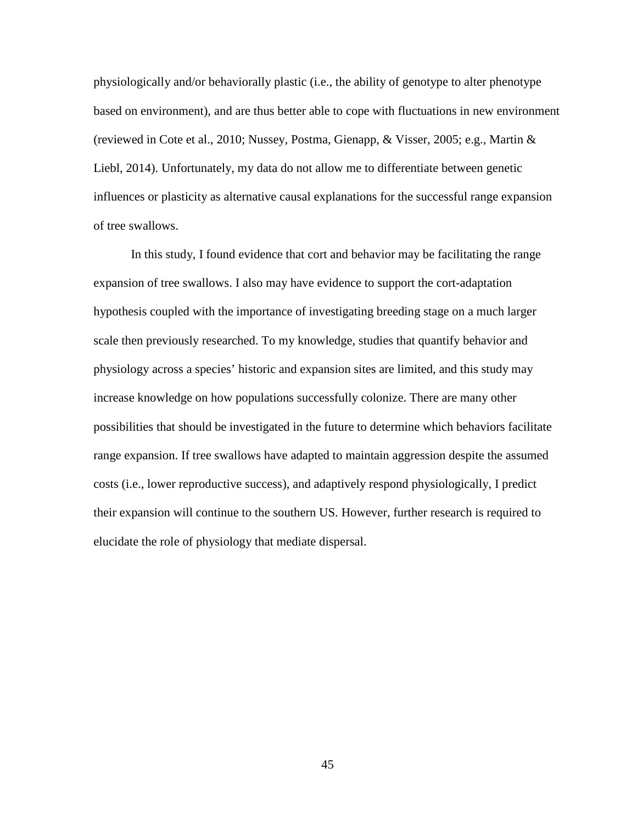physiologically and/or behaviorally plastic (i.e., the ability of genotype to alter phenotype based on environment), and are thus better able to cope with fluctuations in new environment (reviewed in Cote et al., 2010; Nussey, Postma, Gienapp, & Visser, 2005; e.g., Martin & Liebl, 2014). Unfortunately, my data do not allow me to differentiate between genetic influences or plasticity as alternative causal explanations for the successful range expansion of tree swallows.

In this study, I found evidence that cort and behavior may be facilitating the range expansion of tree swallows. I also may have evidence to support the cort-adaptation hypothesis coupled with the importance of investigating breeding stage on a much larger scale then previously researched. To my knowledge, studies that quantify behavior and physiology across a species' historic and expansion sites are limited, and this study may increase knowledge on how populations successfully colonize. There are many other possibilities that should be investigated in the future to determine which behaviors facilitate range expansion. If tree swallows have adapted to maintain aggression despite the assumed costs (i.e., lower reproductive success), and adaptively respond physiologically, I predict their expansion will continue to the southern US. However, further research is required to elucidate the role of physiology that mediate dispersal.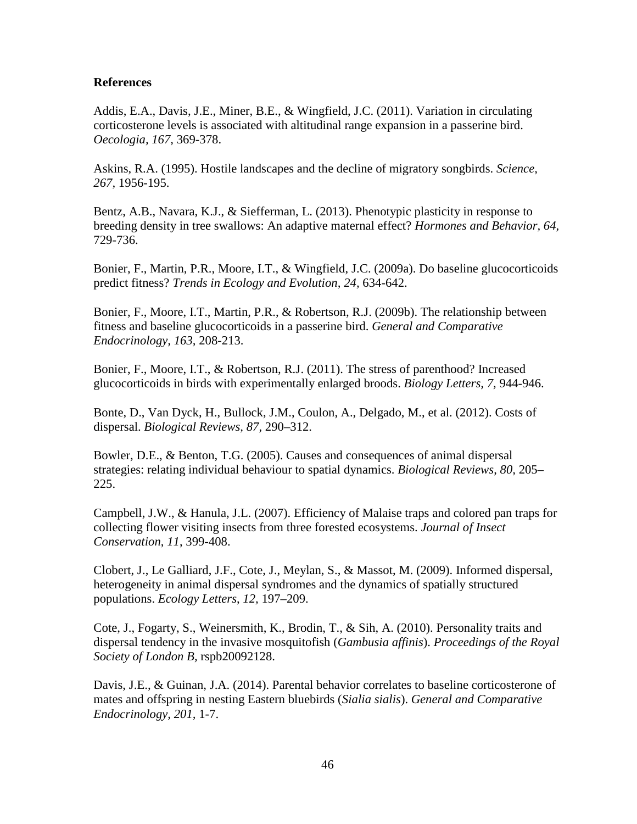# **References**

Addis, E.A., Davis, J.E., Miner, B.E., & Wingfield, J.C. (2011). Variation in circulating corticosterone levels is associated with altitudinal range expansion in a passerine bird. *Oecologia, 167,* 369-378.

Askins, R.A. (1995). Hostile landscapes and the decline of migratory songbirds. *Science, 267,* 1956-195.

Bentz, A.B., Navara, K.J., & Siefferman, L. (2013). Phenotypic plasticity in response to breeding density in tree swallows: An adaptive maternal effect? *Hormones and Behavior, 64,* 729-736.

Bonier, F., Martin, P.R., Moore, I.T., & Wingfield, J.C. (2009a). Do baseline glucocorticoids predict fitness? *Trends in Ecology and Evolution, 24,* 634-642.

Bonier, F., Moore, I.T., Martin, P.R., & Robertson, R.J. (2009b). The relationship between fitness and baseline glucocorticoids in a passerine bird. *General and Comparative Endocrinology, 163,* 208-213.

Bonier, F., Moore, I.T., & Robertson, R.J. (2011). The stress of parenthood? Increased glucocorticoids in birds with experimentally enlarged broods. *Biology Letters, 7,* 944-946.

Bonte, D., Van Dyck, H., Bullock, J.M., Coulon, A., Delgado, M., et al. (2012). Costs of dispersal. *Biological Reviews, 87,* 290–312.

Bowler, D.E., & Benton, T.G. (2005). Causes and consequences of animal dispersal strategies: relating individual behaviour to spatial dynamics. *Biological Reviews*, *80,* 205– 225.

Campbell, J.W., & Hanula, J.L. (2007). Efficiency of Malaise traps and colored pan traps for collecting flower visiting insects from three forested ecosystems. *Journal of Insect Conservation*, *11*, 399-408.

Clobert, J., Le Galliard, J.F., Cote, J., Meylan, S., & Massot, M. (2009). Informed dispersal, heterogeneity in animal dispersal syndromes and the dynamics of spatially structured populations. *Ecology Letters*, *12,* 197–209.

Cote, J., Fogarty, S., Weinersmith, K., Brodin, T., & Sih, A. (2010). Personality traits and dispersal tendency in the invasive mosquitofish (*Gambusia affinis*). *Proceedings of the Royal Society of London B,* rspb20092128.

Davis, J.E., & Guinan, J.A. (2014). Parental behavior correlates to baseline corticosterone of mates and offspring in nesting Eastern bluebirds (*Sialia sialis*). *General and Comparative Endocrinology, 201,* 1-7.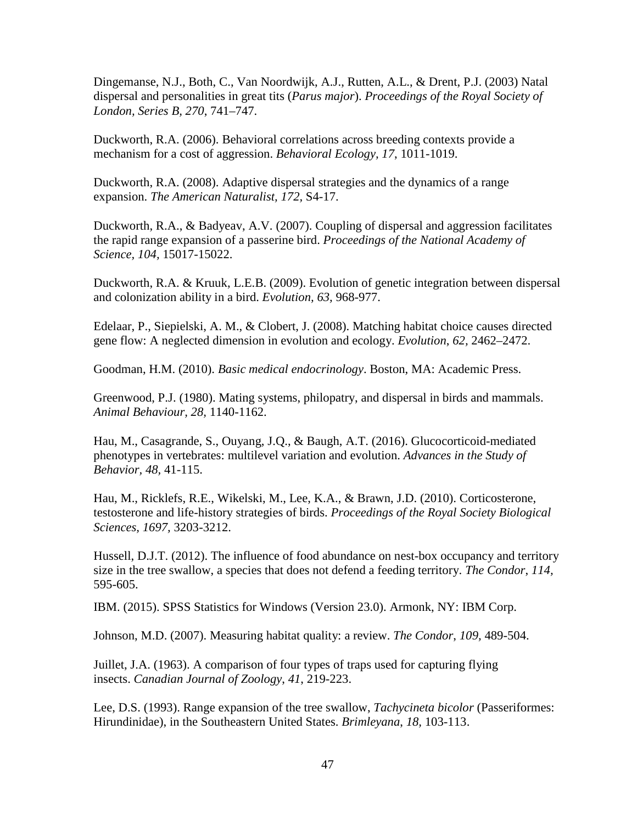Dingemanse, N.J., Both, C., Van Noordwijk, A.J., Rutten, A.L., & Drent, P.J. (2003) Natal dispersal and personalities in great tits (*Parus major*). *Proceedings of the Royal Society of London, Series B, 270*, 741–747.

Duckworth, R.A. (2006). Behavioral correlations across breeding contexts provide a mechanism for a cost of aggression. *Behavioral Ecology, 17*, 1011-1019.

Duckworth, R.A. (2008). Adaptive dispersal strategies and the dynamics of a range expansion. *The American Naturalist, 172,* S4-17.

Duckworth, R.A., & Badyeav, A.V. (2007). Coupling of dispersal and aggression facilitates the rapid range expansion of a passerine bird. *Proceedings of the National Academy of Science, 104,* 15017-15022.

Duckworth, R.A. & Kruuk, L.E.B. (2009). Evolution of genetic integration between dispersal and colonization ability in a bird. *Evolution, 63,* 968-977.

Edelaar, P., Siepielski, A. M., & Clobert, J. (2008). Matching habitat choice causes directed gene flow: A neglected dimension in evolution and ecology. *Evolution*, *62,* 2462–2472.

Goodman, H.M. (2010). *Basic medical endocrinology*. Boston, MA: Academic Press.

Greenwood, P.J. (1980). Mating systems, philopatry, and dispersal in birds and mammals. *Animal Behaviour, 28,* 1140-1162.

Hau, M., Casagrande, S., Ouyang, J.Q., & Baugh, A.T. (2016). Glucocorticoid-mediated phenotypes in vertebrates: multilevel variation and evolution. *Advances in the Study of Behavior, 48,* 41-115.

Hau, M., Ricklefs, R.E., Wikelski, M., Lee, K.A., & Brawn, J.D. (2010). Corticosterone, testosterone and life-history strategies of birds. *Proceedings of the Royal Society Biological Sciences, 1697,* 3203-3212.

Hussell, D.J.T. (2012). The influence of food abundance on nest-box occupancy and territory size in the tree swallow, a species that does not defend a feeding territory. *The Condor*, *114,*  595-605.

IBM. (2015). SPSS Statistics for Windows (Version 23.0). Armonk, NY: IBM Corp.

Johnson, M.D. (2007). Measuring habitat quality: a review. *The Condor*, *109,* 489-504.

Juillet, J.A. (1963). A comparison of four types of traps used for capturing flying insects. *Canadian Journal of Zoology*, *41*, 219-223.

Lee, D.S. (1993). Range expansion of the tree swallow, *Tachycineta bicolor* (Passeriformes: Hirundinidae), in the Southeastern United States. *Brimleyana*, *18,* 103-113.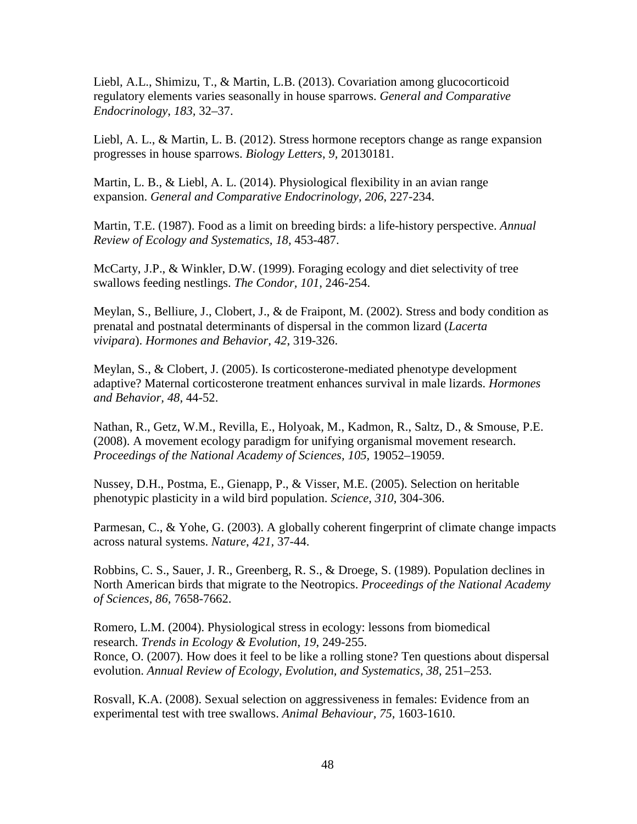Liebl, A.L., Shimizu, T., & Martin, L.B. (2013). Covariation among glucocorticoid regulatory elements varies seasonally in house sparrows. *General and Comparative Endocrinology*, *183,* 32–37.

Liebl, A. L., & Martin, L. B. (2012). Stress hormone receptors change as range expansion progresses in house sparrows. *Biology Letters*, *9,* 20130181.

Martin, L. B., & Liebl, A. L. (2014). Physiological flexibility in an avian range expansion. *General and Comparative Endocrinology, 206*, 227-234.

Martin, T.E. (1987). Food as a limit on breeding birds: a life-history perspective. *Annual Review of Ecology and Systematics, 18,* 453-487.

McCarty, J.P., & Winkler, D.W. (1999). Foraging ecology and diet selectivity of tree swallows feeding nestlings. *The Condor, 101,* 246-254.

Meylan, S., Belliure, J., Clobert, J., & de Fraipont, M. (2002). Stress and body condition as prenatal and postnatal determinants of dispersal in the common lizard (*Lacerta vivipara*). *Hormones and Behavior, 42*, 319-326.

Meylan, S., & Clobert, J. (2005). Is corticosterone-mediated phenotype development adaptive? Maternal corticosterone treatment enhances survival in male lizards. *Hormones and Behavior, 48,* 44-52.

Nathan, R., Getz, W.M., Revilla, E., Holyoak, M., Kadmon, R., Saltz, D., & Smouse, P.E. (2008). A movement ecology paradigm for unifying organismal movement research. Proceedings of the National Academy of Sciences, 105, 19052–19059.

Nussey, D.H., Postma, E., Gienapp, P., & Visser, M.E. (2005). Selection on heritable phenotypic plasticity in a wild bird population. *Science*, *310*, 304-306.

Parmesan, C., & Yohe, G. (2003). A globally coherent fingerprint of climate change impacts across natural systems. *Nature*, *421,* 37-44.

Robbins, C. S., Sauer, J. R., Greenberg, R. S., & Droege, S. (1989). Population declines in North American birds that migrate to the Neotropics. *Proceedings of the National Academy of Sciences, 86,* 7658-7662.

Romero, L.M. (2004). Physiological stress in ecology: lessons from biomedical research. *Trends in Ecology & Evolution*, *19*, 249-255. Ronce, O. (2007). How does it feel to be like a rolling stone? Ten questions about dispersal evolution. *Annual Review of Ecology, Evolution, and Systematics, 38,* 251–253.

Rosvall, K.A. (2008). Sexual selection on aggressiveness in females: Evidence from an experimental test with tree swallows. *Animal Behaviour, 75,* 1603-1610.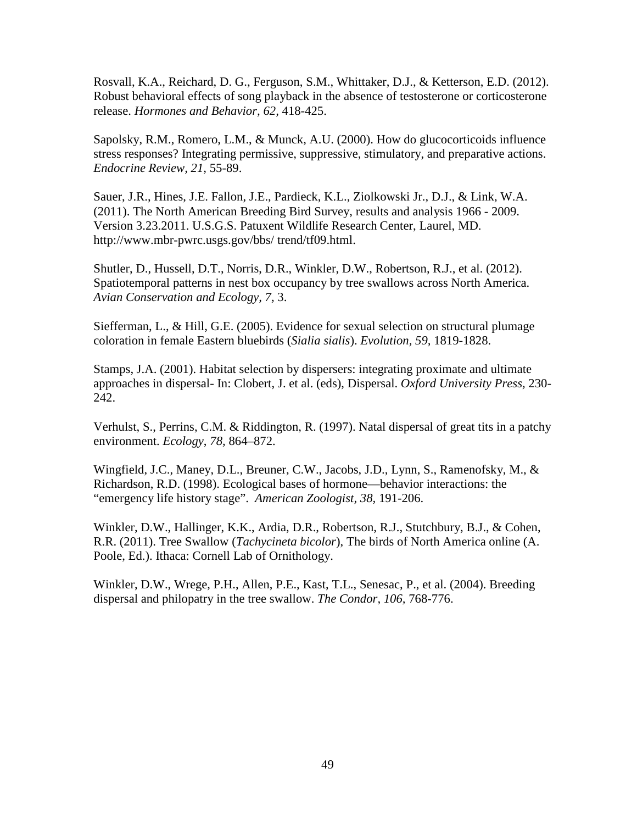Rosvall, K.A., Reichard, D. G., Ferguson, S.M., Whittaker, D.J., & Ketterson, E.D. (2012). Robust behavioral effects of song playback in the absence of testosterone or corticosterone release. *Hormones and Behavior, 62,* 418-425.

Sapolsky, R.M., Romero, L.M., & Munck, A.U. (2000). How do glucocorticoids influence stress responses? Integrating permissive, suppressive, stimulatory, and preparative actions. *Endocrine Review, 21,* 55-89.

Sauer, J.R., Hines, J.E. Fallon, J.E., Pardieck, K.L., Ziolkowski Jr., D.J., & Link, W.A. (2011). The North American Breeding Bird Survey, results and analysis 1966 - 2009. Version 3.23.2011. U.S.G.S. Patuxent Wildlife Research Center, Laurel, MD. http://www.mbr-pwrc.usgs.gov/bbs/ trend/tf09.html.

Shutler, D., Hussell, D.T., Norris, D.R., Winkler, D.W., Robertson, R.J., et al. (2012). Spatiotemporal patterns in nest box occupancy by tree swallows across North America. *Avian Conservation and Ecology, 7,* 3.

Siefferman, L., & Hill, G.E. (2005). Evidence for sexual selection on structural plumage coloration in female Eastern bluebirds (*Sialia sialis*). *Evolution, 59,* 1819-1828.

Stamps, J.A. (2001). Habitat selection by dispersers: integrating proximate and ultimate approaches in dispersal- In: Clobert, J. et al. (eds), Dispersal. *Oxford University Press,* 230- 242.

Verhulst, S., Perrins, C.M. & Riddington, R. (1997). Natal dispersal of great tits in a patchy environment. *Ecology*, *78,* 864–872.

Wingfield, J.C., Maney, D.L., Breuner, C.W., Jacobs, J.D., Lynn, S., Ramenofsky, M., & Richardson, R.D. (1998). Ecological bases of hormone—behavior interactions: the "emergency life history stage". *American Zoologist, 38,* 191-206.

Winkler, D.W., Hallinger, K.K., Ardia, D.R., Robertson, R.J., Stutchbury, B.J., & Cohen, R.R. (2011). Tree Swallow (*Tachycineta bicolor*), The birds of North America online (A. Poole, Ed.). Ithaca: Cornell Lab of Ornithology.

Winkler, D.W., Wrege, P.H., Allen, P.E., Kast, T.L., Senesac, P., et al. (2004). Breeding dispersal and philopatry in the tree swallow. *The Condor, 106,* 768-776.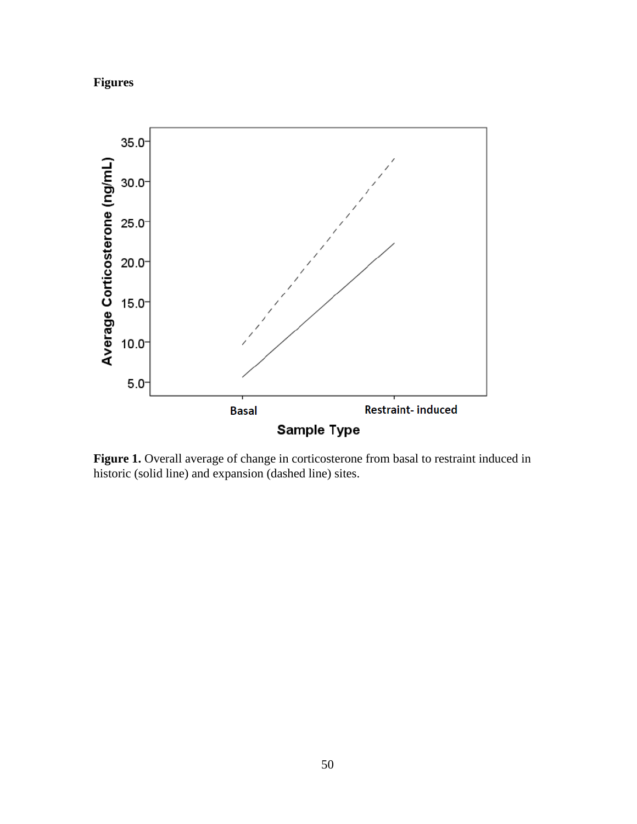



**Figure 1.** Overall average of change in corticosterone from basal to restraint induced in historic (solid line) and expansion (dashed line) sites.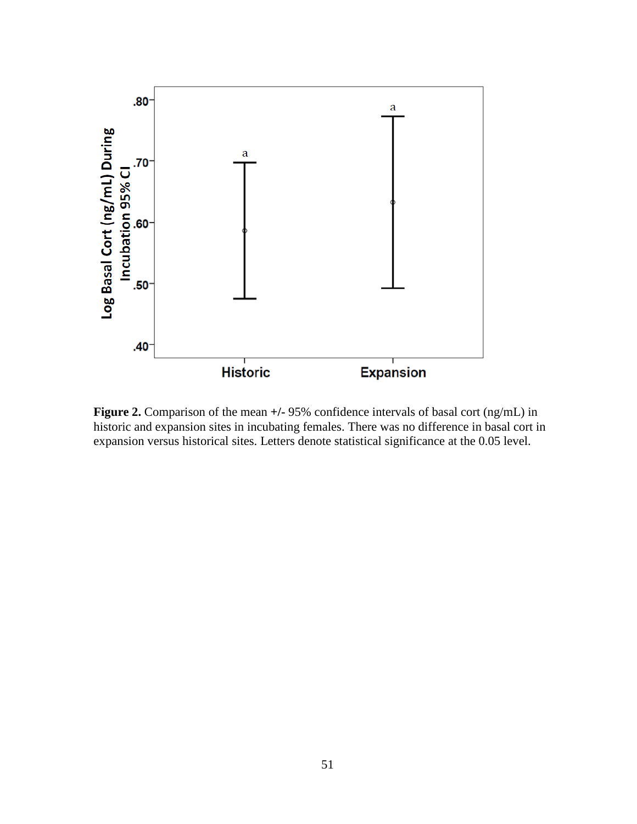

**Figure 2.** Comparison of the mean  $+/-95\%$  confidence intervals of basal cort (ng/mL) in historic and expansion sites in incubating females. There was no difference in basal cort in expansion versus historical sites. Letters denote statistical significance at the 0.05 level.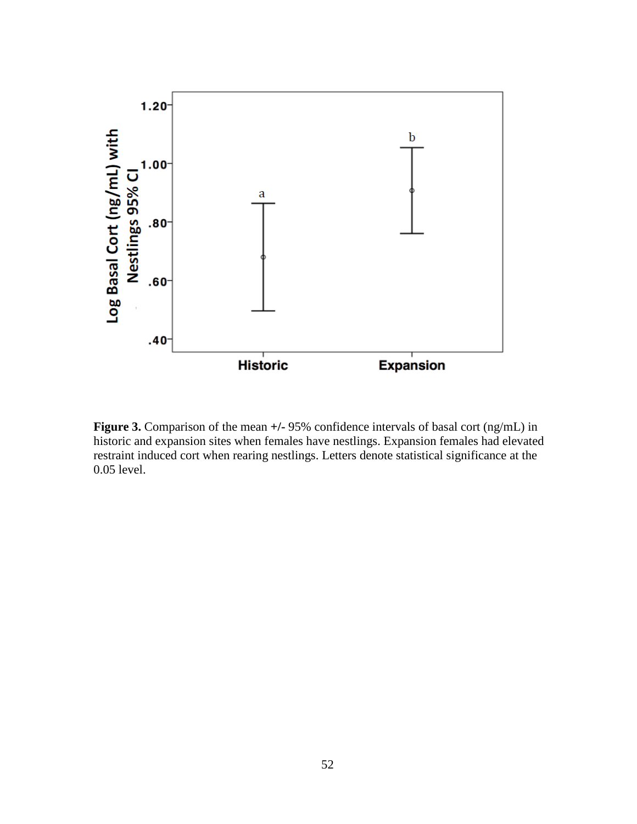

**Figure 3.** Comparison of the mean  $+/-95\%$  confidence intervals of basal cort (ng/mL) in historic and expansion sites when females have nestlings. Expansion females had elevated restraint induced cort when rearing nestlings. Letters denote statistical significance at the 0.05 level.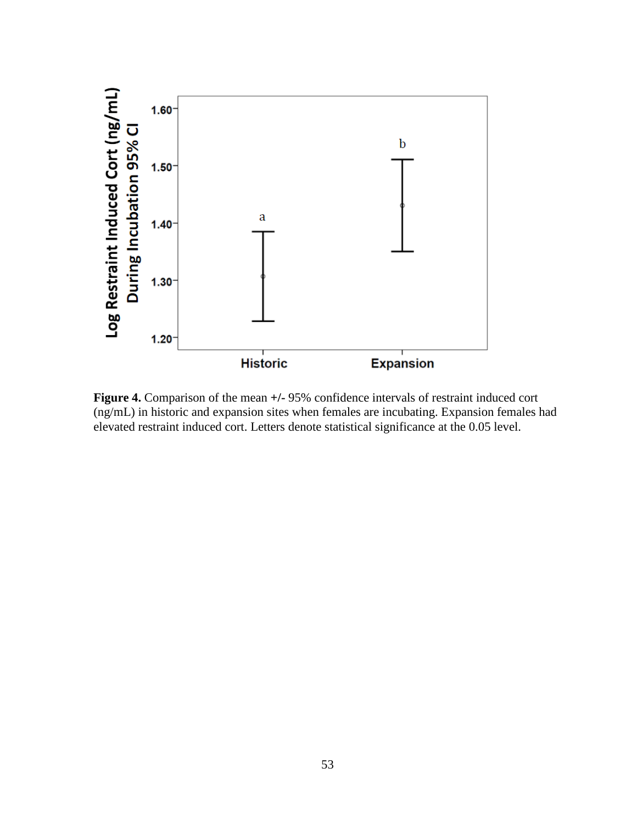

**Figure 4.** Comparison of the mean **+/-** 95% confidence intervals of restraint induced cort (ng/mL) in historic and expansion sites when females are incubating. Expansion females had elevated restraint induced cort. Letters denote statistical significance at the 0.05 level.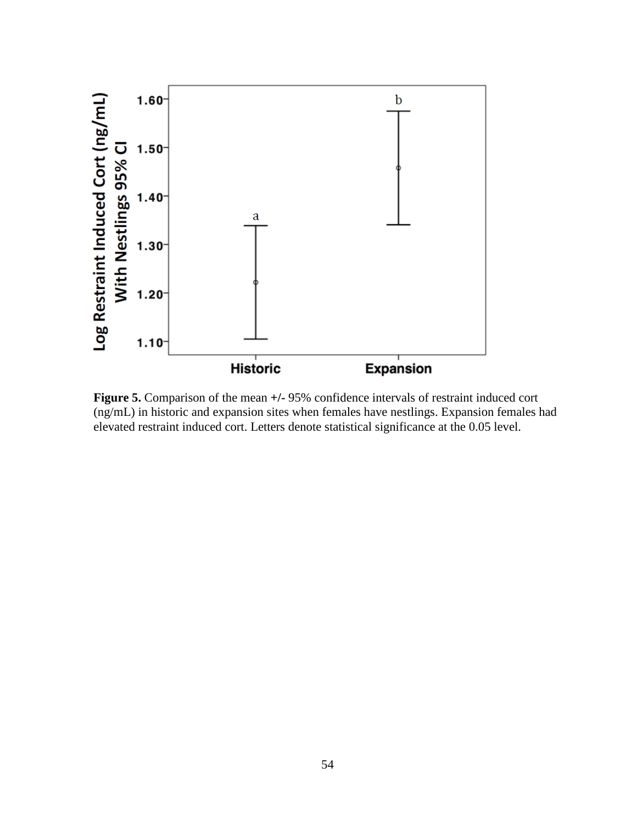

**Figure 5.** Comparison of the mean **+/-** 95% confidence intervals of restraint induced cort (ng/mL) in historic and expansion sites when females have nestlings. Expansion females had elevated restraint induced cort. Letters denote statistical significance at the 0.05 level.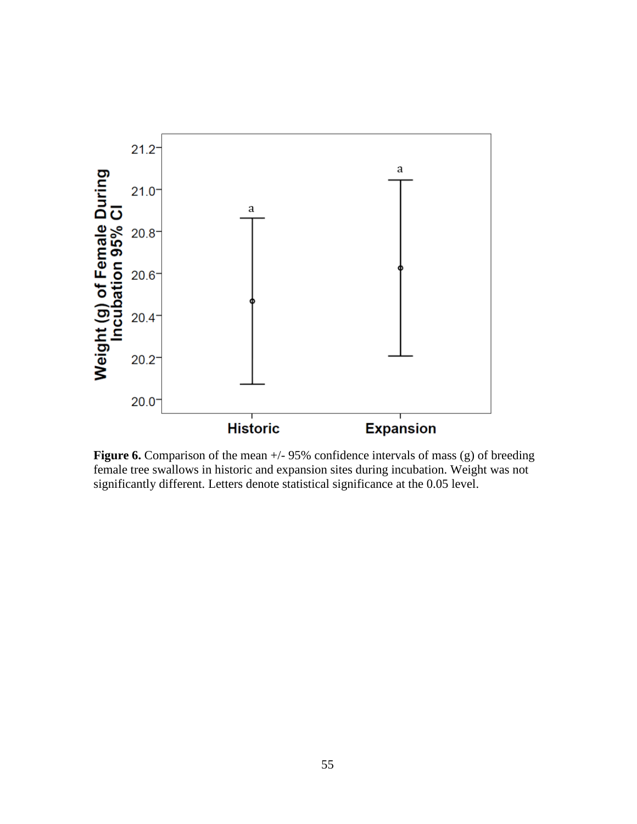

**Figure 6.** Comparison of the mean  $+/-95\%$  confidence intervals of mass (g) of breeding female tree swallows in historic and expansion sites during incubation. Weight was not significantly different. Letters denote statistical significance at the 0.05 level.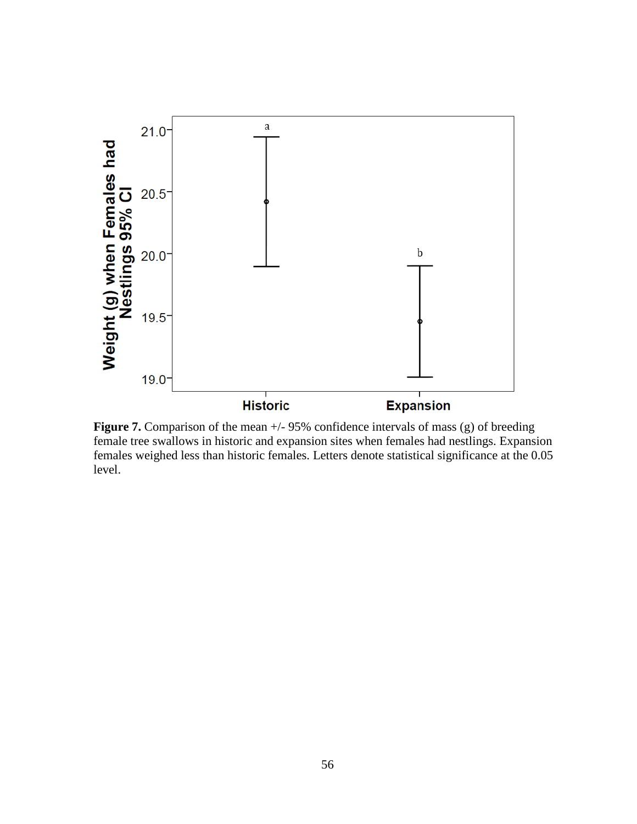

**Figure 7.** Comparison of the mean  $+/-95\%$  confidence intervals of mass (g) of breeding female tree swallows in historic and expansion sites when females had nestlings. Expansion females weighed less than historic females. Letters denote statistical significance at the 0.05 level.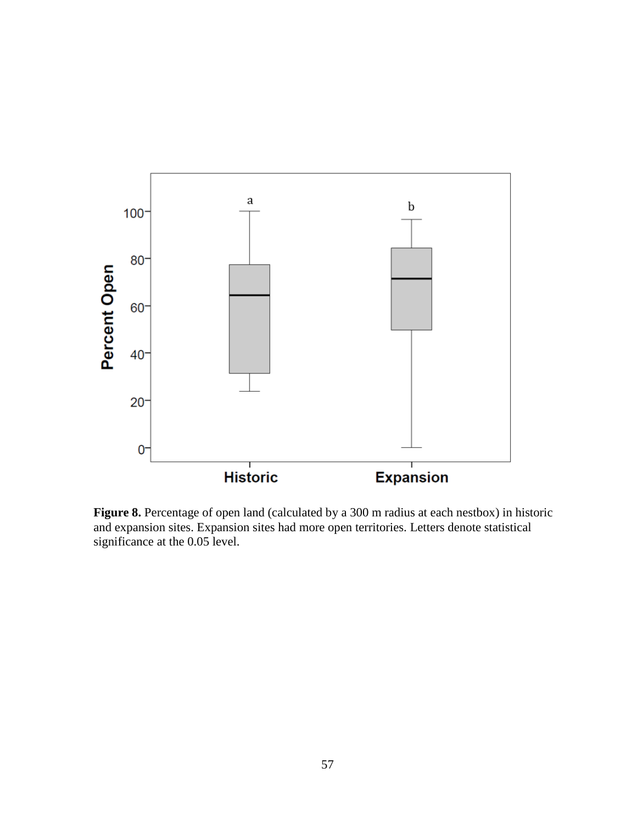

Figure 8. Percentage of open land (calculated by a 300 m radius at each nestbox) in historic and expansion sites. Expansion sites had more open territories. Letters denote statistical significance at the 0.05 level.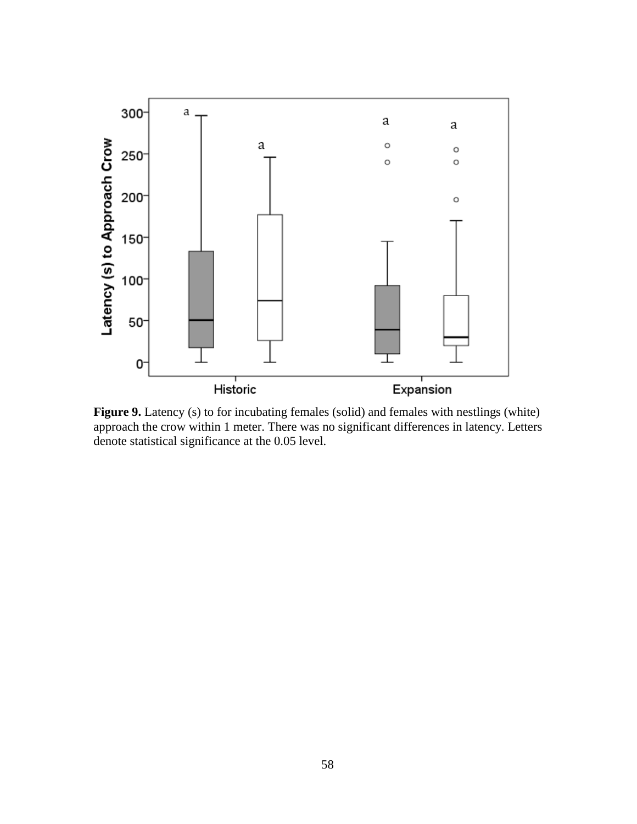

Figure 9. Latency (s) to for incubating females (solid) and females with nestlings (white) approach the crow within 1 meter. There was no significant differences in latency. Letters denote statistical significance at the 0.05 level.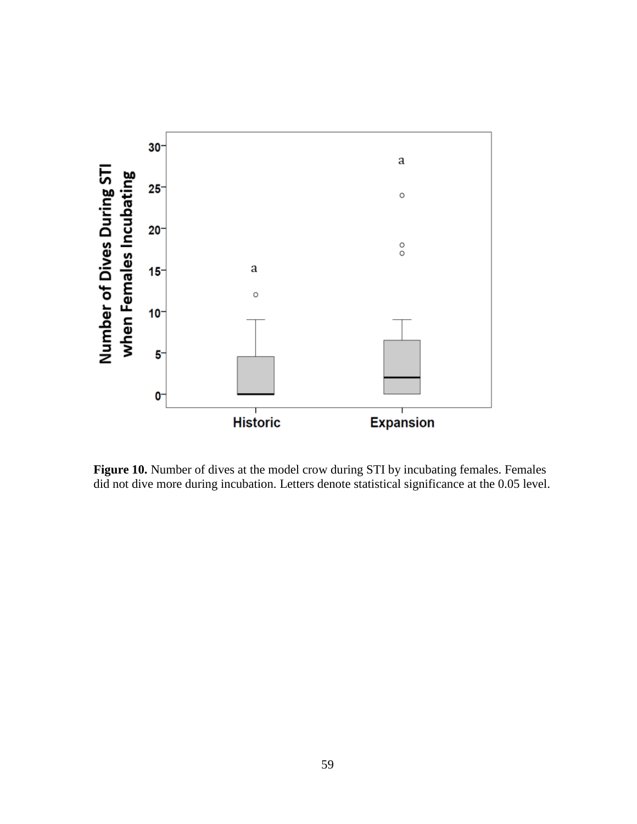

Figure 10. Number of dives at the model crow during STI by incubating females. Females did not dive more during incubation. Letters denote statistical significance at the 0.05 level.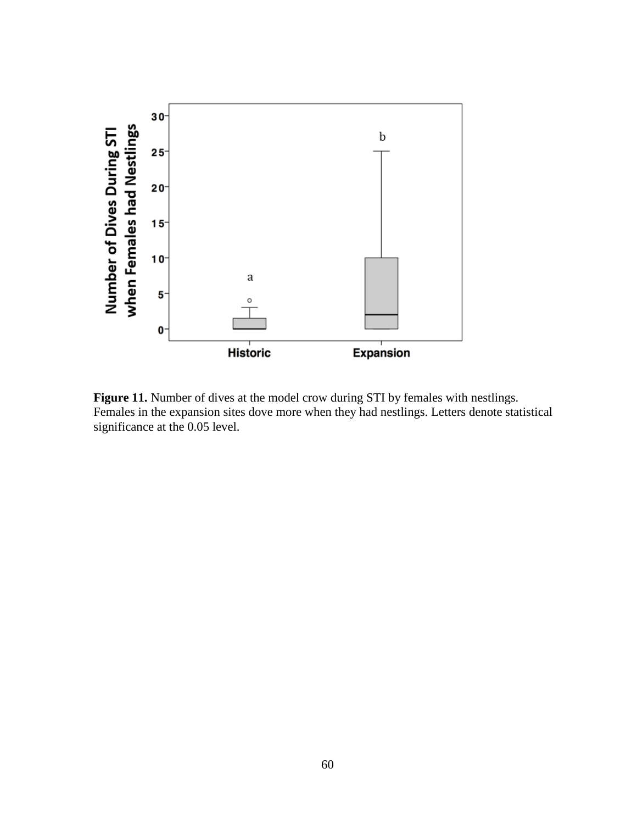

Figure 11. Number of dives at the model crow during STI by females with nestlings. Females in the expansion sites dove more when they had nestlings. Letters denote statistical significance at the 0.05 level.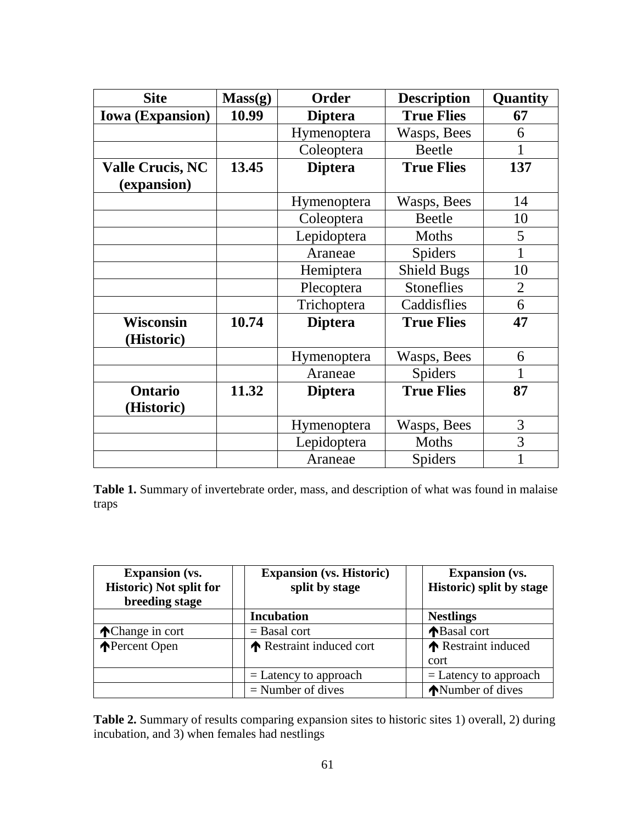| <b>Site</b>             | Mass(g) | Order          | <b>Description</b> | Quantity       |
|-------------------------|---------|----------------|--------------------|----------------|
| <b>Iowa</b> (Expansion) | 10.99   | <b>Diptera</b> | <b>True Flies</b>  | 67             |
|                         |         | Hymenoptera    | Wasps, Bees        | 6              |
|                         |         | Coleoptera     | <b>Beetle</b>      | 1              |
| <b>Valle Crucis, NC</b> | 13.45   | <b>Diptera</b> | <b>True Flies</b>  | 137            |
| (expansion)             |         |                |                    |                |
|                         |         | Hymenoptera    | Wasps, Bees        | 14             |
|                         |         | Coleoptera     | Beetle             | 10             |
|                         |         | Lepidoptera    | Moths              | 5              |
|                         |         | Araneae        | Spiders            | 1              |
|                         |         | Hemiptera      | <b>Shield Bugs</b> | 10             |
|                         |         | Plecoptera     | <b>Stoneflies</b>  | $\overline{2}$ |
|                         |         | Trichoptera    | Caddisflies        | 6              |
| <b>Wisconsin</b>        | 10.74   | <b>Diptera</b> | <b>True Flies</b>  | 47             |
| (Historic)              |         |                |                    |                |
|                         |         | Hymenoptera    | Wasps, Bees        | 6              |
|                         |         | Araneae        | Spiders            | 1              |
| <b>Ontario</b>          | 11.32   | <b>Diptera</b> | <b>True Flies</b>  | 87             |
| (Historic)              |         |                |                    |                |
|                         |         | Hymenoptera    | Wasps, Bees        | 3              |
|                         |         | Lepidoptera    | Moths              | 3              |
|                         |         | Araneae        | <b>Spiders</b>     | $\mathbf 1$    |

**Table 1.** Summary of invertebrate order, mass, and description of what was found in malaise traps

| <b>Expansion</b> (vs.<br><b>Historic)</b> Not split for<br>breeding stage | <b>Expansion (vs. Historic)</b><br>split by stage | <b>Expansion</b> (vs.<br>Historic) split by stage |
|---------------------------------------------------------------------------|---------------------------------------------------|---------------------------------------------------|
|                                                                           | <b>Incubation</b>                                 | <b>Nestlings</b>                                  |
| <b>Change in cort</b>                                                     | $=$ Basal cort                                    | ↑Basal cort                                       |
| <b>Percent Open</b>                                                       | ↑ Restraint induced cort                          | Restraint induced                                 |
|                                                                           |                                                   | cort                                              |
|                                                                           | $=$ Latency to approach                           | $=$ Latency to approach                           |
|                                                                           | $=$ Number of dives                               | <b>Number of dives</b>                            |

**Table 2.** Summary of results comparing expansion sites to historic sites 1) overall, 2) during incubation, and 3) when females had nestlings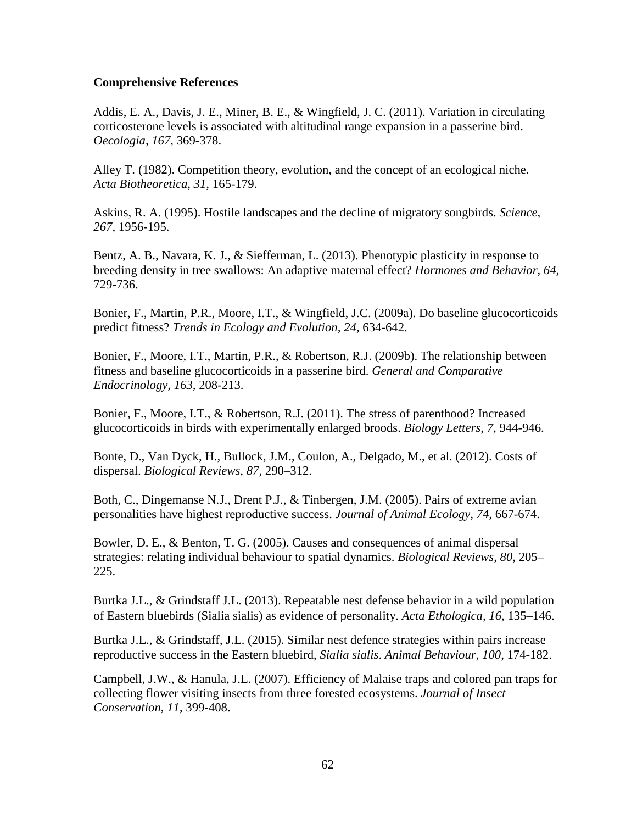# **Comprehensive References**

Addis, E. A., Davis, J. E., Miner, B. E., & Wingfield, J. C. (2011). Variation in circulating corticosterone levels is associated with altitudinal range expansion in a passerine bird. *Oecologia, 167,* 369-378.

Alley T. (1982). Competition theory, evolution, and the concept of an ecological niche. *Acta Biotheoretica, 31,* 165-179.

Askins, R. A. (1995). Hostile landscapes and the decline of migratory songbirds. *Science, 267,* 1956-195.

Bentz, A. B., Navara, K. J., & Siefferman, L. (2013). Phenotypic plasticity in response to breeding density in tree swallows: An adaptive maternal effect? *Hormones and Behavior, 64,* 729-736.

Bonier, F., Martin, P.R., Moore, I.T., & Wingfield, J.C. (2009a). Do baseline glucocorticoids predict fitness? *Trends in Ecology and Evolution, 24,* 634-642.

Bonier, F., Moore, I.T., Martin, P.R., & Robertson, R.J. (2009b). The relationship between fitness and baseline glucocorticoids in a passerine bird. *General and Comparative Endocrinology, 163,* 208-213.

Bonier, F., Moore, I.T., & Robertson, R.J. (2011). The stress of parenthood? Increased glucocorticoids in birds with experimentally enlarged broods. *Biology Letters, 7,* 944-946.

Bonte, D., Van Dyck, H., Bullock, J.M., Coulon, A., Delgado, M., et al. (2012). Costs of dispersal. *Biological Reviews*, *87,* 290–312.

Both, C., Dingemanse N.J., Drent P.J., & Tinbergen, J.M. (2005). Pairs of extreme avian personalities have highest reproductive success. *Journal of Animal Ecology, 74,* 667-674.

Bowler, D. E., & Benton, T. G. (2005). Causes and consequences of animal dispersal strategies: relating individual behaviour to spatial dynamics. *Biological Reviews*, *80,* 205– 225.

Burtka J.L., & Grindstaff J.L. (2013). Repeatable nest defense behavior in a wild population of Eastern bluebirds (Sialia sialis) as evidence of personality. *Acta Ethologica, 16,* 135–146.

Burtka J.L., & Grindstaff, J.L. (2015). Similar nest defence strategies within pairs increase reproductive success in the Eastern bluebird, *Sialia sialis*. *Animal Behaviour, 100,* 174-182.

Campbell, J.W., & Hanula, J.L. (2007). Efficiency of Malaise traps and colored pan traps for collecting flower visiting insects from three forested ecosystems. *Journal of Insect Conservation*, *11*, 399-408.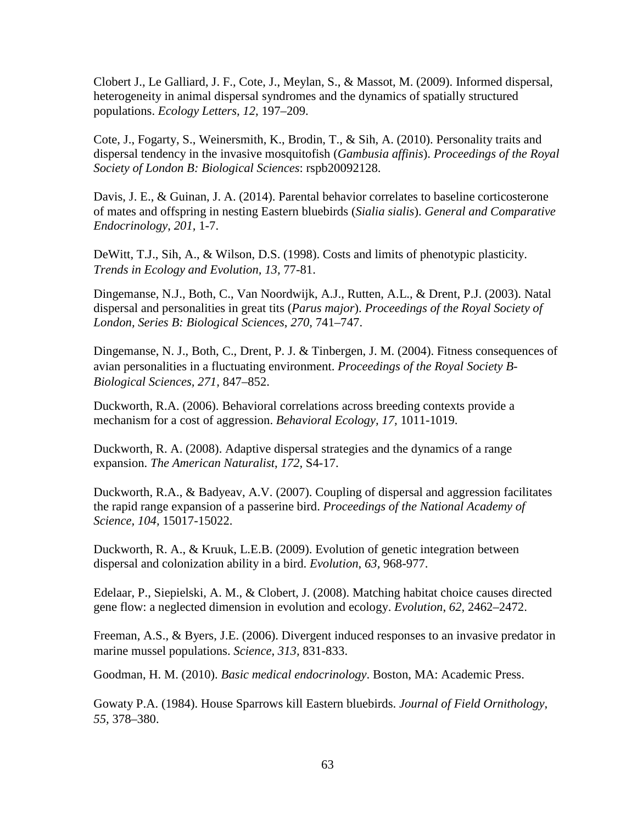Clobert J., Le Galliard, J. F., Cote, J., Meylan, S., & Massot, M. (2009). Informed dispersal, heterogeneity in animal dispersal syndromes and the dynamics of spatially structured populations. *Ecology Letters, 12,* 197–209.

Cote, J., Fogarty, S., Weinersmith, K., Brodin, T., & Sih, A. (2010). Personality traits and dispersal tendency in the invasive mosquitofish (*Gambusia affinis*). *Proceedings of the Royal Society of London B: Biological Sciences*: rspb20092128.

Davis, J. E., & Guinan, J. A. (2014). Parental behavior correlates to baseline corticosterone of mates and offspring in nesting Eastern bluebirds (*Sialia sialis*). *General and Comparative Endocrinology*, *201,* 1-7.

DeWitt, T.J., Sih, A., & Wilson, D.S. (1998). Costs and limits of phenotypic plasticity. *Trends in Ecology and Evolution, 13,* 77-81.

Dingemanse, N.J., Both, C., Van Noordwijk, A.J., Rutten, A.L., & Drent, P.J. (2003). Natal dispersal and personalities in great tits (*Parus major*). *Proceedings of the Royal Society of London, Series B: Biological Sciences*, *270,* 741–747.

Dingemanse, N. J., Both, C., Drent, P. J. & Tinbergen, J. M. (2004). Fitness consequences of avian personalities in a fluctuating environment. *Proceedings of the Royal Society B-Biological Sciences, 271,* 847–852.

Duckworth, R.A. (2006). Behavioral correlations across breeding contexts provide a mechanism for a cost of aggression. *Behavioral Ecology, 17,* 1011-1019.

Duckworth, R. A. (2008). Adaptive dispersal strategies and the dynamics of a range expansion. *The American Naturalist*, *172,* S4-17.

Duckworth, R.A., & Badyeav, A.V. (2007). Coupling of dispersal and aggression facilitates the rapid range expansion of a passerine bird. *Proceedings of the National Academy of Science, 104,* 15017-15022.

Duckworth, R. A., & Kruuk, L.E.B. (2009). Evolution of genetic integration between dispersal and colonization ability in a bird. *Evolution*, *63,* 968-977.

Edelaar, P., Siepielski, A. M., & Clobert, J. (2008). Matching habitat choice causes directed gene flow: a neglected dimension in evolution and ecology. *Evolution*, *62,* 2462–2472.

Freeman, A.S., & Byers, J.E. (2006). Divergent induced responses to an invasive predator in marine mussel populations. *Science*, *313,* 831-833.

Goodman, H. M. (2010). *Basic medical endocrinology*. Boston, MA: Academic Press.

Gowaty P.A. (1984). House Sparrows kill Eastern bluebirds. *Journal of Field Ornithology*, *55,* 378–380.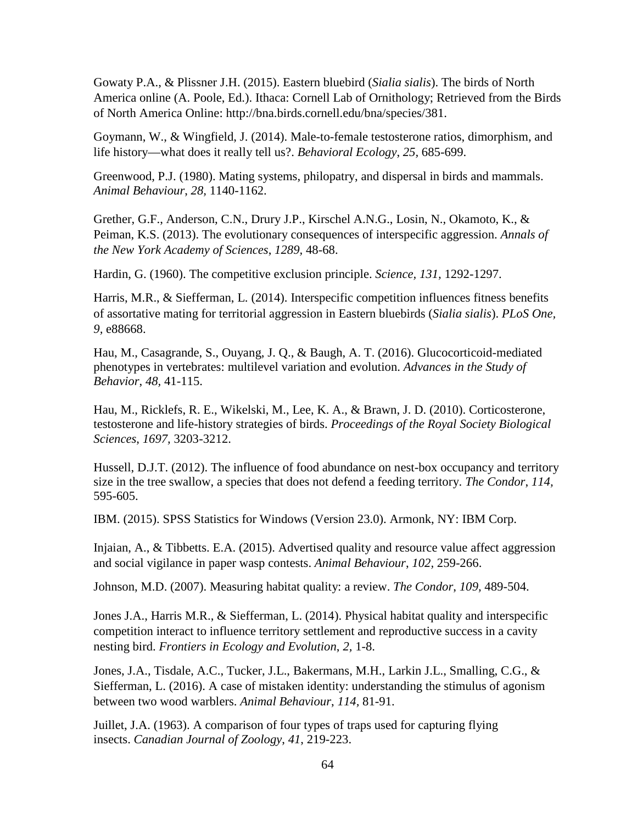Gowaty P.A., & Plissner J.H. (2015). Eastern bluebird (*Sialia sialis*). The birds of North America online (A. Poole, Ed.). Ithaca: Cornell Lab of Ornithology; Retrieved from the Birds of North America Online: http://bna.birds.cornell.edu/bna/species/381.

Goymann, W., & Wingfield, J. (2014). Male-to-female testosterone ratios, dimorphism, and life history—what does it really tell us?. *Behavioral Ecology*, *25,* 685-699.

Greenwood, P.J. (1980). Mating systems, philopatry, and dispersal in birds and mammals. *Animal Behaviour*, *28,* 1140-1162.

Grether, G.F., Anderson, C.N., Drury J.P., Kirschel A.N.G., Losin, N., Okamoto, K., & Peiman, K.S. (2013). The evolutionary consequences of interspecific aggression. *Annals of the New York Academy of Sciences*, *1289,* 48-68.

Hardin, G. (1960). The competitive exclusion principle. *Science, 131,* 1292-1297.

Harris, M.R., & Siefferman, L. (2014). Interspecific competition influences fitness benefits of assortative mating for territorial aggression in Eastern bluebirds (*Sialia sialis*). *PLoS One, 9,* e88668.

Hau, M., Casagrande, S., Ouyang, J. Q., & Baugh, A. T. (2016). Glucocorticoid-mediated phenotypes in vertebrates: multilevel variation and evolution. *Advances in the Study of Behavior*, *48,* 41-115.

Hau, M., Ricklefs, R. E., Wikelski, M., Lee, K. A., & Brawn, J. D. (2010). Corticosterone, testosterone and life-history strategies of birds. *Proceedings of the Royal Society Biological Sciences*, *1697,* 3203-3212.

Hussell, D.J.T. (2012). The influence of food abundance on nest-box occupancy and territory size in the tree swallow, a species that does not defend a feeding territory. *The Condor*, *114,*  595-605.

IBM. (2015). SPSS Statistics for Windows (Version 23.0). Armonk, NY: IBM Corp.

Injaian, A., & Tibbetts. E.A. (2015). Advertised quality and resource value affect aggression and social vigilance in paper wasp contests. *Animal Behaviour*, *102,* 259-266.

Johnson, M.D. (2007). Measuring habitat quality: a review. *The Condor*, *109,* 489-504.

Jones J.A., Harris M.R., & Siefferman, L. (2014). Physical habitat quality and interspecific competition interact to influence territory settlement and reproductive success in a cavity nesting bird. *Frontiers in Ecology and Evolution*, *2,* 1-8.

Jones, J.A., Tisdale, A.C., Tucker, J.L., Bakermans, M.H., Larkin J.L., Smalling, C.G., & Siefferman, L. (2016). A case of mistaken identity: understanding the stimulus of agonism between two wood warblers. *Animal Behaviour*, *114,* 81-91.

Juillet, J.A. (1963). A comparison of four types of traps used for capturing flying insects. *Canadian Journal of Zoology*, *41*, 219-223.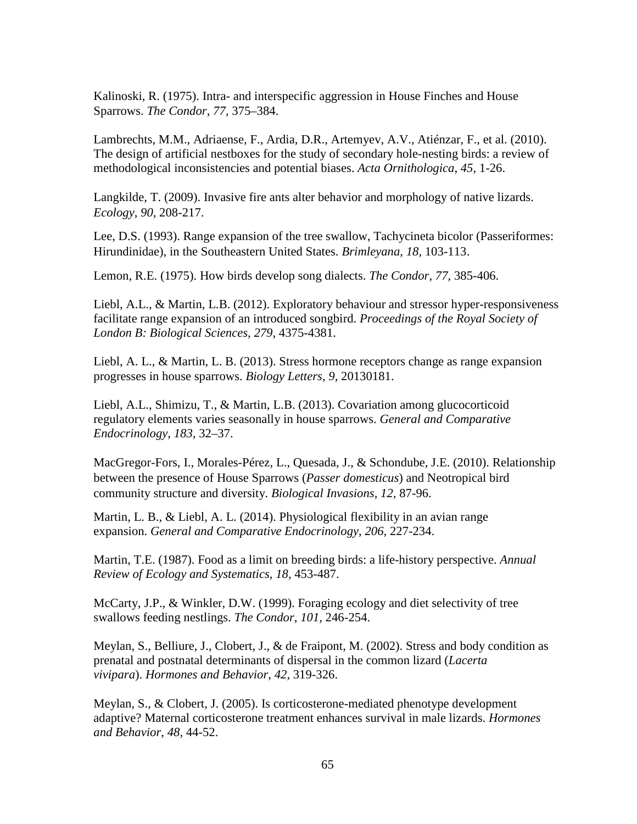Kalinoski, R. (1975). Intra- and interspecific aggression in House Finches and House Sparrows. *The Condor*, *77,* 375–384.

Lambrechts, M.M., Adriaense, F., Ardia, D.R., Artemyev, A.V., Atiénzar, F., et al. (2010). The design of artificial nestboxes for the study of secondary hole-nesting birds: a review of methodological inconsistencies and potential biases. *Acta Ornithologica*, *45,* 1-26.

Langkilde, T. (2009). Invasive fire ants alter behavior and morphology of native lizards. *Ecology*, *90,* 208-217.

Lee, D.S. (1993). Range expansion of the tree swallow, Tachycineta bicolor (Passeriformes: Hirundinidae), in the Southeastern United States. *Brimleyana*, *18,* 103-113.

Lemon, R.E. (1975). How birds develop song dialects. *The Condor*, *77,* 385-406.

Liebl, A.L., & Martin, L.B. (2012). Exploratory behaviour and stressor hyper-responsiveness facilitate range expansion of an introduced songbird. *Proceedings of the Royal Society of London B: Biological Sciences*, *279,* 4375-4381.

Liebl, A. L., & Martin, L. B. (2013). Stress hormone receptors change as range expansion progresses in house sparrows. *Biology Letters*, *9,* 20130181.

Liebl, A.L., Shimizu, T., & Martin, L.B. (2013). Covariation among glucocorticoid regulatory elements varies seasonally in house sparrows. *General and Comparative Endocrinology*, *183,* 32–37.

MacGregor-Fors, I., Morales-Pérez, L., Quesada, J., & Schondube, J.E. (2010). Relationship between the presence of House Sparrows (*Passer domesticus*) and Neotropical bird community structure and diversity. *Biological Invasions, 12,* 87-96.

Martin, L. B., & Liebl, A. L. (2014). Physiological flexibility in an avian range expansion. *General and Comparative Endocrinology*, *206,* 227-234.

Martin, T.E. (1987). Food as a limit on breeding birds: a life-history perspective. *Annual Review of Ecology and Systematics, 18,* 453-487.

McCarty, J.P., & Winkler, D.W. (1999). Foraging ecology and diet selectivity of tree swallows feeding nestlings. *The Condor*, *101,* 246-254.

Meylan, S., Belliure, J., Clobert, J., & de Fraipont, M. (2002). Stress and body condition as prenatal and postnatal determinants of dispersal in the common lizard (*Lacerta vivipara*). *Hormones and Behavior*, *42,* 319-326.

Meylan, S., & Clobert, J. (2005). Is corticosterone-mediated phenotype development adaptive? Maternal corticosterone treatment enhances survival in male lizards. *Hormones and Behavior*, *48,* 44-52.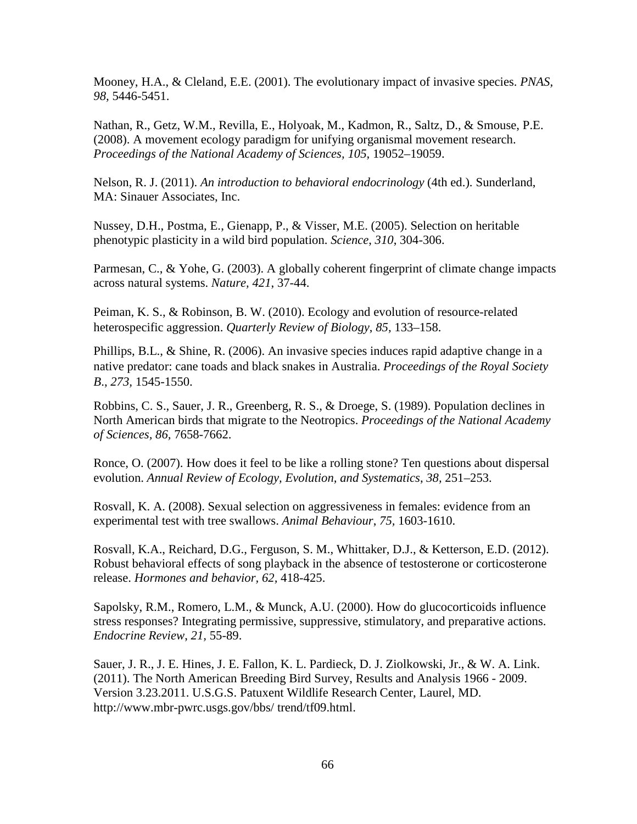Mooney, H.A., & Cleland, E.E. (2001). The evolutionary impact of invasive species. *PNAS, 98,* 5446-5451.

Nathan, R., Getz, W.M., Revilla, E., Holyoak, M., Kadmon, R., Saltz, D., & Smouse, P.E. (2008). A movement ecology paradigm for unifying organismal movement research. Proceedings of the National Academy of Sciences, 105, 19052–19059.

Nelson, R. J. (2011). *An introduction to behavioral endocrinology* (4th ed.). Sunderland, MA: Sinauer Associates, Inc.

Nussey, D.H., Postma, E., Gienapp, P., & Visser, M.E. (2005). Selection on heritable phenotypic plasticity in a wild bird population. *Science*, *310*, 304-306.

Parmesan, C., & Yohe, G. (2003). A globally coherent fingerprint of climate change impacts across natural systems. *Nature, 421*, 37-44.

Peiman, K. S., & Robinson, B. W. (2010). Ecology and evolution of resource-related heterospecific aggression. *Quarterly Review of Biology*, *85,* 133–158.

Phillips, B.L., & Shine, R. (2006). An invasive species induces rapid adaptive change in a native predator: cane toads and black snakes in Australia. *Proceedings of the Royal Society B*., *273,* 1545-1550.

Robbins, C. S., Sauer, J. R., Greenberg, R. S., & Droege, S. (1989). Population declines in North American birds that migrate to the Neotropics. *Proceedings of the National Academy of Sciences, 86,* 7658-7662.

Ronce, O. (2007). How does it feel to be like a rolling stone? Ten questions about dispersal evolution. *Annual Review of Ecology, Evolution, and Systematics*, *38,* 251–253.

Rosvall, K. A. (2008). Sexual selection on aggressiveness in females: evidence from an experimental test with tree swallows. *Animal Behaviour*, *75,* 1603-1610.

Rosvall, K.A., Reichard, D.G., Ferguson, S. M., Whittaker, D.J., & Ketterson, E.D. (2012). Robust behavioral effects of song playback in the absence of testosterone or corticosterone release. *Hormones and behavior, 62,* 418-425.

Sapolsky, R.M., Romero, L.M., & Munck, A.U. (2000). How do glucocorticoids influence stress responses? Integrating permissive, suppressive, stimulatory, and preparative actions. *Endocrine Review*, *21,* 55-89.

Sauer, J. R., J. E. Hines, J. E. Fallon, K. L. Pardieck, D. J. Ziolkowski, Jr., & W. A. Link. (2011). The North American Breeding Bird Survey, Results and Analysis 1966 - 2009. Version 3.23.2011. U.S.G.S. Patuxent Wildlife Research Center, Laurel, MD. http://www.mbr-pwrc.usgs.gov/bbs/ trend/tf09.html.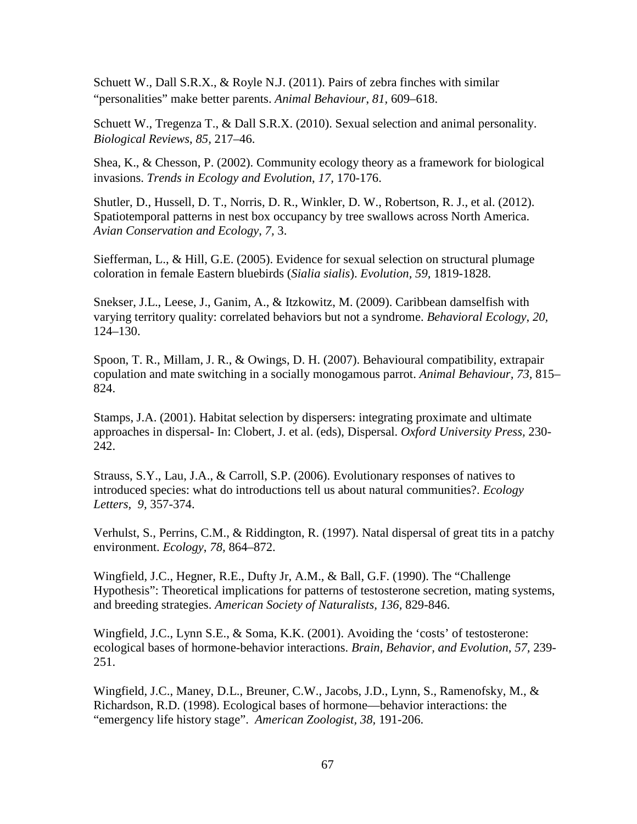Schuett W., Dall S.R.X., & Royle N.J. (2011). Pairs of zebra finches with similar "personalities" make better parents. *Animal Behaviour*, *81,* 609–618.

Schuett W., Tregenza T., & Dall S.R.X. (2010). Sexual selection and animal personality. *Biological Reviews*, *85,* 217–46.

Shea, K., & Chesson, P. (2002). Community ecology theory as a framework for biological invasions. *Trends in Ecology and Evolution*, *17,* 170-176.

Shutler, D., Hussell, D. T., Norris, D. R., Winkler, D. W., Robertson, R. J., et al. (2012). Spatiotemporal patterns in nest box occupancy by tree swallows across North America. *Avian Conservation and Ecology*, *7,* 3.

Siefferman, L., & Hill, G.E. (2005). Evidence for sexual selection on structural plumage coloration in female Eastern bluebirds (*Sialia sialis*). *Evolution, 59,* 1819-1828.

Snekser, J.L., Leese, J., Ganim, A., & Itzkowitz, M. (2009). Caribbean damselfish with varying territory quality: correlated behaviors but not a syndrome. *Behavioral Ecology*, *20,*  124–130.

Spoon, T. R., Millam, J. R., & Owings, D. H. (2007). Behavioural compatibility, extrapair copulation and mate switching in a socially monogamous parrot. *Animal Behaviour, 73,* 815– 824.

Stamps, J.A. (2001). Habitat selection by dispersers: integrating proximate and ultimate approaches in dispersal- In: Clobert, J. et al. (eds), Dispersal. *Oxford University Press,* 230- 242.

Strauss, S.Y., Lau, J.A., & Carroll, S.P. (2006). Evolutionary responses of natives to introduced species: what do introductions tell us about natural communities?. *Ecology Letters, 9,* 357-374.

Verhulst, S., Perrins, C.M., & Riddington, R. (1997). Natal dispersal of great tits in a patchy environment. *Ecology*, *78,* 864–872.

Wingfield, J.C., Hegner, R.E., Dufty Jr, A.M., & Ball, G.F. (1990). The "Challenge Hypothesis": Theoretical implications for patterns of testosterone secretion, mating systems, and breeding strategies. *American Society of Naturalists, 136,* 829-846.

Wingfield, J.C., Lynn S.E., & Soma, K.K. (2001). Avoiding the 'costs' of testosterone: ecological bases of hormone-behavior interactions. *Brain, Behavior, and Evolution*, *57,* 239- 251.

Wingfield, J.C., Maney, D.L., Breuner, C.W., Jacobs, J.D., Lynn, S., Ramenofsky, M., & Richardson, R.D. (1998). Ecological bases of hormone—behavior interactions: the "emergency life history stage". *American Zoologist, 38,* 191-206.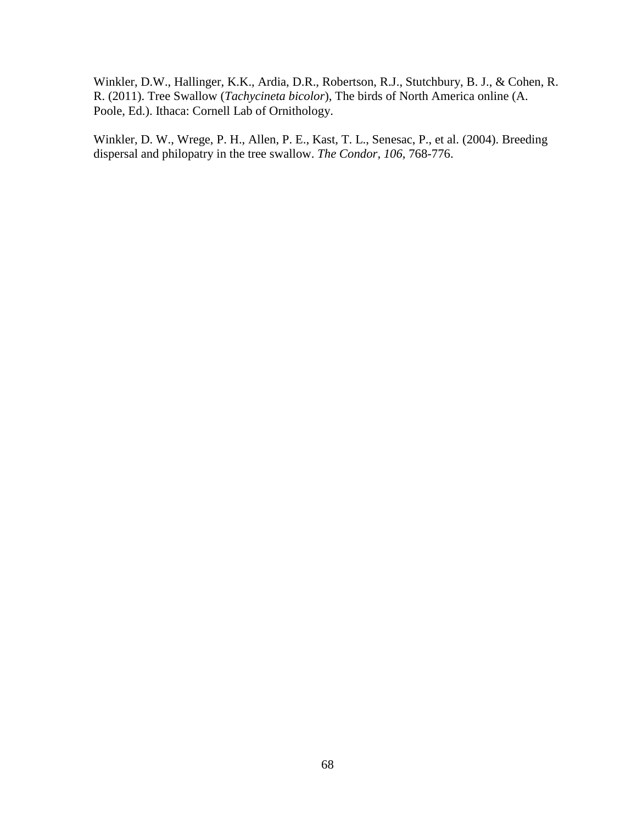Winkler, D.W., Hallinger, K.K., Ardia, D.R., Robertson, R.J., Stutchbury, B. J., & Cohen, R. R. (2011). Tree Swallow (*Tachycineta bicolor*), The birds of North America online (A. Poole, Ed.). Ithaca: Cornell Lab of Ornithology.

Winkler, D. W., Wrege, P. H., Allen, P. E., Kast, T. L., Senesac, P., et al. (2004). Breeding dispersal and philopatry in the tree swallow. *The Condor, 106,* 768-776.